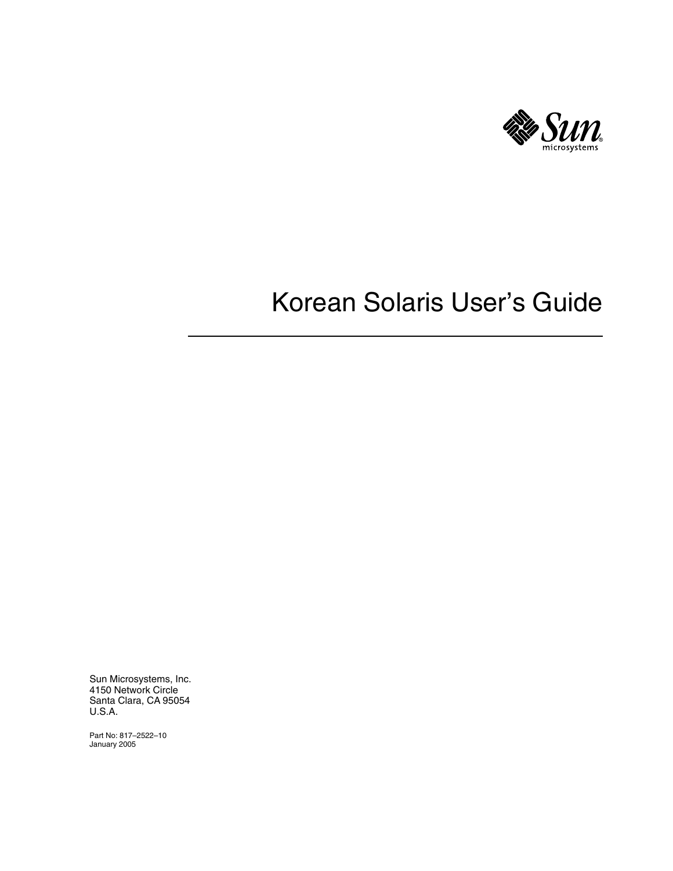

# Korean Solaris User's Guide

Sun Microsystems, Inc. 4150 Network Circle Santa Clara, CA 95054 U.S.A.

Part No: 817–2522–10 January 2005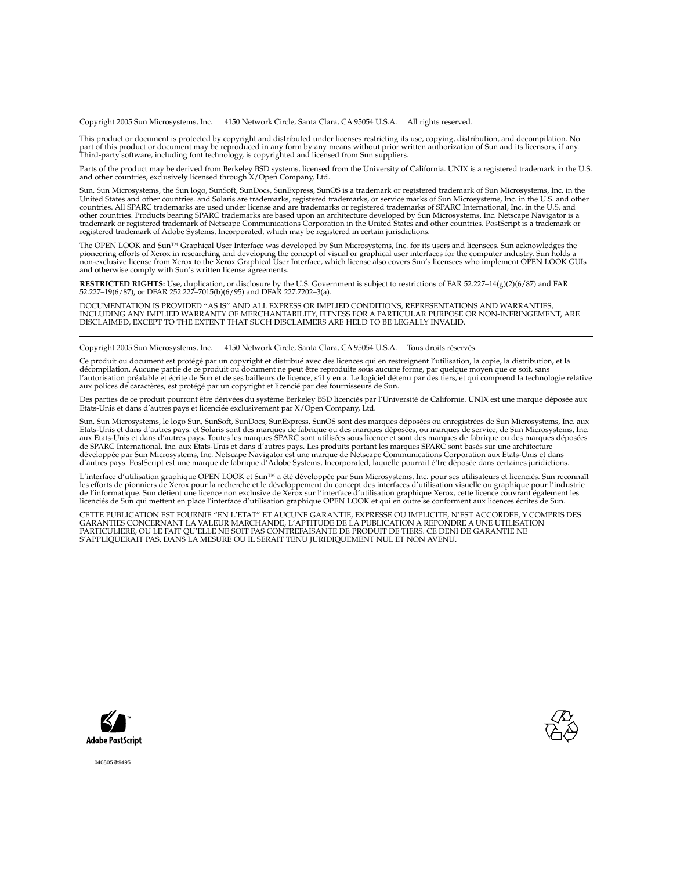Copyright 2005 Sun Microsystems, Inc. 4150 Network Circle, Santa Clara, CA 95054 U.S.A. All rights reserved.

This product or document is protected by copyright and distributed under licenses restricting its use, copying, distribution, and decompilation. No part of this product or document may be reproduced in any form by any means without prior written authorization of Sun and its licensors, if any.<br>Third-party software, including font technology, is copyrighted and licensed

Parts of the product may be derived from Berkeley BSD systems, licensed from the University of California. UNIX is a registered trademark in the U.S. and other countries, exclusively licensed through X/Open Company, Ltd.

Sun, Sun Microsystems, the Sun logo, SunSoft, SunDocs, SunExpress, SunOS is a trademark or registered trademark of Sun Microsystems, Inc. in the United States and other countries. and Solaris are trademarks, registered trademarks, or service marks of Sun Microsystems, Inc. in the U.S. and other<br>countries. All SPARC trademarks are used under license and are trademar other countries. Products bearing SPARC trademarks are based upon an architecture developed by Sun Microsystems, Inc. Netscape Navigator is a<br>trademark or registered trademark of Netscape Communications Corporation in the registered trademark of Adobe Systems, Incorporated, which may be registered in certain jurisdictions.

The OPEN LOOK and Sun™ Graphical User Interface was developed by Sun Microsystems, Inc. for its users and licensees. Sun acknowledges the pioneering efforts of Xerox in researching and developing the concept of visual or graphical user interfaces for the computer industry. Sun holds a<br>non-exclusive license from Xerox to the Xerox Graphical User Interface, wh and otherwise comply with Sun's written license agreements.

**RESTRICTED RIGHTS:** Use, duplication, or disclosure by the U.S. Government is subject to restrictions of FAR 52.227–14(g)(2)(6/87) and FAR 52.227–19(6/87), or DFAR 252.227–7015(b)(6/95) and DFAR 227.7202–3(a).

DOCUMENTATION IS PROVIDED "AS IS" AND ALL EXPRESS OR IMPLIED CONDITIONS, REPRESENTATIONS AND WARRANTIES, INCLUDING ANY IMPLIED WARRANTY OF MERCHANTABILITY, FITNESS FOR A PARTICULAR PURPOSE OR NON-INFRINGEMENT, ARE DISCLAIMED, EXCEPT TO THE EXTENT THAT SUCH DISCLAIMERS ARE HELD TO BE LEGALLY INVALID.

Copyright 2005 Sun Microsystems, Inc. 4150 Network Circle, Santa Clara, CA 95054 U.S.A. Tous droits réservés.

Ce produit ou document est protégé par un copyright et distribué avec des licences qui en restreignent l'utilisation, la copie, la distribution, et la<br>décompilation. Aucune partie de ce produit ou document ne peut être rep aux polices de caractères, est protégé par un copyright et licencié par des fournisseurs de Sun.

Des parties de ce produit pourront être dérivées du système Berkeley BSD licenciés par l'Université de Californie. UNIX est une marque déposée aux Etats-Unis et dans d'autres pays et licenciée exclusivement par X/Open Company, Ltd.

Sun, Sun Microsystems, le logo Sun, SunSoft, SunDocs, SunExpress, SunOS sont des marques déposées ou enregistrées de Sun Microsystems, Inc. aux<br>Etats-Unis et dans d'autres pays. et Solaris sont des marques de fabrique ou d aux Etats-Unis et dans d'autres pays. Toutes les marques SPARC sont utilisées sous licence et sont des marques de fabrique ou des marques déposées<br>de SPARC International, Inc. aux États-Unis et dans d'autres pays. Les pro

L'interface d'utilisation graphique OPEN LOOK et Sun™a été développée par Sun Microsystems, Inc. pour ses utilisateurs et licenciés. Sun reconnaît<br>les efforts de pionniers de Xerox pour la recherche et le développement du licenciés de Sun qui mettent en place l'interface d'utilisation graphique OPEN LOOK et qui en outre se conforment aux licences écrites de Sun.

CETTE PUBLICATION EST FOURNIE "EN L'ETAT" ET AUCUNE GARANTIE, EXPRESSE OU IMPLICITE, N'EST ACCORDEE, Y COMPRIS DES GARANTIES CONCERNANT LA VALEUR MARCHANDE, L'APTITUDE DE LA PUBLICATION A REPONDRE A UNE UTILISATION PARTICULIERE, OU LE FAIT QU'ELLE NE SOIT PAS CONTREFAISANTE DE PRODUIT DE TIERS. CE DENI DE GARANTIE NE S'APPLIQUERAIT PAS, DANS LA MESURE OU IL SERAIT TENU JURIDIQUEMENT NUL ET NON AVENU.





040805@9495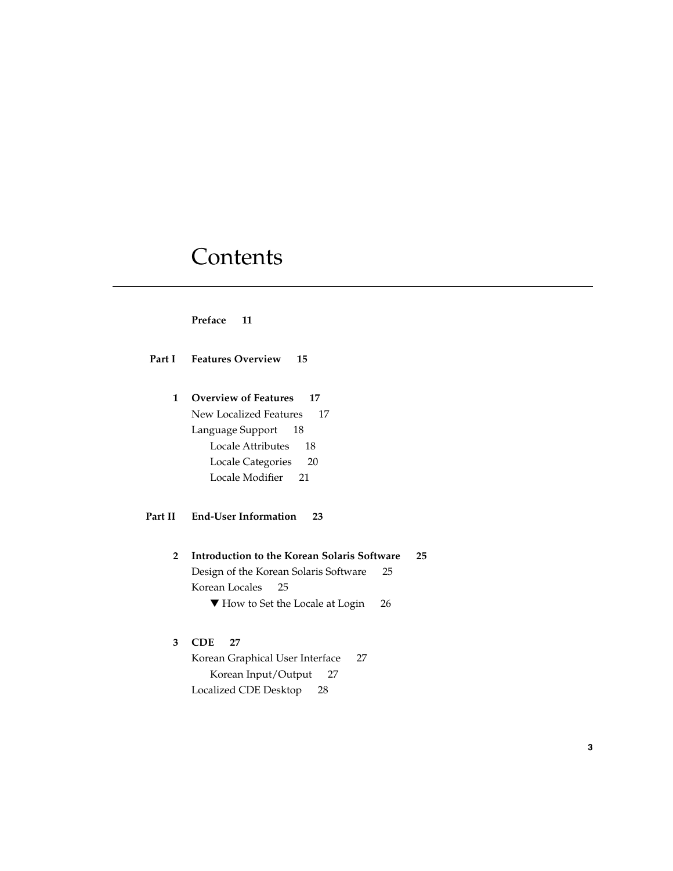# **Contents**

**[Preface 11](#page-10-0)**

**[Part I Features Overview 15](#page-14-0)**

**[1 Overview of Features 17](#page-16-0)** [New Localized Features 17](#page-16-0) [Language Support 18](#page-17-0) [Locale Attributes 18](#page-17-0) [Locale Categories 20](#page-19-0) [Locale Modifier 21](#page-20-0)

**[Part II End-User Information 23](#page-22-0)**

**[2 Introduction to the Korean Solaris Software 25](#page-24-0)** [Design of the Korean Solaris Software 25](#page-24-0) [Korean Locales 25](#page-24-0) ▼ [How to Set the Locale at Login 26](#page-25-0)

#### **[3 CDE 27](#page-26-0)**

[Korean Graphical User Interface 27](#page-26-0) [Korean Input/Output 27](#page-26-0) [Localized CDE Desktop 28](#page-27-0)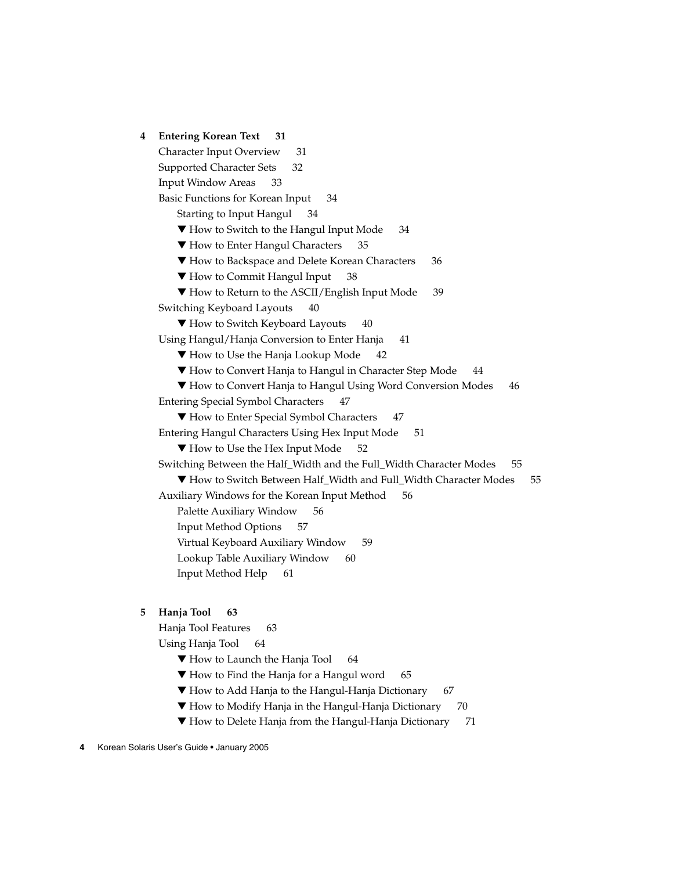**[4 Entering Korean Text 31](#page-30-0)**

[Character Input Overview 31](#page-30-0)

[Supported Character Sets 32](#page-31-0)

[Input Window Areas 33](#page-32-0)

[Basic Functions for Korean Input 34](#page-33-0)

[Starting to Input Hangul 34](#page-33-0)

▼ [How to Switch to the Hangul Input Mode 34](#page-33-0)

▼ [How to Enter Hangul Characters 35](#page-34-0)

▼ [How to Backspace and Delete Korean Characters 36](#page-35-0)

▼ [How to Commit Hangul Input 38](#page-37-0)

▼ [How to Return to the ASCII/English Input Mode 39](#page-38-0)

[Switching Keyboard Layouts 40](#page-39-0)

▼ [How to Switch Keyboard Layouts 40](#page-39-0)

[Using Hangul/Hanja Conversion to Enter Hanja 41](#page-40-0)

▼ [How to Use the Hanja Lookup Mode 42](#page-41-0)

▼ [How to Convert Hanja to Hangul in Character Step Mode 44](#page-43-0)

▼ [How to Convert Hanja to Hangul Using Word Conversion Modes 46](#page-45-0) [Entering Special Symbol Characters 47](#page-46-0)

▼ [How to Enter Special Symbol Characters 47](#page-46-0)

[Entering Hangul Characters Using Hex Input Mode 51](#page-50-0)

▼ [How to Use the Hex Input Mode 52](#page-51-0)

[Switching Between the Half\\_Width and the Full\\_Width Character Modes 55](#page-54-0)

▼ [How to Switch Between Half\\_Width and Full\\_Width Character Modes 55](#page-54-0) [Auxiliary Windows for the Korean Input Method 56](#page-55-0)

[Palette Auxiliary Window 56](#page-55-0)

[Input Method Options 57](#page-56-0)

[Virtual Keyboard Auxiliary Window 59](#page-58-0)

[Lookup Table Auxiliary Window 60](#page-59-0)

[Input Method Help 61](#page-60-0)

#### **[5 Hanja Tool 63](#page-62-0)**

[Hanja Tool Features 63](#page-62-0)

[Using Hanja Tool 64](#page-63-0)

▼ [How to Launch the Hanja Tool 64](#page-63-0)

 $\nabla$  [How to Find the Hanja for a Hangul word 65](#page-64-0)

▼ [How to Add Hanja to the Hangul-Hanja Dictionary 67](#page-66-0)

▼ [How to Modify Hanja in the Hangul-Hanja Dictionary 70](#page-69-0)

▼ [How to Delete Hanja from the Hangul-Hanja Dictionary 71](#page-70-0)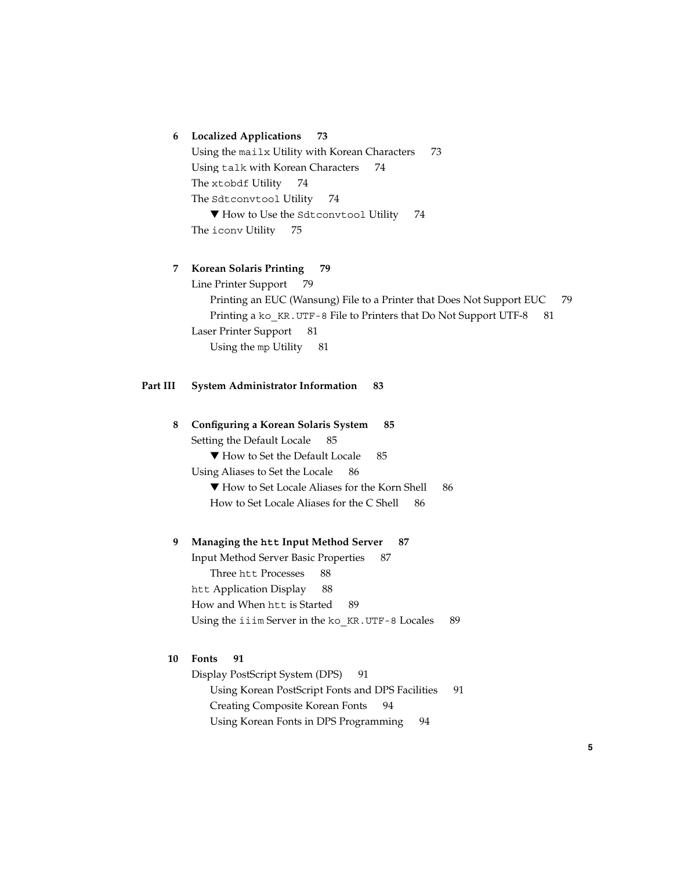#### **[6 Localized Applications 73](#page-72-0)**

Using the mailx [Utility with Korean Characters 73](#page-72-0) Using talk [with Korean Characters 74](#page-73-0) The xtobdf [Utility 74](#page-73-0) The [Sdtconvtool](#page-73-0) Utility 74 ▼ [How to Use the](#page-73-0) Sdtconvtool Utility 74 The iconv [Utility 75](#page-74-0)

#### **[7 Korean Solaris Printing 79](#page-78-0)**

[Line Printer Support 79](#page-78-0) [Printing an EUC \(Wansung\) File to a Printer that Does Not Support EUC 79](#page-78-0) Printing a ko\_KR.UTF-8 [File to Printers that Do Not Support UTF-8 81](#page-80-0) [Laser Printer Support 81](#page-80-0) Using the mp [Utility 81](#page-80-0)

#### **[Part III System Administrator Information 83](#page-82-0)**

**[8 Configuring a Korean Solaris System 85](#page-84-0)** [Setting the Default Locale 85](#page-84-0) ▼ [How to Set the Default Locale 85](#page-84-0) [Using Aliases to Set the Locale 86](#page-85-0) ▼ [How to Set Locale Aliases for the Korn Shell 86](#page-85-0) [How to Set Locale Aliases for the C Shell 86](#page-85-0)

#### **9 Managing the htt [Input Method Server 87](#page-86-0)**

[Input Method Server Basic Properties 87](#page-86-0) Three htt [Processes 88](#page-87-0) htt [Application Display 88](#page-87-0) [How and When](#page-88-0) htt is Started 89 Using the iiim Server in the ko KR.UTF-8 Locales 89

#### **[10 Fonts 91](#page-90-0)**

[Display PostScript System \(DPS\) 91](#page-90-0) [Using Korean PostScript Fonts and DPS Facilities 91](#page-90-0) [Creating Composite Korean Fonts 94](#page-93-0) [Using Korean Fonts in DPS Programming 94](#page-93-0)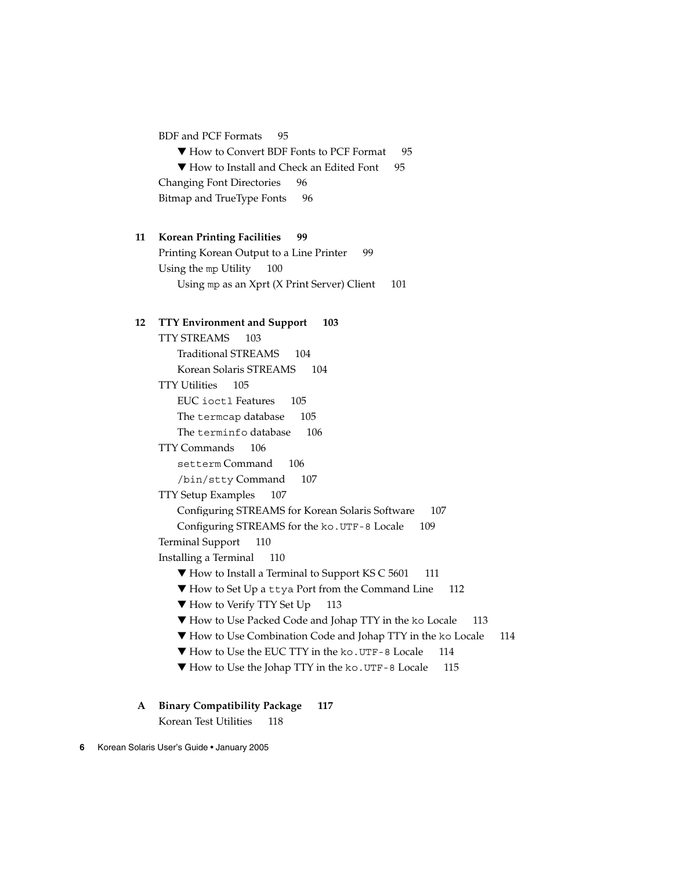[BDF and PCF Formats 95](#page-94-0) ▼ [How to Convert BDF Fonts to PCF Format 95](#page-94-0) ▼ [How to Install and Check an Edited Font 95](#page-94-0) [Changing Font Directories 96](#page-95-0) [Bitmap and TrueType Fonts 96](#page-95-0)

**[11 Korean Printing Facilities 99](#page-98-0)** [Printing Korean Output to a Line Printer 99](#page-98-0) Using the mp [Utility 100](#page-99-0)

Using mp [as an Xprt \(X Print Server\) Client 101](#page-100-0)

#### **[12 TTY Environment and Support 103](#page-102-0)**

[TTY STREAMS 103](#page-102-0) [Traditional STREAMS 104](#page-103-0) [Korean Solaris STREAMS 104](#page-103-0) [TTY Utilities 105](#page-104-0) EUC ioctl [Features 105](#page-104-0) The termcap [database 105](#page-104-0) The terminfo [database 106](#page-105-0) [TTY Commands 106](#page-105-0) setterm [Command 106](#page-105-0) /bin/stty [Command 107](#page-106-0) [TTY Setup Examples 107](#page-106-0) [Configuring STREAMS for Korean Solaris Software 107](#page-106-0) [Configuring STREAMS for the](#page-108-0) ko. UTF-8 Locale 109 [Terminal Support 110](#page-109-0) [Installing a Terminal 110](#page-109-0) ▼ [How to Install a Terminal to Support KS C 5601 111](#page-110-0) ▼ How to Set Up a ttya [Port from the Command Line 112](#page-111-0) ▼ [How to Verify TTY Set Up 113](#page-112-0) ▼ [How to Use Packed Code and Johap TTY in the](#page-112-0) ko Locale 113 ▼ [How to Use Combination Code and Johap TTY in the](#page-113-0) ko Locale 114 ▼ [How to Use the EUC TTY in the](#page-113-0) ko.UTF-8 Locale 114 ▼ [How to Use the Johap TTY in the](#page-114-0) ko.UTF-8 Locale 115

#### **[A Binary Compatibility Package 117](#page-116-0)** [Korean Test Utilities 118](#page-117-0)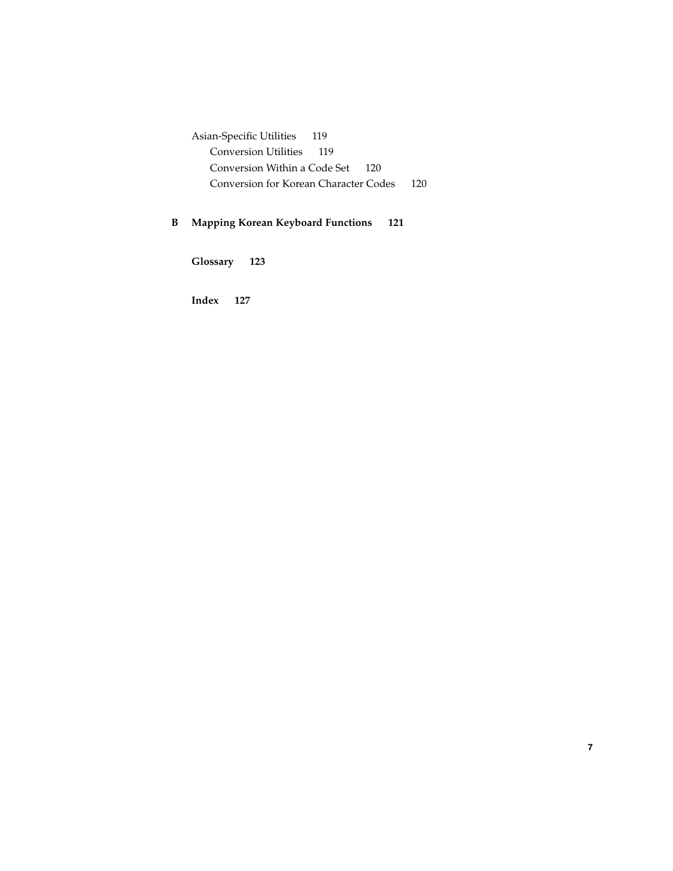| Asian-Specific Utilities<br>119        |     |
|----------------------------------------|-----|
| <b>Conversion Utilities</b><br>119     |     |
| Conversion Within a Code Set<br>$-120$ |     |
| Conversion for Korean Character Codes  | 120 |

### **[B Mapping Korean Keyboard Functions 121](#page-120-0)**

**[Glossary 123](#page-122-0)**

**[Index 127](#page-126-0)**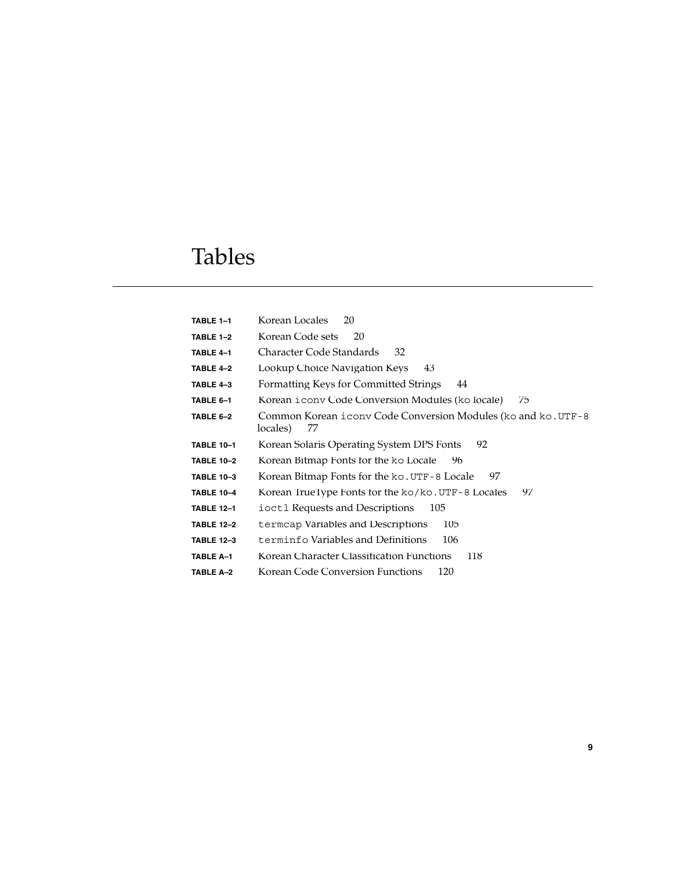# Tables

| TABLE 1-1         | Korean Locales<br>20                                                            |
|-------------------|---------------------------------------------------------------------------------|
| TABLE 1-2         | Korean Code sets<br>20                                                          |
| TABLE 4-1         | Character Code Standards<br>32                                                  |
| TABLE 4-2         | Lookup Choice Navigation Keys<br>43                                             |
| TABLE 4-3         | Formatting Keys for Committed Strings<br>44                                     |
| TABLE 6-1         | Korean i conv Code Conversion Modules (ko locale)<br>75                         |
| TABLE 6-2         | Common Korean iconv Code Conversion Modules (ko and ko. UTF-8<br>locales)<br>77 |
| <b>TABLE 10-1</b> | Korean Solaris Operating System DPS Fonts<br>92                                 |
| <b>TABLE 10-2</b> | Korean Bitmap Fonts for the ko Locale<br>96                                     |
| <b>TABLE 10-3</b> | Korean Bitmap Fonts for the ko. UTF-8 Locale<br>97                              |
| <b>TABLE 10-4</b> | 97<br>Korean TrueType Fonts for the ko/ko. UTF-8 Locales                        |
| <b>TABLE 12-1</b> | ioct1 Requests and Descriptions<br>105                                          |
| <b>TABLE 12-2</b> | termcap Variables and Descriptions<br>105                                       |
| <b>TABLE 12-3</b> | terminfo Variables and Definitions<br>106                                       |
| TABLE A-1         | Korean Character Classification Functions<br>118                                |
| TABLE A-2         | Korean Code Conversion Functions<br>120                                         |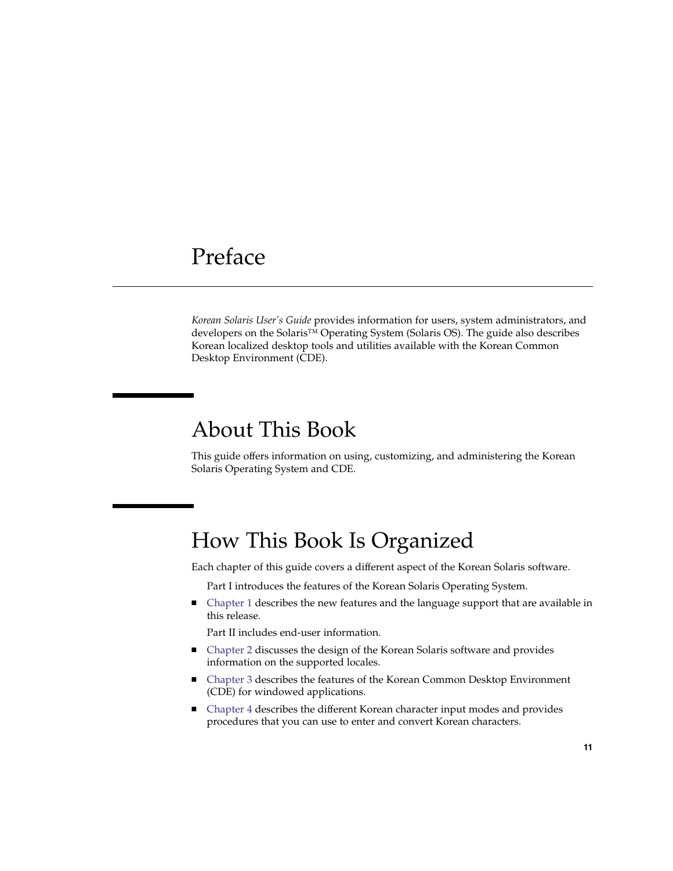## <span id="page-10-0"></span>Preface

*Korean Solaris User's Guide* provides information for users, system administrators, and developers on the Solaris™ Operating System (Solaris OS). The guide also describes Korean localized desktop tools and utilities available with the Korean Common Desktop Environment (CDE).

### About This Book

This guide offers information on using, customizing, and administering the Korean Solaris Operating System and CDE.

## How This Book Is Organized

Each chapter of this guide covers a different aspect of the Korean Solaris software.

Part I introduces the features of the Korean Solaris Operating System.

■ [Chapter 1](#page-16-0) describes the new features and the language support that are available in this release.

Part II includes end-user information.

- [Chapter 2](#page-24-0) discusses the design of the Korean Solaris software and provides information on the supported locales.
- [Chapter 3](#page-26-0) describes the features of the Korean Common Desktop Environment (CDE) for windowed applications.
- [Chapter 4](#page-30-0) describes the different Korean character input modes and provides procedures that you can use to enter and convert Korean characters.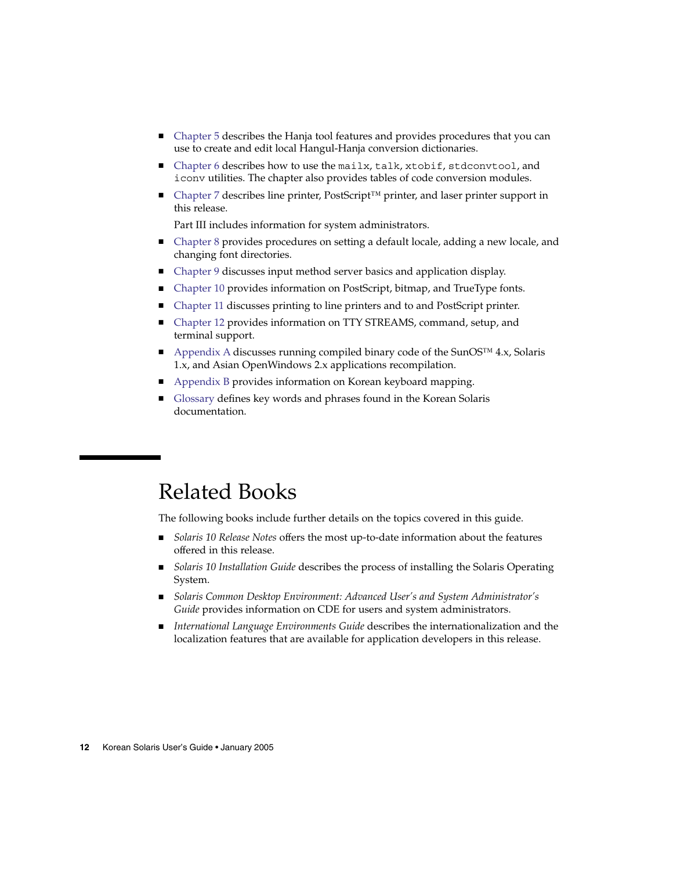- [Chapter 5](#page-62-0) describes the Hanja tool features and provides procedures that you can use to create and edit local Hangul-Hanja conversion dictionaries.
- [Chapter 6](#page-72-0) describes how to use the mailx, talk, xtobif, stdconvtool, and iconv utilities. The chapter also provides tables of code conversion modules.
- [Chapter 7](#page-78-0) describes line printer, PostScript™ printer, and laser printer support in this release.

Part III includes information for system administrators.

- [Chapter 8](#page-84-0) provides procedures on setting a default locale, adding a new locale, and changing font directories.
- [Chapter 9](#page-86-0) discusses input method server basics and application display.
- [Chapter 10](#page-90-0) provides information on PostScript, bitmap, and TrueType fonts.
- [Chapter 11](#page-98-0) discusses printing to line printers and to and PostScript printer.
- [Chapter 12](#page-102-0) provides information on TTY STREAMS, command, setup, and terminal support.
- [Appendix A](#page-116-0) discusses running compiled binary code of the SunOS™ 4.x, Solaris 1.x, and Asian OpenWindows 2.x applications recompilation.
- [Appendix B](#page-120-0) provides information on Korean keyboard mapping.
- [Glossary](#page-122-0) defines key words and phrases found in the Korean Solaris documentation.

### Related Books

The following books include further details on the topics covered in this guide.

- Solaris 10 Release Notes offers the most up-to-date information about the features offered in this release.
- Solaris 10 Installation Guide describes the process of installing the Solaris Operating System.
- *Solaris Common Desktop Environment: Advanced User's and System Administrator's Guide* provides information on CDE for users and system administrators.
- *International Language Environments Guide* describes the internationalization and the localization features that are available for application developers in this release.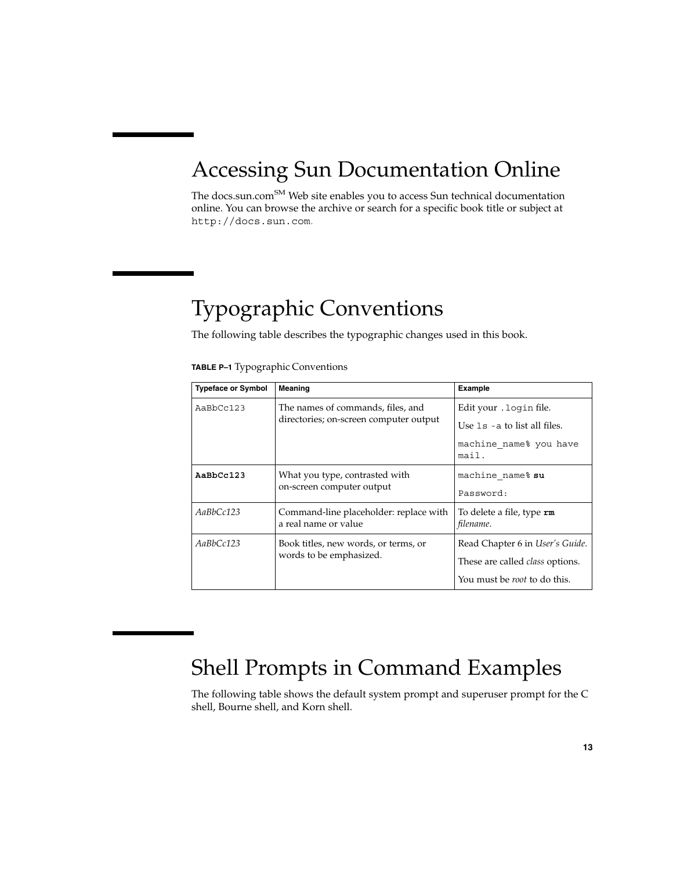# Accessing Sun Documentation Online

The docs.sun.com<sup>SM</sup> Web site enables you to access Sun technical documentation online. You can browse the archive or search for a specific book title or subject at <http://docs.sun.com>.

# Typographic Conventions

The following table describes the typographic changes used in this book.

| <b>TABLE P-1</b> Typographic Conventions |  |  |
|------------------------------------------|--|--|
|------------------------------------------|--|--|

| <b>Typeface or Symbol</b> | <b>Meaning</b>                                                 | <b>Example</b>                                |
|---------------------------|----------------------------------------------------------------|-----------------------------------------------|
| AaBbCc123                 | The names of commands, files, and                              | Edit your . login file.                       |
|                           | directories; on-screen computer output                         | Use $1s$ - a to list all files.               |
|                           |                                                                | machine name% you have<br>mail.               |
| AaBbCc123                 | What you type, contrasted with                                 | machine name% su                              |
|                           | on-screen computer output                                      | Password:                                     |
| AaBbCc123                 | Command-line placeholder: replace with<br>a real name or value | To delete a file, type <b>rm</b><br>filename. |
| AaBbCc123                 | Book titles, new words, or terms, or                           | Read Chapter 6 in User's Guide.               |
|                           | words to be emphasized.                                        | These are called <i>class</i> options.        |
|                           |                                                                | You must be <i>root</i> to do this.           |

# Shell Prompts in Command Examples

The following table shows the default system prompt and superuser prompt for the C shell, Bourne shell, and Korn shell.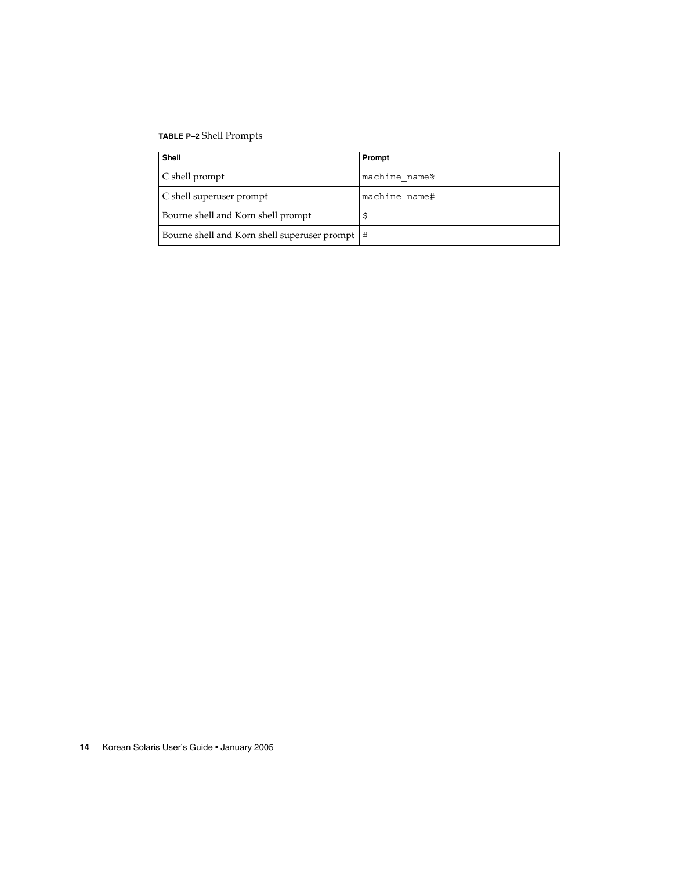#### **TABLE P–2** Shell Prompts

| <b>Shell</b>                                     | Prompt        |
|--------------------------------------------------|---------------|
| C shell prompt                                   | machine name% |
| C shell superuser prompt                         | machine name# |
| Bourne shell and Korn shell prompt               | Ş             |
| Bourne shell and Korn shell superuser prompt   # |               |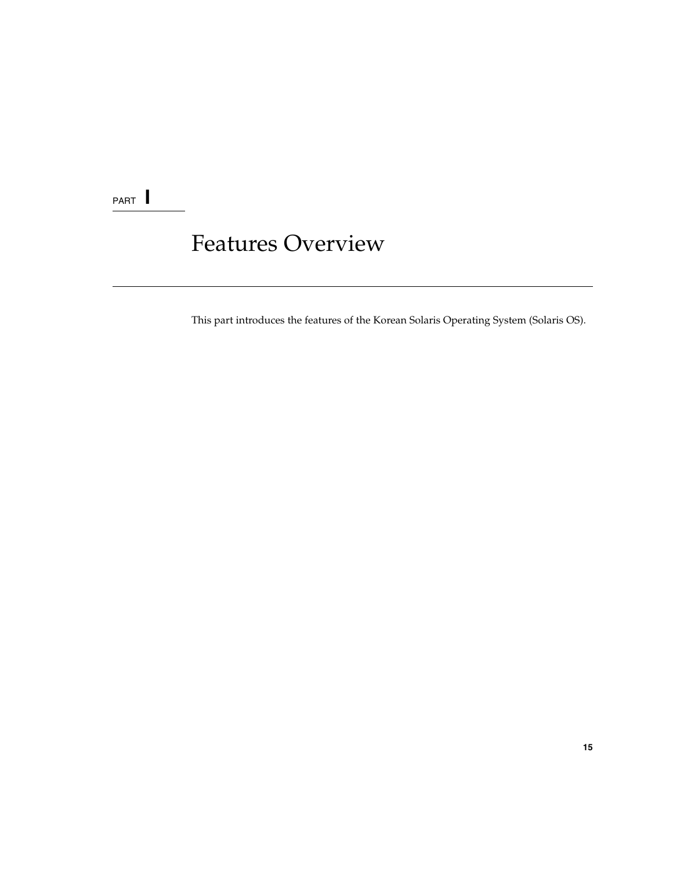<span id="page-14-0"></span>PART **I**

# Features Overview

This part introduces the features of the Korean Solaris Operating System (Solaris OS).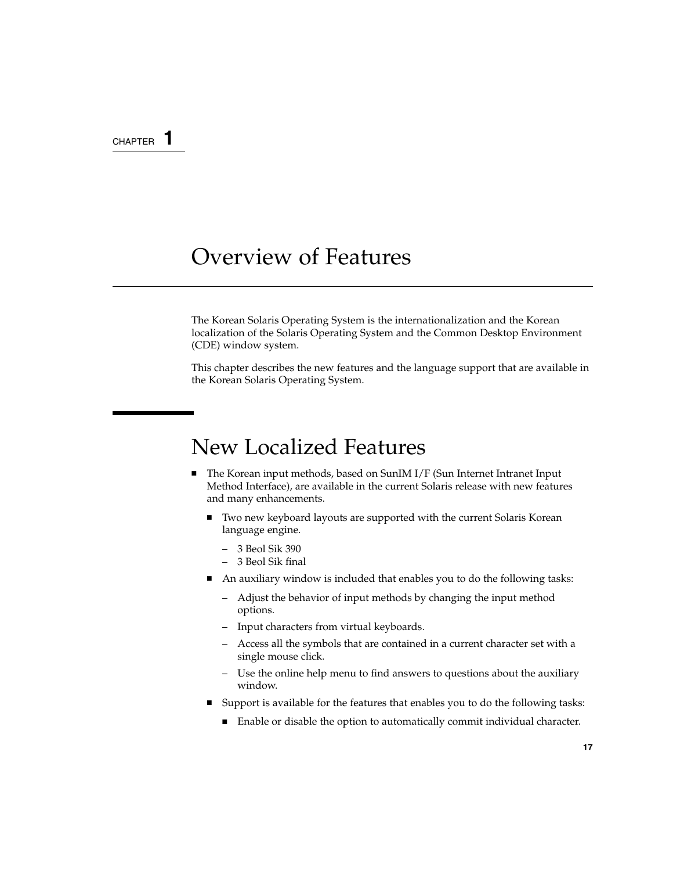### <span id="page-16-0"></span>CHAPTER **1**

## Overview of Features

The Korean Solaris Operating System is the internationalization and the Korean localization of the Solaris Operating System and the Common Desktop Environment (CDE) window system.

This chapter describes the new features and the language support that are available in the Korean Solaris Operating System.

### New Localized Features

- The Korean input methods, based on SunIM I/F (Sun Internet Intranet Input Method Interface), are available in the current Solaris release with new features and many enhancements.
	- Two new keyboard layouts are supported with the current Solaris Korean language engine.
		- 3 Beol Sik 390
		- 3 Beol Sik final
	- An auxiliary window is included that enables you to do the following tasks:
		- Adjust the behavior of input methods by changing the input method options.
		- Input characters from virtual keyboards.
		- Access all the symbols that are contained in a current character set with a single mouse click.
		- Use the online help menu to find answers to questions about the auxiliary window.
	- Support is available for the features that enables you to do the following tasks:
		- Enable or disable the option to automatically commit individual character.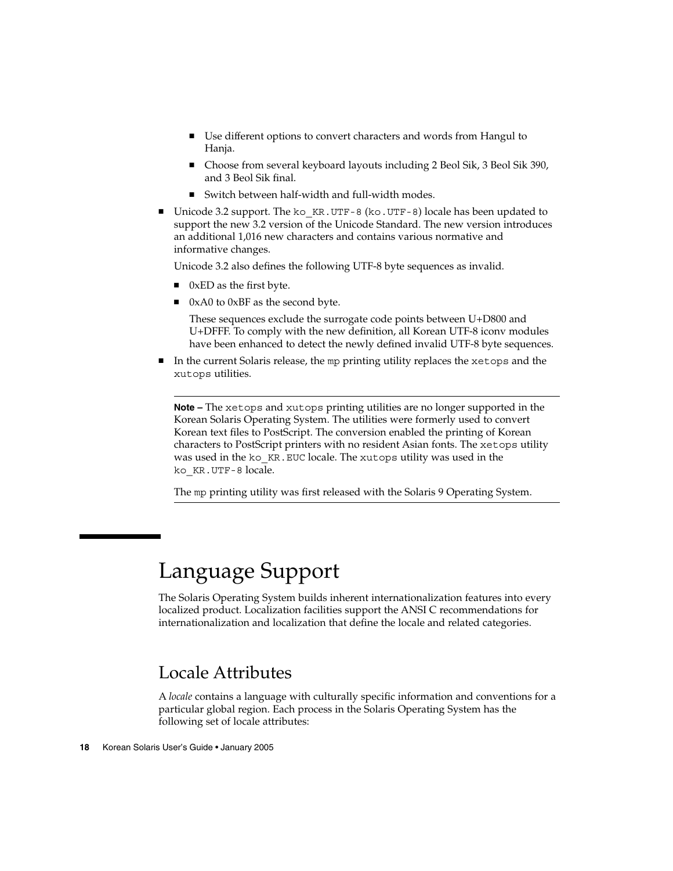- <span id="page-17-0"></span>■ Use different options to convert characters and words from Hangul to Hanja.
- Choose from several keyboard layouts including 2 Beol Sik, 3 Beol Sik 390, and 3 Beol Sik final.
- Switch between half-width and full-width modes.
- Unicode 3.2 support. The ko\_KR.UTF-8 (ko.UTF-8) locale has been updated to support the new 3.2 version of the Unicode Standard. The new version introduces an additional 1,016 new characters and contains various normative and informative changes.

Unicode 3.2 also defines the following UTF-8 byte sequences as invalid.

- 0xED as the first byte.
- $0xA0$  to  $0xBF$  as the second byte.

These sequences exclude the surrogate code points between U+D800 and U+DFFF. To comply with the new definition, all Korean UTF-8 iconv modules have been enhanced to detect the newly defined invalid UTF-8 byte sequences.

In the current Solaris release, the mp printing utility replaces the xetops and the xutops utilities.

**Note –** The xetops and xutops printing utilities are no longer supported in the Korean Solaris Operating System. The utilities were formerly used to convert Korean text files to PostScript. The conversion enabled the printing of Korean characters to PostScript printers with no resident Asian fonts. The xetops utility was used in the ko KR.EUC locale. The xutops utility was used in the ko\_KR.UTF-8 locale.

The mp printing utility was first released with the Solaris 9 Operating System.

# Language Support

The Solaris Operating System builds inherent internationalization features into every localized product. Localization facilities support the ANSI C recommendations for internationalization and localization that define the locale and related categories.

### Locale Attributes

A *locale* contains a language with culturally specific information and conventions for a particular global region. Each process in the Solaris Operating System has the following set of locale attributes: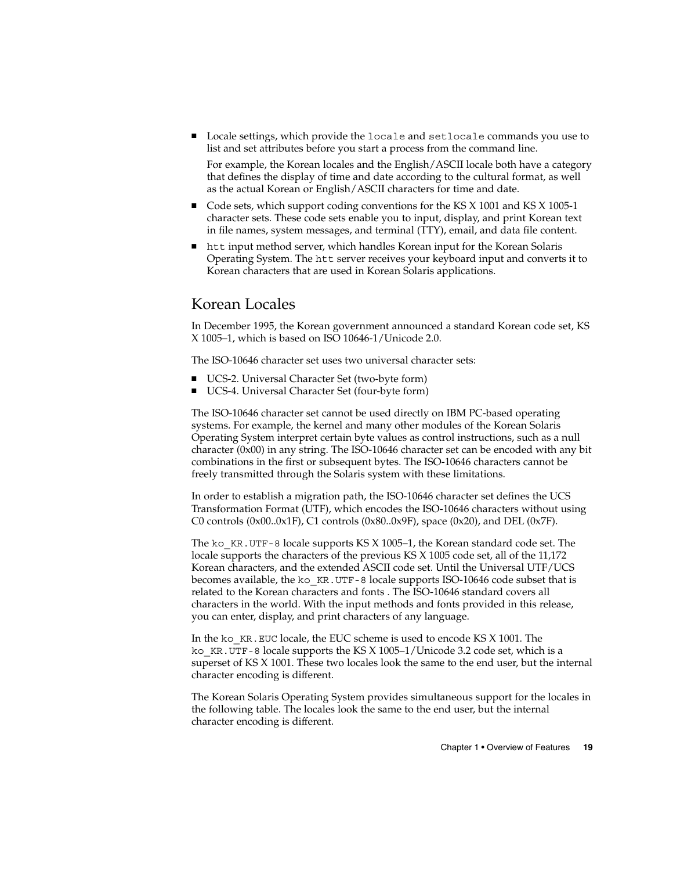■ Locale settings, which provide the locale and setlocale commands you use to list and set attributes before you start a process from the command line.

For example, the Korean locales and the English/ASCII locale both have a category that defines the display of time and date according to the cultural format, as well as the actual Korean or English/ASCII characters for time and date.

- Code sets, which support coding conventions for the KS X 1001 and KS X 1005-1 character sets. These code sets enable you to input, display, and print Korean text in file names, system messages, and terminal (TTY), email, and data file content.
- htt input method server, which handles Korean input for the Korean Solaris Operating System. The htt server receives your keyboard input and converts it to Korean characters that are used in Korean Solaris applications.

### Korean Locales

In December 1995, the Korean government announced a standard Korean code set, KS X 1005–1, which is based on ISO 10646-1/Unicode 2.0.

The ISO-10646 character set uses two universal character sets:

- UCS-2. Universal Character Set (two-byte form)
- UCS-4. Universal Character Set (four-byte form)

The ISO-10646 character set cannot be used directly on IBM PC-based operating systems. For example, the kernel and many other modules of the Korean Solaris Operating System interpret certain byte values as control instructions, such as a null character (0x00) in any string. The ISO-10646 character set can be encoded with any bit combinations in the first or subsequent bytes. The ISO-10646 characters cannot be freely transmitted through the Solaris system with these limitations.

In order to establish a migration path, the ISO-10646 character set defines the UCS Transformation Format (UTF), which encodes the ISO-10646 characters without using C0 controls (0x00..0x1F), C1 controls (0x80..0x9F), space (0x20), and DEL (0x7F).

The ko\_KR.UTF-8 locale supports KS X 1005–1, the Korean standard code set. The locale supports the characters of the previous KS X 1005 code set, all of the 11,172 Korean characters, and the extended ASCII code set. Until the Universal UTF/UCS becomes available, the ko\_KR.UTF-8 locale supports ISO-10646 code subset that is related to the Korean characters and fonts . The ISO-10646 standard covers all characters in the world. With the input methods and fonts provided in this release, you can enter, display, and print characters of any language.

In the ko–KR. EUC locale, the EUC scheme is used to encode KS  $X$  1001. The ko KR.UTF-8 locale supports the KS X 1005–1/Unicode 3.2 code set, which is a superset of KS X 1001. These two locales look the same to the end user, but the internal character encoding is different.

The Korean Solaris Operating System provides simultaneous support for the locales in the following table. The locales look the same to the end user, but the internal character encoding is different.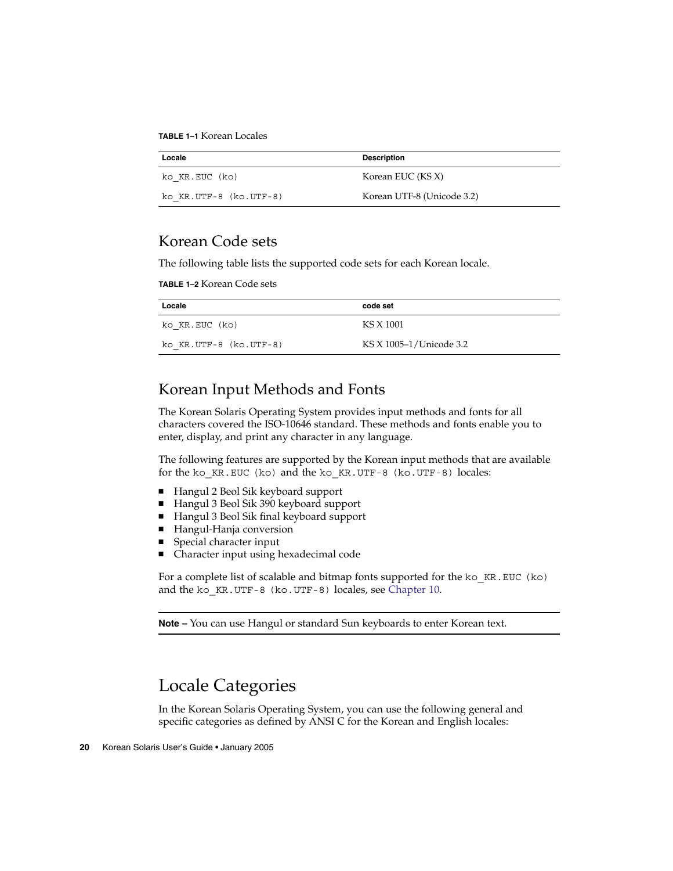<span id="page-19-0"></span>**TABLE 1–1** Korean Locales

| Locale                 | <b>Description</b>         |
|------------------------|----------------------------|
| ko KR.EUC (ko)         | Korean EUC (KS X)          |
| ko KR.UTF-8 (ko.UTF-8) | Korean UTF-8 (Unicode 3.2) |

### Korean Code sets

The following table lists the supported code sets for each Korean locale.

| <b>TABLE 1–2</b> Korean Code sets |  |  |  |
|-----------------------------------|--|--|--|
|-----------------------------------|--|--|--|

| Locale                 | code set                |
|------------------------|-------------------------|
| ko KR.EUC (ko)         | KS X 1001               |
| ko KR.UTF-8 (ko.UTF-8) | KS X 1005-1/Unicode 3.2 |

### Korean Input Methods and Fonts

The Korean Solaris Operating System provides input methods and fonts for all characters covered the ISO-10646 standard. These methods and fonts enable you to enter, display, and print any character in any language.

The following features are supported by the Korean input methods that are available for the ko\_KR.EUC (ko) and the ko\_KR.UTF-8 (ko.UTF-8) locales:

- Hangul 2 Beol Sik keyboard support
- Hangul 3 Beol Sik 390 keyboard support
- Hangul 3 Beol Sik final keyboard support
- Hangul-Hanja conversion
- Special character input
- Character input using hexadecimal code

For a complete list of scalable and bitmap fonts supported for the ko\_KR.EUC (ko) and the ko\_KR.UTF-8 (ko.UTF-8) locales, see [Chapter 10.](#page-90-0)

**Note –** You can use Hangul or standard Sun keyboards to enter Korean text.

### Locale Categories

In the Korean Solaris Operating System, you can use the following general and specific categories as defined by ANSI C for the Korean and English locales: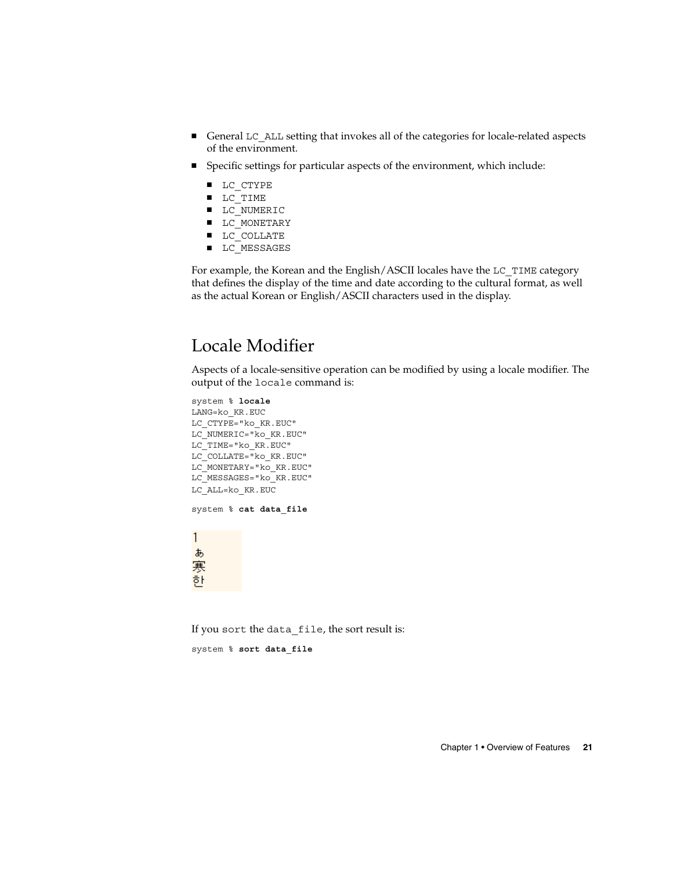- <span id="page-20-0"></span>■ General LC\_ALL setting that invokes all of the categories for locale-related aspects of the environment.
- Specific settings for particular aspects of the environment, which include:
	- LC CTYPE
	- LC\_TIME
	- LC\_NUMERIC
	- LC\_MONETARY
	- LC\_COLLATE
	- LC\_MESSAGES

For example, the Korean and the English/ASCII locales have the LC\_TIME category that defines the display of the time and date according to the cultural format, as well as the actual Korean or English/ASCII characters used in the display.

### Locale Modifier

Aspects of a locale-sensitive operation can be modified by using a locale modifier. The output of the locale command is:

```
system % locale
LANG=ko_KR.EUC
LC_CTYPE="ko_KR.EUC"
LC_NUMERIC="ko_KR.EUC"
LC_TIME="ko_KR.EUC"
LC_COLLATE="ko_KR.EUC"
LC_MONETARY="ko_KR.EUC"
LC_MESSAGES="ko_KR.EUC"
LC_ALL=ko_KR.EUC
```

```
system % cat data_file
```


If you sort the data file, the sort result is:

```
system % sort data_file
```
Chapter 1 • Overview of Features **21**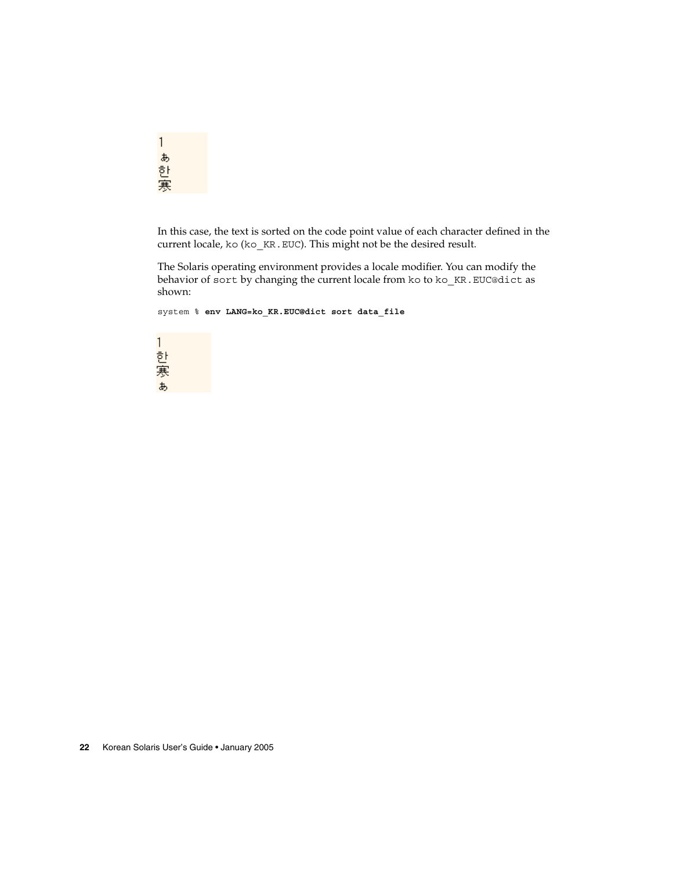$\mathbf{1}$ ぁ 한寒

In this case, the text is sorted on the code point value of each character defined in the current locale, ko (ko\_KR.EUC). This might not be the desired result.

The Solaris operating environment provides a locale modifier. You can modify the behavior of sort by changing the current locale from ko to ko\_KR.EUC@dict as shown:

system % **env LANG=ko\_KR.EUC@dict sort data\_file**

1 <mark>한</mark>寒  $\frac{1}{2}$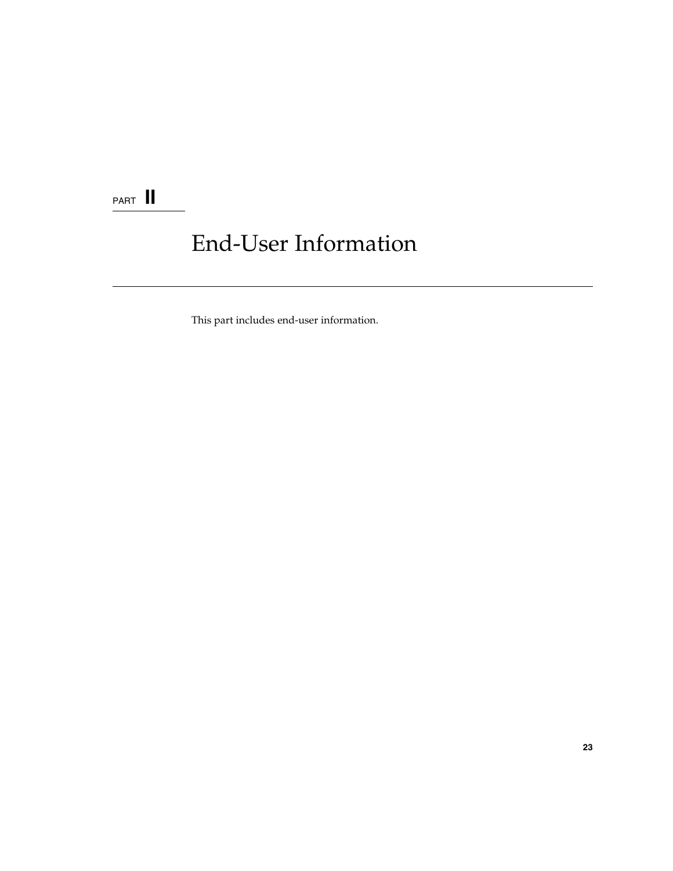<span id="page-22-0"></span>PART **II**

# End-User Information

This part includes end-user information.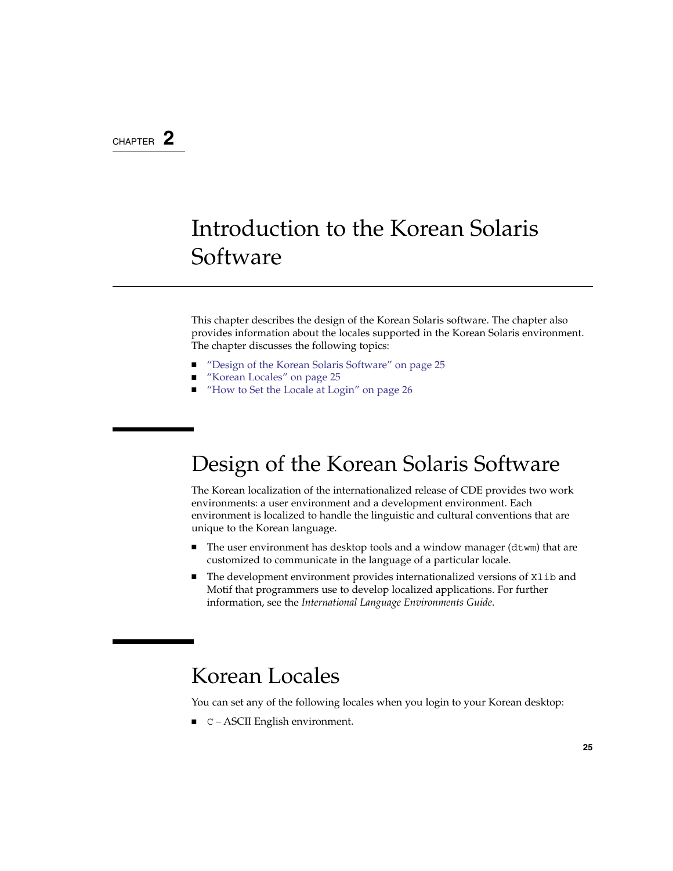### <span id="page-24-0"></span>CHAPTER **2**

# Introduction to the Korean Solaris Software

This chapter describes the design of the Korean Solaris software. The chapter also provides information about the locales supported in the Korean Solaris environment. The chapter discusses the following topics:

- *"*Design of the Korean Solaris Software" on page 25
- "Korean Locales" on page 25
- ["How to Set the Locale at Login"](#page-25-0) on page 26

## Design of the Korean Solaris Software

The Korean localization of the internationalized release of CDE provides two work environments: a user environment and a development environment. Each environment is localized to handle the linguistic and cultural conventions that are unique to the Korean language.

- The user environment has desktop tools and a window manager (dtwm) that are customized to communicate in the language of a particular locale.
- The development environment provides internationalized versions of Xlib and Motif that programmers use to develop localized applications. For further information, see the *International Language Environments Guide*.

## Korean Locales

You can set any of the following locales when you login to your Korean desktop:

■ C – ASCII English environment.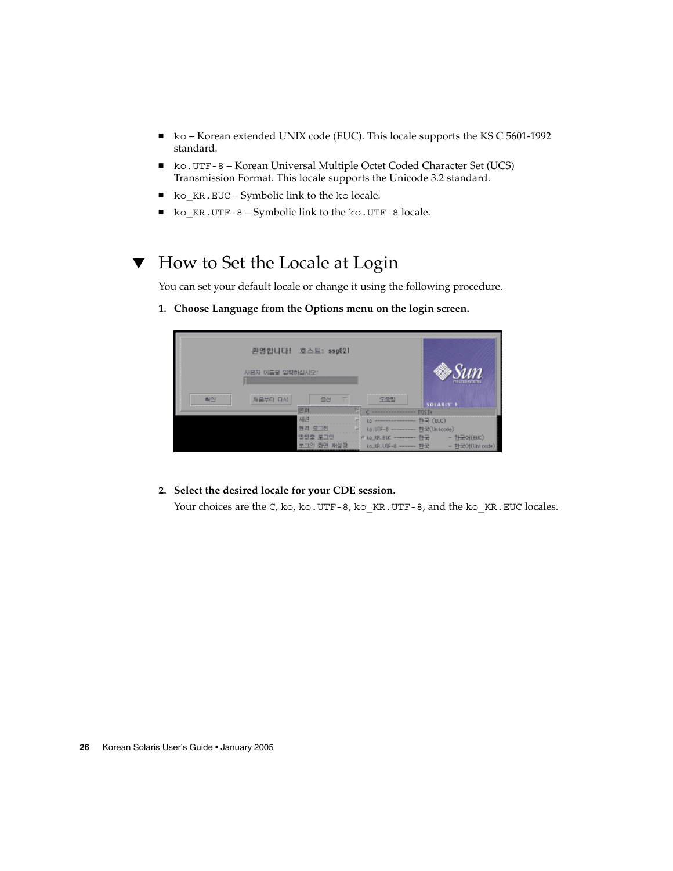- <span id="page-25-0"></span>■ ko – Korean extended UNIX code (EUC). This locale supports the KS C 5601-1992 standard.
- ko. UTF-8 Korean Universal Multiple Octet Coded Character Set (UCS) Transmission Format. This locale supports the Unicode 3.2 standard.
- ko\_KR.EUC Symbolic link to the ko locale.
- ko\_KR.UTF-8 Symbolic link to the ko.UTF-8 locale.

### ▼ How to Set the Locale at Login

You can set your default locale or change it using the following procedure.

**1. Choose Language from the Options menu on the login screen.**

|                 | 환영합니다! 호스트: ssg021                    |                                                                                                                          |                             |
|-----------------|---------------------------------------|--------------------------------------------------------------------------------------------------------------------------|-----------------------------|
| 시용자 이동물 입필하십시오: |                                       |                                                                                                                          | microsystems                |
| 처음부터 다시<br>하인   | 島姓<br>MМ                              | 学品型<br>----------------- BOSIN                                                                                           | SOLARIS 9                   |
|                 | 재선<br>興召 루그의<br>명령오 도그인<br>뽀그인 화면 재설정 | kg ------------------ BI-2 (B.C)<br>kg.UTF-8 ---------- 한국(Unicode)<br># ka_KR.EMC -------- 한국<br>kg_MR_UTF-8 ------- 한국 | - 한국어(ELC)<br>- 한국어(Unicode |

**2. Select the desired locale for your CDE session.**

Your choices are the C, ko, ko. UTF-8, ko\_KR.UTF-8, and the ko\_KR.EUC locales.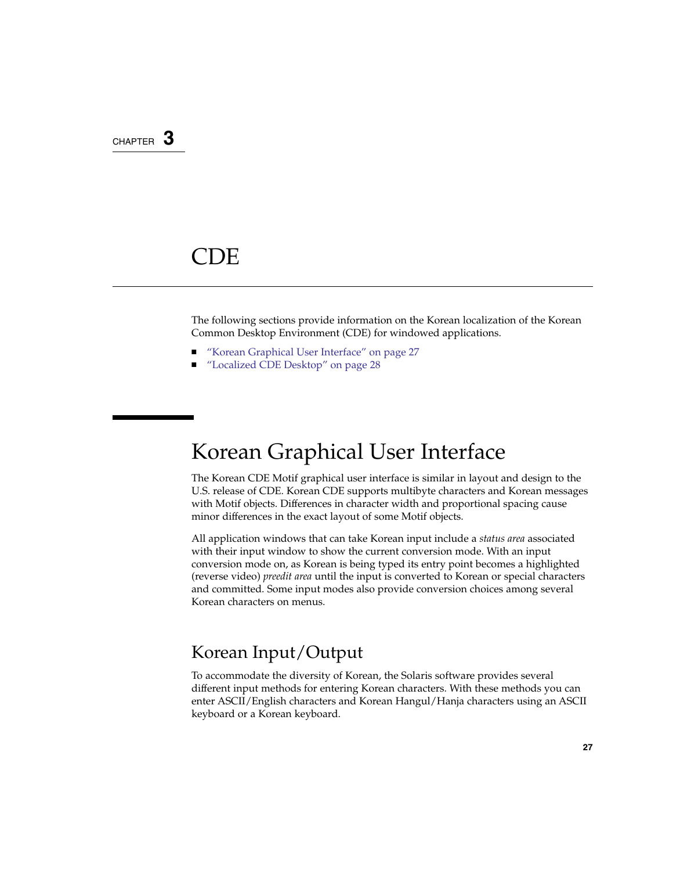<span id="page-26-0"></span>CHAPTER **3**

# CDE

The following sections provide information on the Korean localization of the Korean Common Desktop Environment (CDE) for windowed applications.

- "Korean Graphical User Interface" on page 27
- *["Localized CDE Desktop"](#page-27-0)* on page 28

## Korean Graphical User Interface

The Korean CDE Motif graphical user interface is similar in layout and design to the U.S. release of CDE. Korean CDE supports multibyte characters and Korean messages with Motif objects. Differences in character width and proportional spacing cause minor differences in the exact layout of some Motif objects.

All application windows that can take Korean input include a *status area* associated with their input window to show the current conversion mode. With an input conversion mode on, as Korean is being typed its entry point becomes a highlighted (reverse video) *preedit area* until the input is converted to Korean or special characters and committed. Some input modes also provide conversion choices among several Korean characters on menus.

### Korean Input/Output

To accommodate the diversity of Korean, the Solaris software provides several different input methods for entering Korean characters. With these methods you can enter ASCII/English characters and Korean Hangul/Hanja characters using an ASCII keyboard or a Korean keyboard.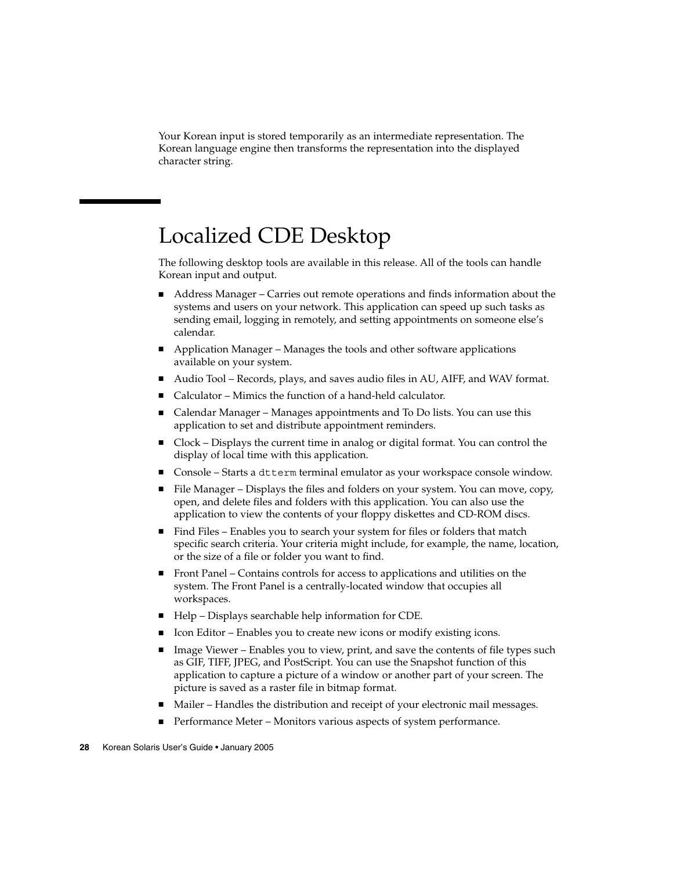<span id="page-27-0"></span>Your Korean input is stored temporarily as an intermediate representation. The Korean language engine then transforms the representation into the displayed character string.

## Localized CDE Desktop

The following desktop tools are available in this release. All of the tools can handle Korean input and output.

- Address Manager Carries out remote operations and finds information about the systems and users on your network. This application can speed up such tasks as sending email, logging in remotely, and setting appointments on someone else's calendar.
- Application Manager Manages the tools and other software applications available on your system.
- Audio Tool Records, plays, and saves audio files in AU, AIFF, and WAV format.
- Calculator Mimics the function of a hand-held calculator.
- Calendar Manager Manages appointments and To Do lists. You can use this application to set and distribute appointment reminders.
- Clock Displays the current time in analog or digital format. You can control the display of local time with this application.
- Console Starts a dtterm terminal emulator as your workspace console window.
- File Manager Displays the files and folders on your system. You can move, copy, open, and delete files and folders with this application. You can also use the application to view the contents of your floppy diskettes and CD-ROM discs.
- Find Files Enables you to search your system for files or folders that match specific search criteria. Your criteria might include, for example, the name, location, or the size of a file or folder you want to find.
- Front Panel Contains controls for access to applications and utilities on the system. The Front Panel is a centrally-located window that occupies all workspaces.
- Help Displays searchable help information for CDE.
- Icon Editor Enables you to create new icons or modify existing icons.
- Image Viewer Enables you to view, print, and save the contents of file types such as GIF, TIFF, JPEG, and PostScript. You can use the Snapshot function of this application to capture a picture of a window or another part of your screen. The picture is saved as a raster file in bitmap format.
- Mailer Handles the distribution and receipt of your electronic mail messages.
- Performance Meter Monitors various aspects of system performance.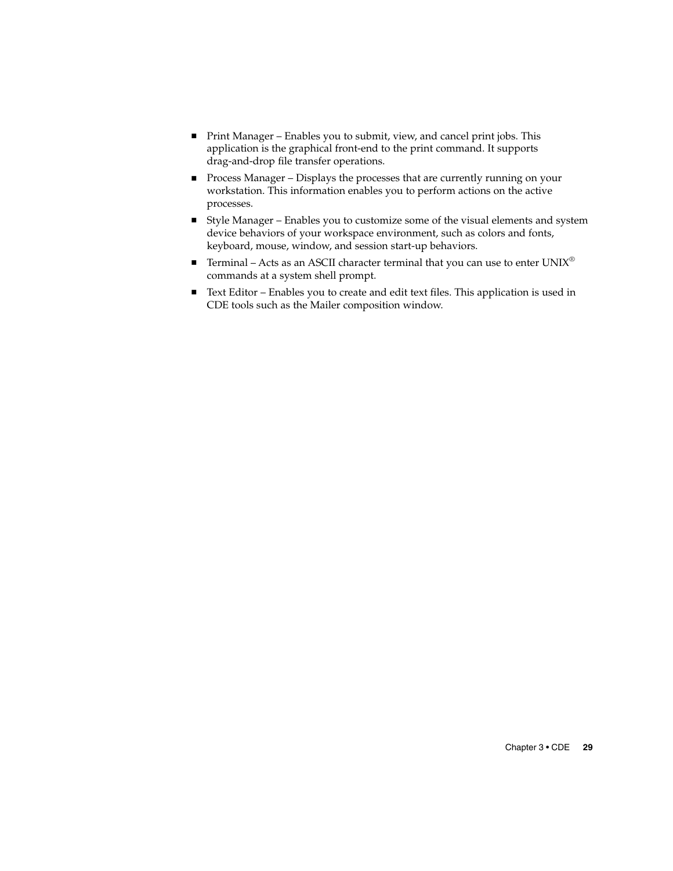- Print Manager Enables you to submit, view, and cancel print jobs. This application is the graphical front-end to the print command. It supports drag-and-drop file transfer operations.
- Process Manager Displays the processes that are currently running on your workstation. This information enables you to perform actions on the active processes.
- Style Manager Enables you to customize some of the visual elements and system device behaviors of your workspace environment, such as colors and fonts, keyboard, mouse, window, and session start-up behaviors.
- **■** Terminal Acts as an ASCII character terminal that you can use to enter  $UNIX^{\circledcirc}$ commands at a system shell prompt.
- Text Editor Enables you to create and edit text files. This application is used in CDE tools such as the Mailer composition window.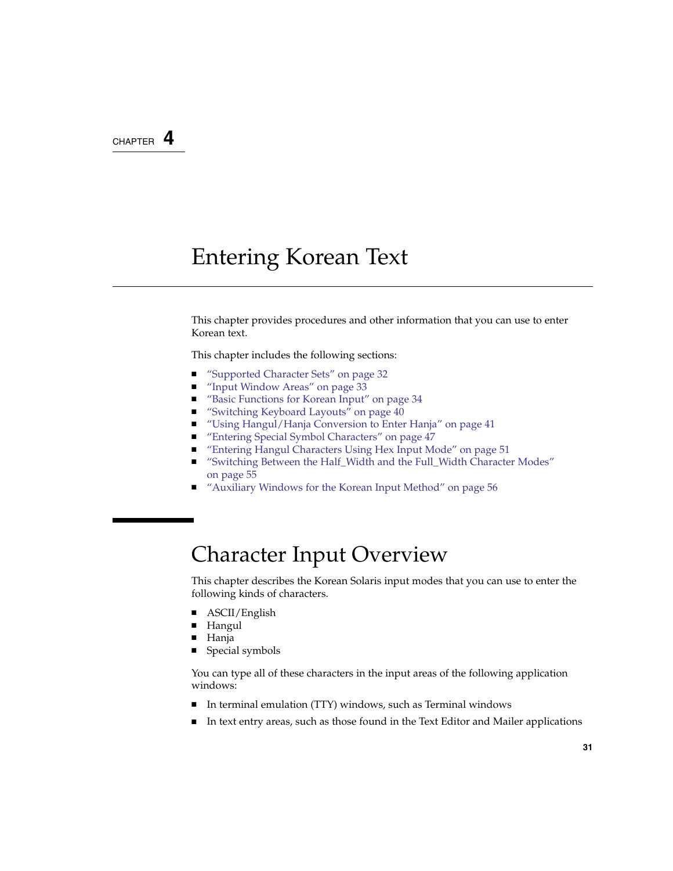### <span id="page-30-0"></span>CHAPTER **4**

## Entering Korean Text

This chapter provides procedures and other information that you can use to enter Korean text.

This chapter includes the following sections:

- ["Supported Character Sets"](#page-31-0) on page 32
- ["Input Window Areas"](#page-32-0) on page 33
- ["Basic Functions for Korean Input"](#page-33-0) on page 34
- ["Switching Keyboard Layouts"](#page-39-0) on page 40
- ["Using Hangul/Hanja Conversion to Enter Hanja"](#page-40-0) on page 41
- ["Entering Special Symbol Characters"](#page-46-0) on page 47
- ["Entering Hangul Characters Using Hex Input Mode"](#page-50-0) on page 51
- ["Switching Between the Half\\_Width and the Full\\_Width Character Modes"](#page-54-0) [on page 55](#page-54-0)
- ["Auxiliary Windows for the Korean Input Method"](#page-55-0) on page 56

# Character Input Overview

This chapter describes the Korean Solaris input modes that you can use to enter the following kinds of characters.

- ASCII/English
- Hangul
- Hanja
- Special symbols

You can type all of these characters in the input areas of the following application windows:

- In terminal emulation (TTY) windows, such as Terminal windows
- In text entry areas, such as those found in the Text Editor and Mailer applications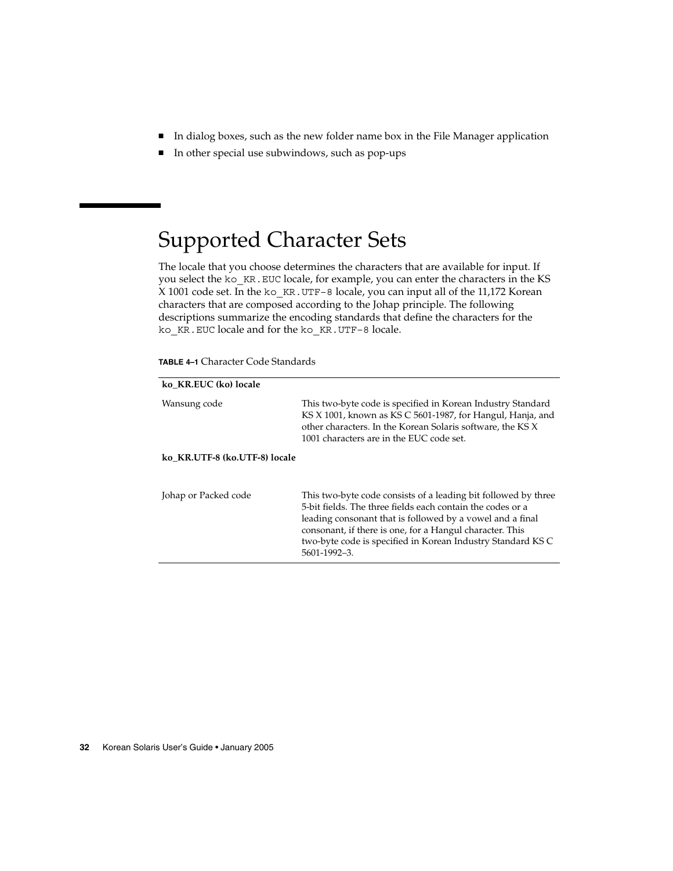- <span id="page-31-0"></span>■ In dialog boxes, such as the new folder name box in the File Manager application
- In other special use subwindows, such as pop-ups

# Supported Character Sets

The locale that you choose determines the characters that are available for input. If you select the ko\_KR.EUC locale, for example, you can enter the characters in the KS X 1001 code set. In the ko\_KR.UTF-8 locale, you can input all of the 11,172 Korean characters that are composed according to the Johap principle. The following descriptions summarize the encoding standards that define the characters for the ko\_KR.EUC locale and for the ko\_KR.UTF–8 locale.

| <b>TABLE 4–1</b> Character Code Standards |  |
|-------------------------------------------|--|
|-------------------------------------------|--|

| ko KR.EUC (ko) locale         |                                                                                                                                                                                                                                                                                                                                      |
|-------------------------------|--------------------------------------------------------------------------------------------------------------------------------------------------------------------------------------------------------------------------------------------------------------------------------------------------------------------------------------|
| Wansung code                  | This two-byte code is specified in Korean Industry Standard<br>KS X 1001, known as KS C 5601-1987, for Hangul, Hanja, and<br>other characters. In the Korean Solaris software, the KS X<br>1001 characters are in the EUC code set.                                                                                                  |
| ko KR.UTF-8 (ko.UTF-8) locale |                                                                                                                                                                                                                                                                                                                                      |
| Johap or Packed code          | This two-byte code consists of a leading bit followed by three<br>5-bit fields. The three fields each contain the codes or a<br>leading consonant that is followed by a vowel and a final<br>consonant, if there is one, for a Hangul character. This<br>two-byte code is specified in Korean Industry Standard KS C<br>5601-1992-3. |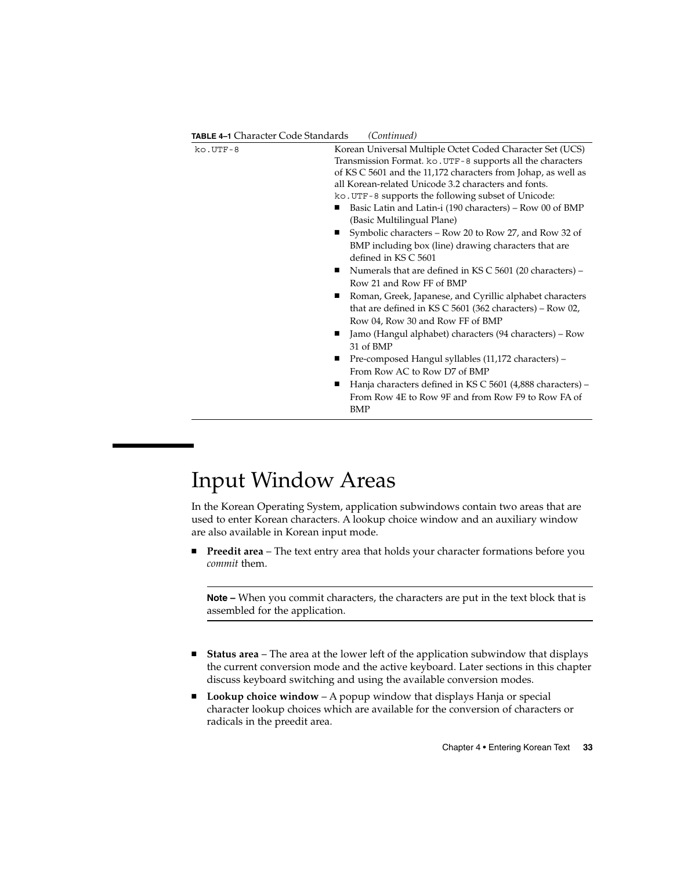<span id="page-32-0"></span>

| <b>TABLE 4-1 Character Code Standards</b> | (Continued)                                                                                                                                                                                                                                                                                                                                                                                                                                                                                                                                                                                                                                                                                                                                                                                                                                                                                                                                                                                                                                                                                                                  |
|-------------------------------------------|------------------------------------------------------------------------------------------------------------------------------------------------------------------------------------------------------------------------------------------------------------------------------------------------------------------------------------------------------------------------------------------------------------------------------------------------------------------------------------------------------------------------------------------------------------------------------------------------------------------------------------------------------------------------------------------------------------------------------------------------------------------------------------------------------------------------------------------------------------------------------------------------------------------------------------------------------------------------------------------------------------------------------------------------------------------------------------------------------------------------------|
| ko.UTF-8                                  | Korean Universal Multiple Octet Coded Character Set (UCS)<br>Transmission Format. ko. UTF-8 supports all the characters<br>of KS C 5601 and the 11,172 characters from Johap, as well as<br>all Korean-related Unicode 3.2 characters and fonts.<br>ko.UTF-8 supports the following subset of Unicode:<br>Basic Latin and Latin-i (190 characters) – Row 00 of BMP<br>(Basic Multilingual Plane)<br>Symbolic characters - Row 20 to Row 27, and Row 32 of<br>BMP including box (line) drawing characters that are<br>defined in KS C 5601<br>Numerals that are defined in KS C 5601 (20 characters) –<br>. .<br>Row 21 and Row FF of BMP<br>Roman, Greek, Japanese, and Cyrillic alphabet characters<br>$\blacksquare$<br>that are defined in KS $C$ 5601 (362 characters) – Row 02,<br>Row 04, Row 30 and Row FF of BMP<br>Jamo (Hangul alphabet) characters (94 characters) – Row<br>31 of BMP<br>Pre-composed Hangul syllables (11,172 characters) –<br>п<br>From Row AC to Row D7 of BMP<br>Hanja characters defined in KS C 5601 (4,888 characters) -<br>п<br>From Row 4E to Row 9F and from Row F9 to Row FA of<br>BMP |
|                                           |                                                                                                                                                                                                                                                                                                                                                                                                                                                                                                                                                                                                                                                                                                                                                                                                                                                                                                                                                                                                                                                                                                                              |

## Input Window Areas

In the Korean Operating System, application subwindows contain two areas that are used to enter Korean characters. A lookup choice window and an auxiliary window are also available in Korean input mode.

■ **Preedit area** – The text entry area that holds your character formations before you *commit* them.

**Note –** When you commit characters, the characters are put in the text block that is assembled for the application.

- **Status area** The area at the lower left of the application subwindow that displays the current conversion mode and the active keyboard. Later sections in this chapter discuss keyboard switching and using the available conversion modes.
- **Lookup choice window** A popup window that displays Hanja or special character lookup choices which are available for the conversion of characters or radicals in the preedit area.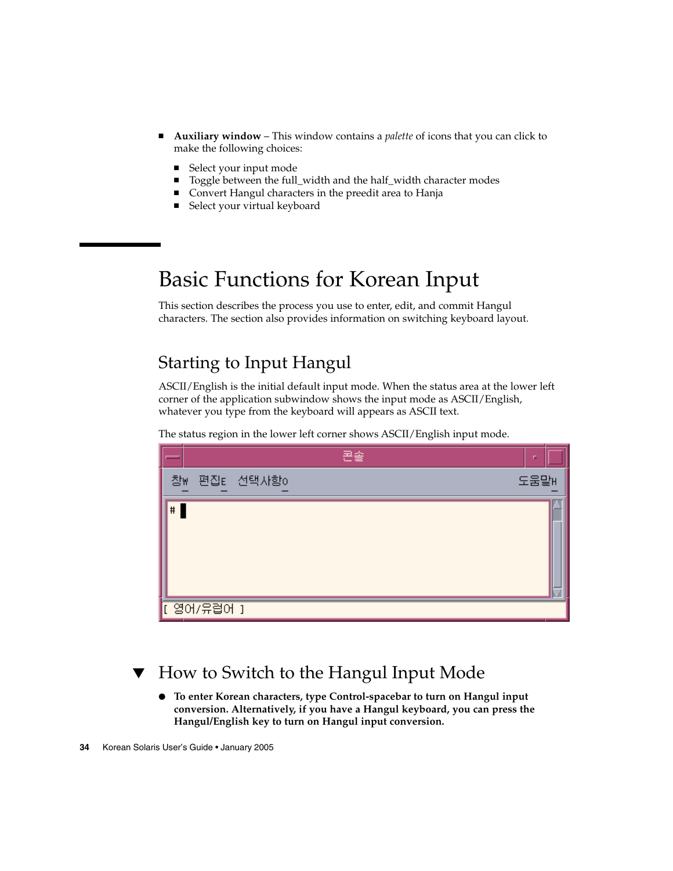- <span id="page-33-0"></span>■ **Auxiliary window** – This window contains a *palette* of icons that you can click to make the following choices:
	- Select your input mode
	- Toggle between the full\_width and the half\_width character modes
	- Convert Hangul characters in the preedit area to Hanja
	- Select your virtual keyboard

## Basic Functions for Korean Input

This section describes the process you use to enter, edit, and commit Hangul characters. The section also provides information on switching keyboard layout.

### Starting to Input Hangul

ASCII/English is the initial default input mode. When the status area at the lower left corner of the application subwindow shows the input mode as ASCII/English, whatever you type from the keyboard will appears as ASCII text.

The status region in the lower left corner shows ASCII/English input mode.



### How to Switch to the Hangul Input Mode

● **To enter Korean characters, type Control-spacebar to turn on Hangul input conversion. Alternatively, if you have a Hangul keyboard, you can press the Hangul/English key to turn on Hangul input conversion.**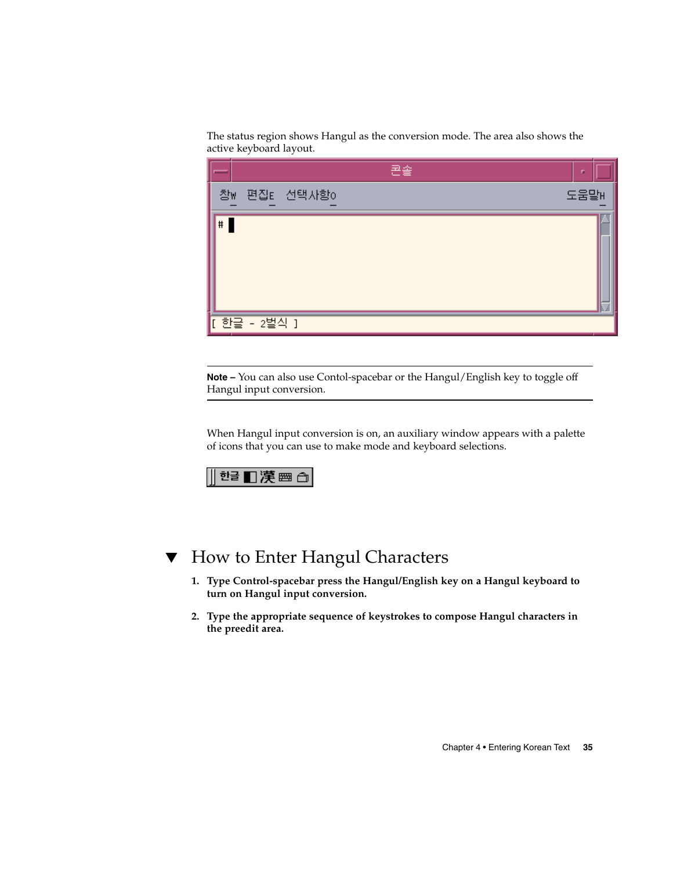<span id="page-34-0"></span>The status region shows Hangul as the conversion mode. The area also shows the active keyboard layout.

|            |              |           | 콘솔 |  | P.  |  |
|------------|--------------|-----------|----|--|-----|--|
| 창w         |              | 편집E 선택사항O |    |  | 도움말 |  |
| $\sqrt{ }$ |              |           |    |  |     |  |
|            | ┃ 한글 - 2벌식 ] |           |    |  |     |  |

**Note –** You can also use Contol-spacebar or the Hangul/English key to toggle off Hangul input conversion.

When Hangul input conversion is on, an auxiliary window appears with a palette of icons that you can use to make mode and keyboard selections.



### ▼ How to Enter Hangul Characters

- **1. Type Control-spacebar press the Hangul/English key on a Hangul keyboard to turn on Hangul input conversion.**
- **2. Type the appropriate sequence of keystrokes to compose Hangul characters in the preedit area.**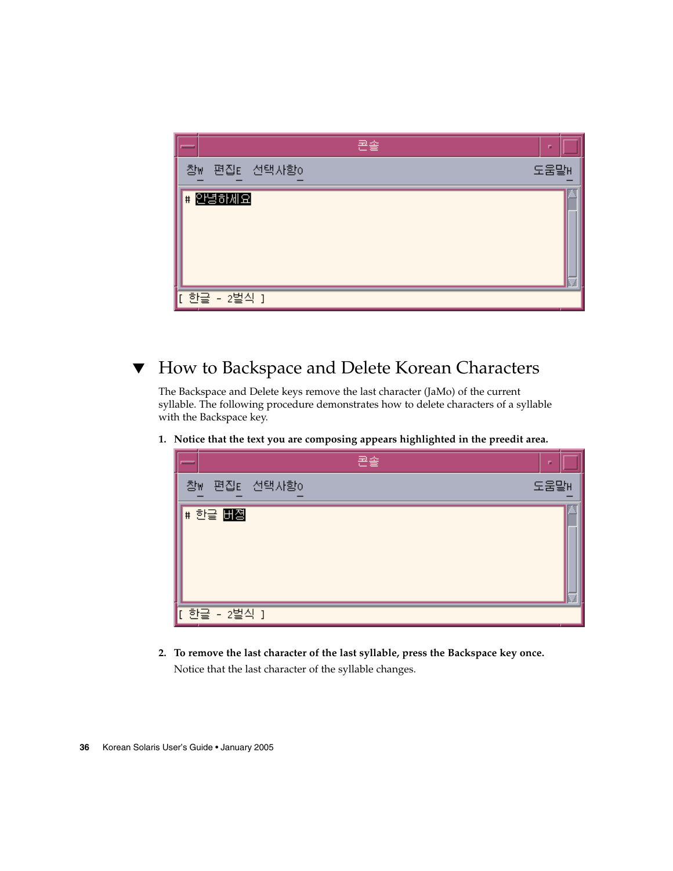<span id="page-35-0"></span>

### ▼ How to Backspace and Delete Korean Characters

The Backspace and Delete keys remove the last character (JaMo) of the current syllable. The following procedure demonstrates how to delete characters of a syllable with the Backspace key.

**1. Notice that the text you are composing appears highlighted in the preedit area.**



**2. To remove the last character of the last syllable, press the Backspace key once.** Notice that the last character of the syllable changes.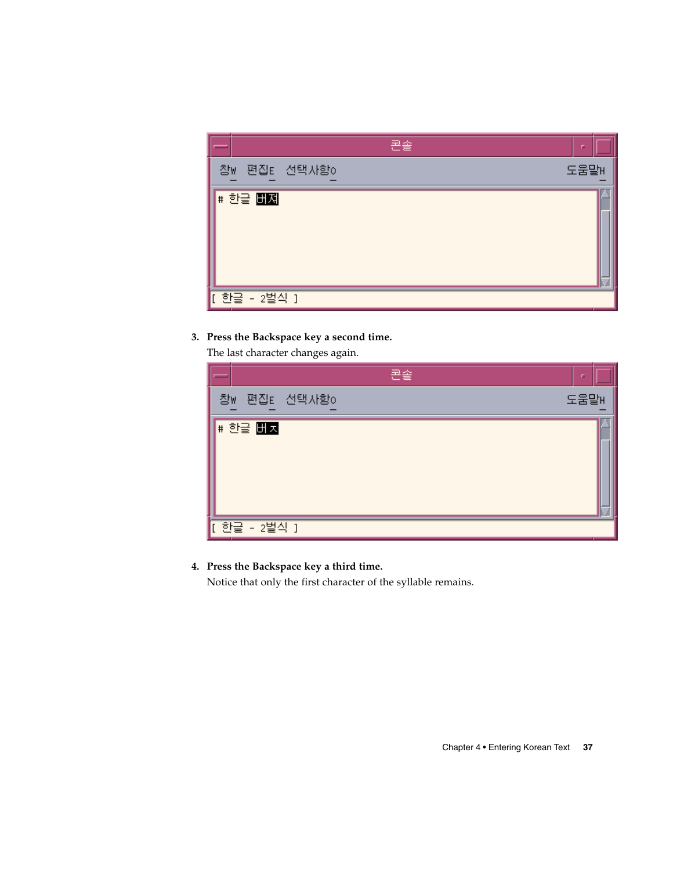| $\overline{\phantom{0}}$ | 콘솔                   | п   |
|--------------------------|----------------------|-----|
| 창w                       | 편집E 선택사항O            | 도움말 |
|                          | <mark>⋕ 한글 베져</mark> |     |
|                          | [ 한글 - 2벌식 ]         |     |

**3. Press the Backspace key a second time.**

The last character changes again.

| 콘솔<br>$\overline{\phantom{0}}$ | D.  |
|--------------------------------|-----|
| 창W<br>-편집E 선택사항o               | 비물로 |
| <mark>⋕ 한글 베치</mark>           |     |
| [ 한글 - 2벌식 ]                   |     |

**4. Press the Backspace key a third time.**

Notice that only the first character of the syllable remains.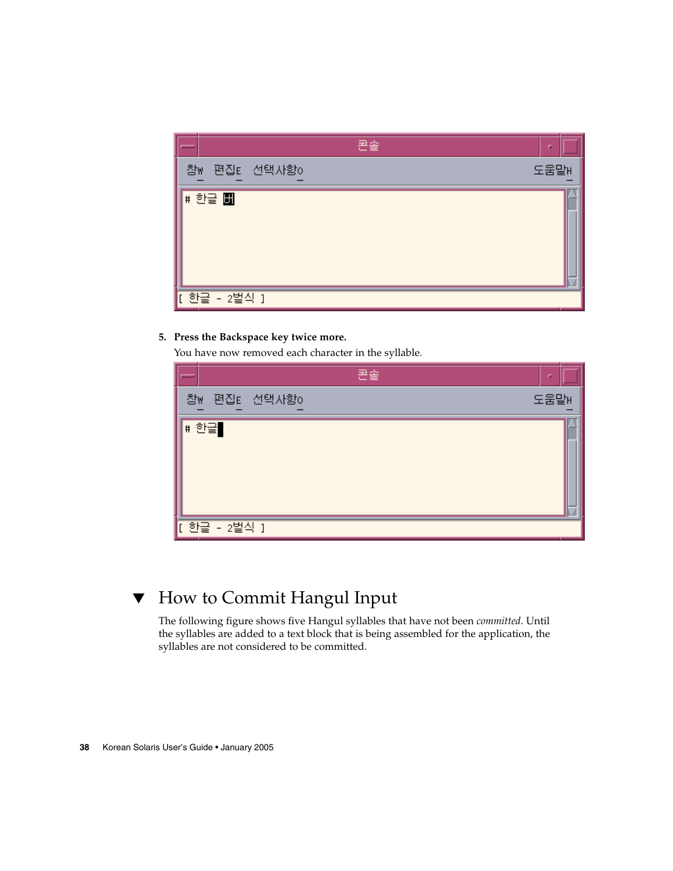| 콘솔                 | п   |
|--------------------|-----|
| 창w<br>편집E<br>선택사항o | 도움말 |
| ▌ 한글 圓             |     |
| [ 한글 – 2벌식 ]       |     |

#### **5. Press the Backspace key twice more.**

You have now removed each character in the syllable.

| 콘솔              | P.  |
|-----------------|-----|
| 편집E 선택사항O<br>창W | 도움말 |
| ▌ 한글            | œ   |
| [ 한글 - 2벌식 ]    |     |



### ▼ How to Commit Hangul Input

The following figure shows five Hangul syllables that have not been *committed*. Until the syllables are added to a text block that is being assembled for the application, the syllables are not considered to be committed.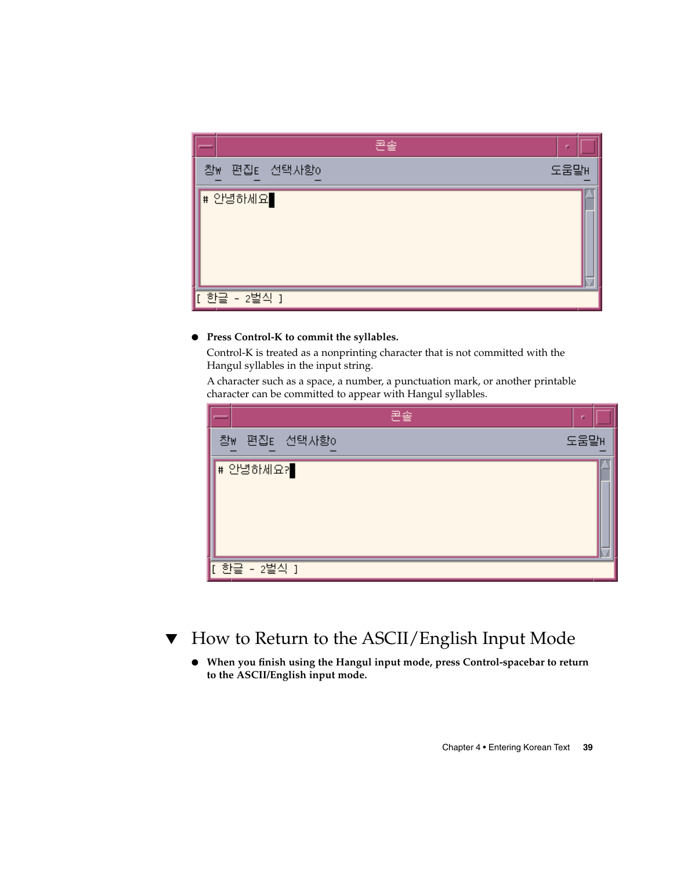| $\overline{\phantom{a}}$ | 콘솔 | P.  |
|--------------------------|----|-----|
| 편집E 선택사항O<br>창변          |    | 비울로 |
| ▌ 안녕하세요▌                 |    |     |
| [ 한글 - 2벌식 ]             |    |     |

#### ● **Press Control-K to commit the syllables.**

Control-K is treated as a nonprinting character that is not committed with the Hangul syllables in the input string.

A character such as a space, a number, a punctuation mark, or another printable character can be committed to appear with Hangul syllables.

| 콘솔                      | p.  |
|-------------------------|-----|
| 편집E 선택사항O<br>창w         | 비물로 |
| ▌ <mark>⋕ 안녕하세요?</mark> |     |
| [[ 한글 - 2벌식 ]           |     |

#### ▼ How to Return to the ASCII/English Input Mode

● **When you finish using the Hangul input mode, press Control-spacebar to return to the ASCII/English input mode.**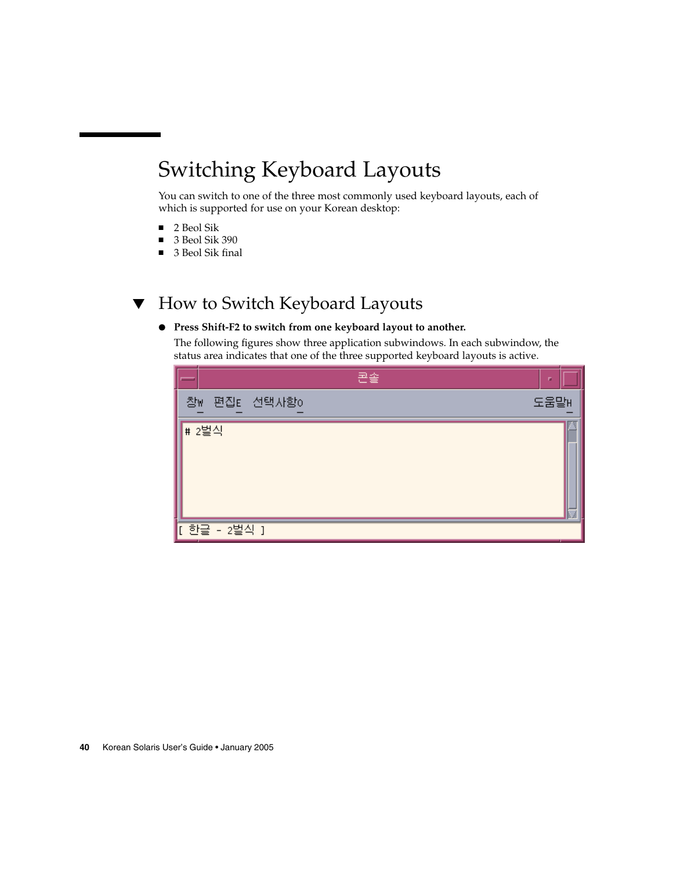# Switching Keyboard Layouts

You can switch to one of the three most commonly used keyboard layouts, each of which is supported for use on your Korean desktop:

- 2 Beol Sik
- 3 Beol Sik 390
- 3 Beol Sik final

#### ▼ How to Switch Keyboard Layouts

#### ● **Press Shift-F2 to switch from one keyboard layout to another.**

The following figures show three application subwindows. In each subwindow, the status area indicates that one of the three supported keyboard layouts is active.

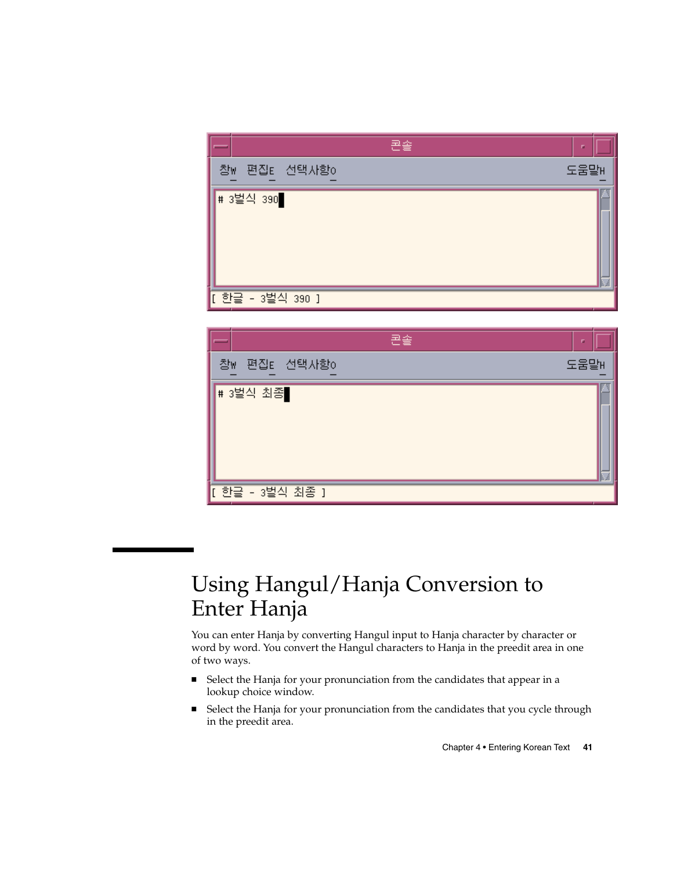<span id="page-40-0"></span>

| $\equiv$ | 콘솔               | P.  |
|----------|------------------|-----|
| 창w       | 편집E 선택사항O        | 도움말 |
|          | # 3벌식 390        |     |
|          | [ 한글 - 3벌식 390 ] |     |



# Using Hangul/Hanja Conversion to Enter Hanja

You can enter Hanja by converting Hangul input to Hanja character by character or word by word. You convert the Hangul characters to Hanja in the preedit area in one of two ways.

- Select the Hanja for your pronunciation from the candidates that appear in a lookup choice window.
- Select the Hanja for your pronunciation from the candidates that you cycle through in the preedit area.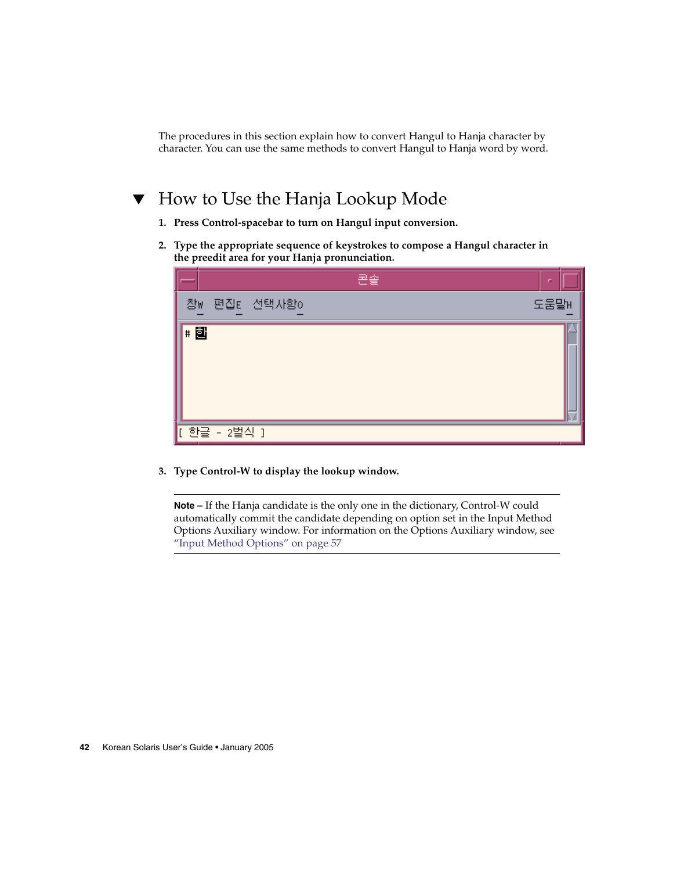The procedures in this section explain how to convert Hangul to Hanja character by character. You can use the same methods to convert Hangul to Hanja word by word.

#### ▼ How to Use the Hanja Lookup Mode

- **1. Press Control-spacebar to turn on Hangul input conversion.**
- **2. Type the appropriate sequence of keystrokes to compose a Hangul character in the preedit area for your Hanja pronunciation.**

|           | 콘솔           | п    |  |
|-----------|--------------|------|--|
| 창w        | 선택사항o<br>편집E | 도움말비 |  |
| <b>19</b> |              |      |  |
|           | 한글 - 2벌식 ]   |      |  |

**3. Type Control-W to display the lookup window.**

**Note –** If the Hanja candidate is the only one in the dictionary, Control-W could automatically commit the candidate depending on option set in the Input Method Options Auxiliary window. For information on the Options Auxiliary window, see ["Input Method Options"](#page-56-0) on page 57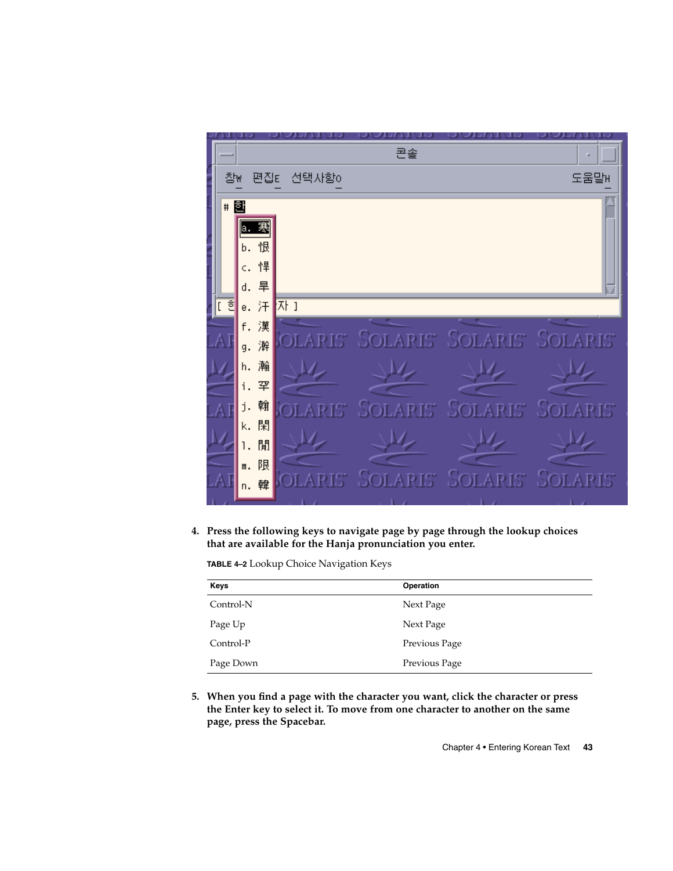

**4. Press the following keys to navigate page by page through the lookup choices that are available for the Hanja pronunciation you enter.**

| <b>Keys</b> | Operation     |
|-------------|---------------|
| Control-N   | Next Page     |
| Page Up     | Next Page     |
| Control-P   | Previous Page |
| Page Down   | Previous Page |

**TABLE 4–2** Lookup Choice Navigation Keys

**5. When you find a page with the character you want, click the character or press the Enter key to select it. To move from one character to another on the same page, press the Spacebar.**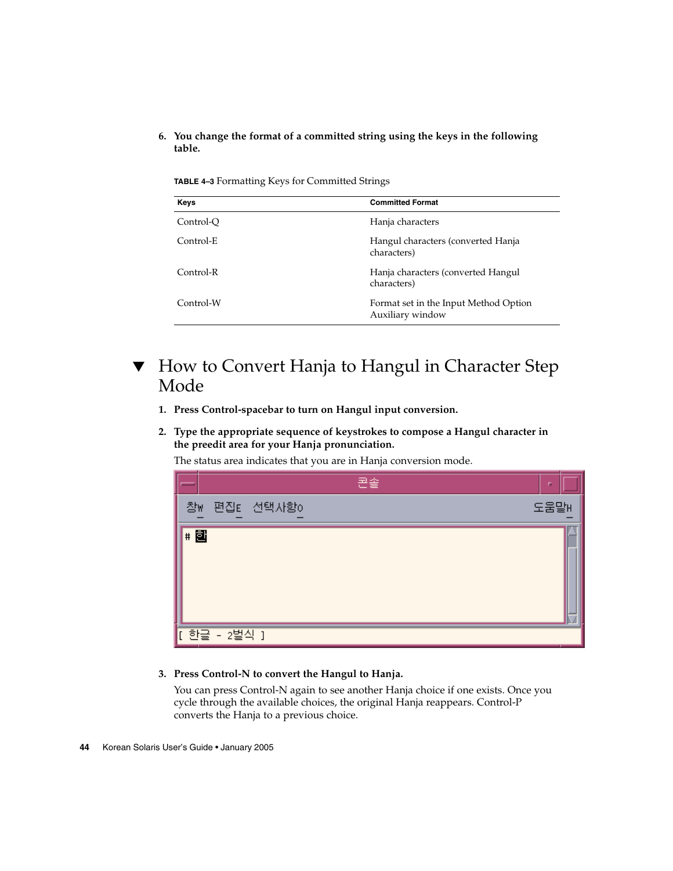**6. You change the format of a committed string using the keys in the following table.**

**TABLE 4–3** Formatting Keys for Committed Strings

| Keys      | <b>Committed Format</b>                                   |
|-----------|-----------------------------------------------------------|
| Control-O | Hanja characters                                          |
| Control-E | Hangul characters (converted Hanja<br>characters)         |
| Control-R | Hanja characters (converted Hangul<br>characters)         |
| Control-W | Format set in the Input Method Option<br>Auxiliary window |

#### ▼ How to Convert Hanja to Hangul in Character Step Mode

- **1. Press Control-spacebar to turn on Hangul input conversion.**
- **2. Type the appropriate sequence of keystrokes to compose a Hangul character in the preedit area for your Hanja pronunciation.**

The status area indicates that you are in Hanja conversion mode.



#### **3. Press Control-N to convert the Hangul to Hanja.**

You can press Control-N again to see another Hanja choice if one exists. Once you cycle through the available choices, the original Hanja reappears. Control-P converts the Hanja to a previous choice.

**<sup>44</sup>** Korean Solaris User's Guide • January 2005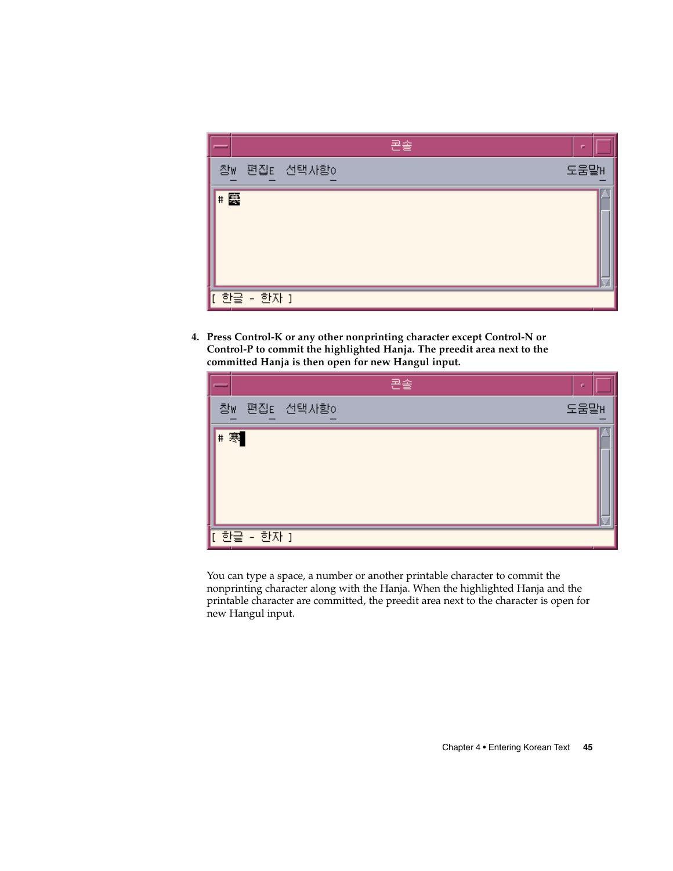| 콘솔<br>$\equiv$    | P.   |
|-------------------|------|
| 창w<br>편집E 선택사항O   | 보물말비 |
| # 裹               |      |
| [ 한글 - 한자 ]<br>-- |      |

**4. Press Control-K or any other nonprinting character except Control-N or Control-P to commit the highlighted Hanja. The preedit area next to the committed Hanja is then open for new Hangul input.**

| _           | 콘솔        | P.  |
|-------------|-----------|-----|
| 창w          | 편집E 선택사항O | 도움말 |
| # 寒         |           |     |
| [ 한글 - 한자 ] |           |     |

You can type a space, a number or another printable character to commit the nonprinting character along with the Hanja. When the highlighted Hanja and the printable character are committed, the preedit area next to the character is open for new Hangul input.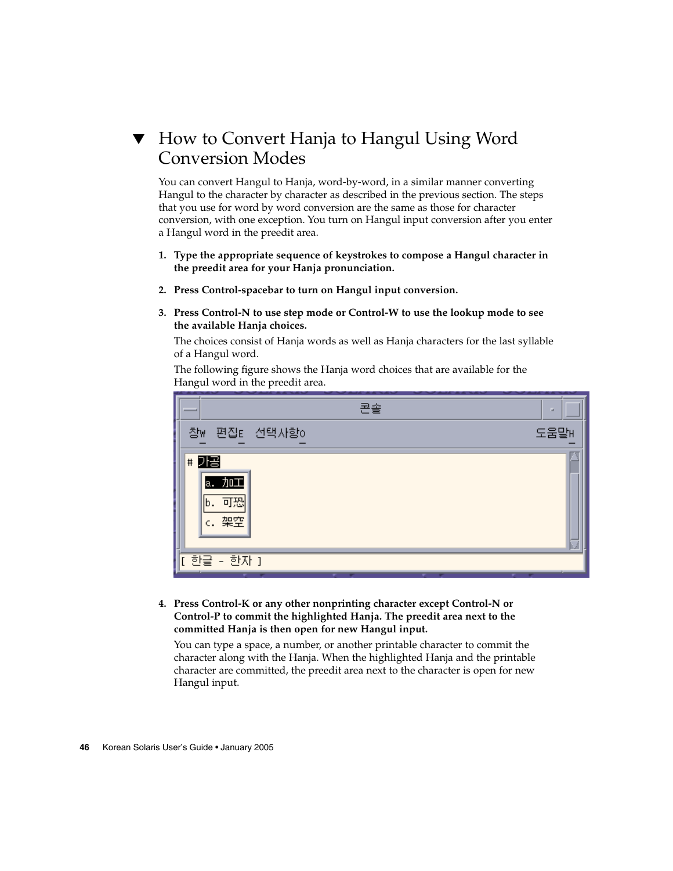#### ▼ How to Convert Hanja to Hangul Using Word Conversion Modes

You can convert Hangul to Hanja, word-by-word, in a similar manner converting Hangul to the character by character as described in the previous section. The steps that you use for word by word conversion are the same as those for character conversion, with one exception. You turn on Hangul input conversion after you enter a Hangul word in the preedit area.

- **1. Type the appropriate sequence of keystrokes to compose a Hangul character in the preedit area for your Hanja pronunciation.**
- **2. Press Control-spacebar to turn on Hangul input conversion.**
- **3. Press Control-N to use step mode or Control-W to use the lookup mode to see the available Hanja choices.**

The choices consist of Hanja words as well as Hanja characters for the last syllable of a Hangul word.

The following figure shows the Hanja word choices that are available for the Hangul word in the preedit area.



**4. Press Control-K or any other nonprinting character except Control-N or Control-P to commit the highlighted Hanja. The preedit area next to the committed Hanja is then open for new Hangul input.**

You can type a space, a number, or another printable character to commit the character along with the Hanja. When the highlighted Hanja and the printable character are committed, the preedit area next to the character is open for new Hangul input.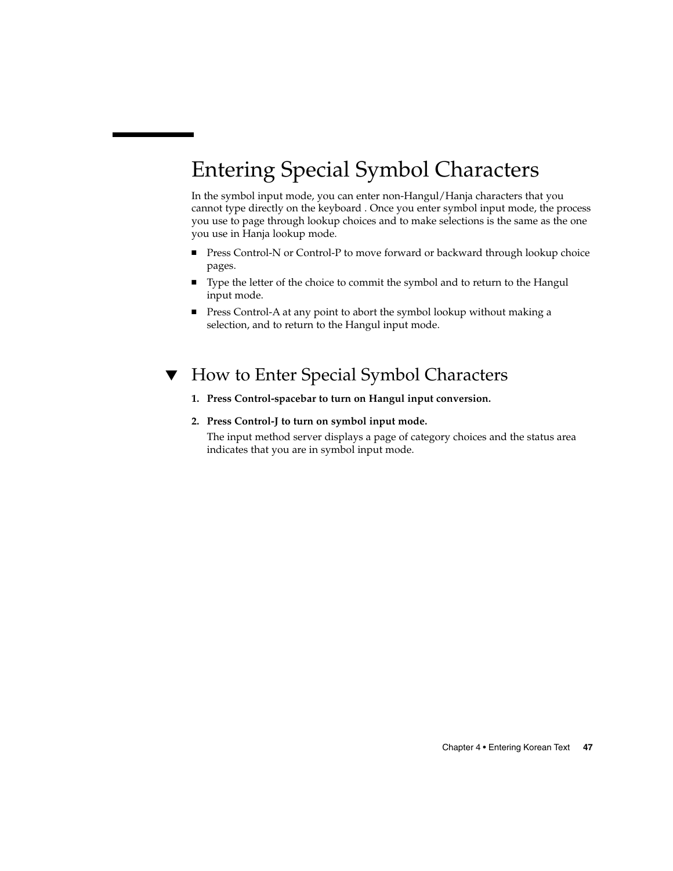# Entering Special Symbol Characters

In the symbol input mode, you can enter non-Hangul/Hanja characters that you cannot type directly on the keyboard . Once you enter symbol input mode, the process you use to page through lookup choices and to make selections is the same as the one you use in Hanja lookup mode.

- Press Control-N or Control-P to move forward or backward through lookup choice pages.
- Type the letter of the choice to commit the symbol and to return to the Hangul input mode.
- Press Control-A at any point to abort the symbol lookup without making a selection, and to return to the Hangul input mode.

#### ▼ How to Enter Special Symbol Characters

- **1. Press Control-spacebar to turn on Hangul input conversion.**
- **2. Press Control-J to turn on symbol input mode.**

The input method server displays a page of category choices and the status area indicates that you are in symbol input mode.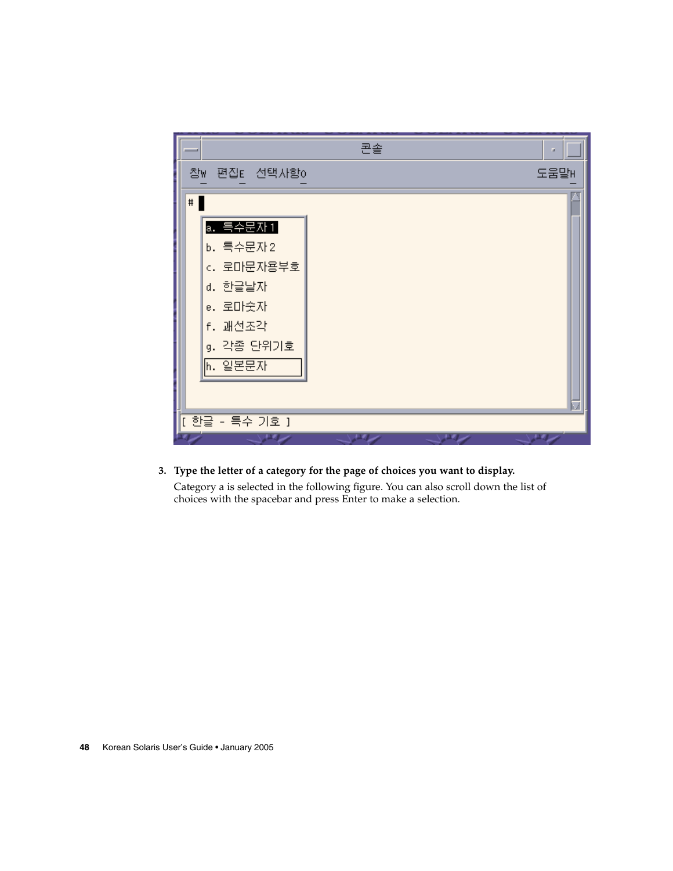

**3. Type the letter of a category for the page of choices you want to display.** Category a is selected in the following figure. You can also scroll down the list of choices with the spacebar and press Enter to make a selection.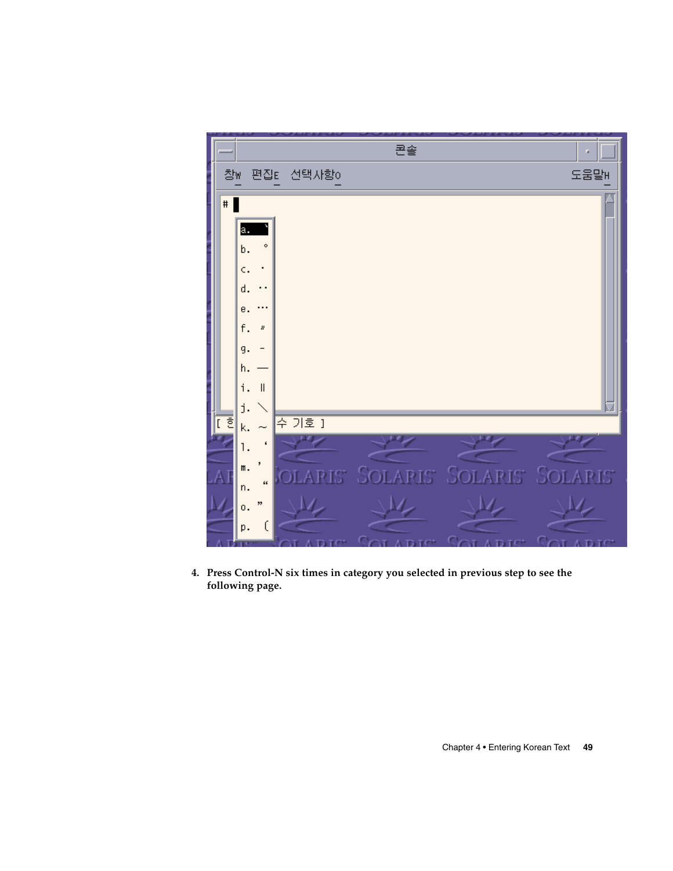

**4. Press Control-N six times in category you selected in previous step to see the following page.**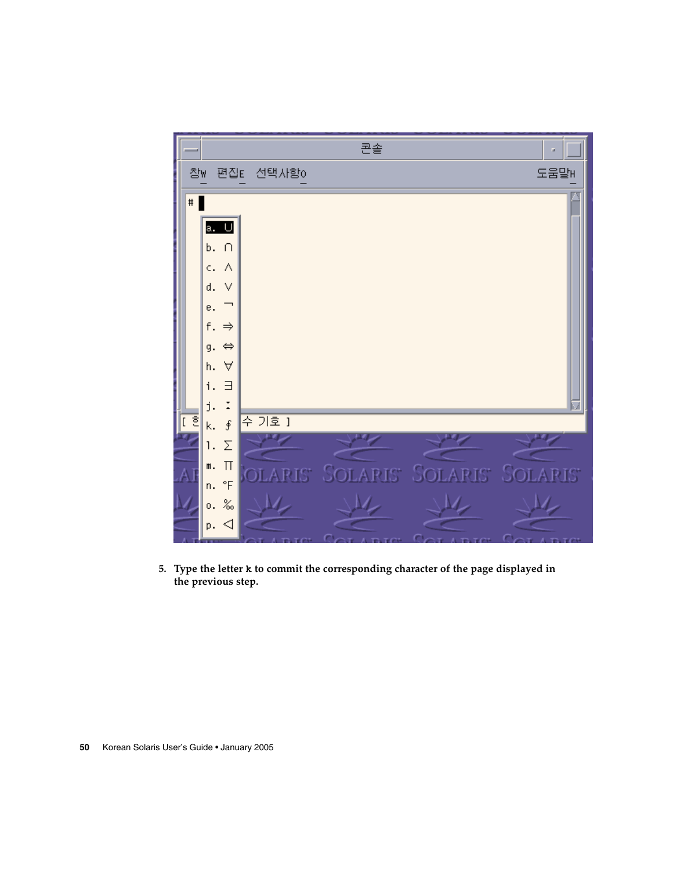

**5. Type the letter k to commit the corresponding character of the page displayed in the previous step.**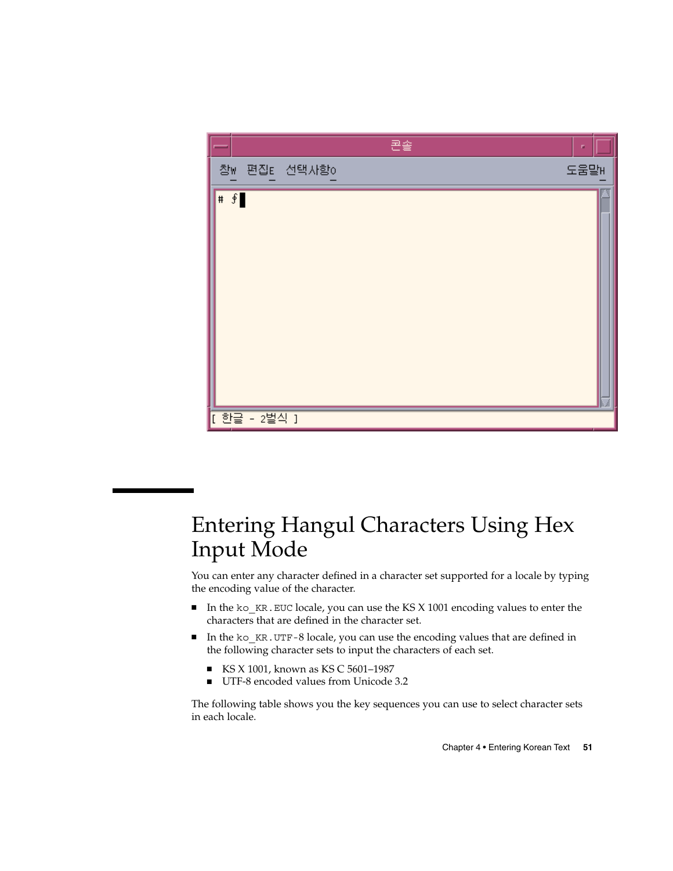

# Entering Hangul Characters Using Hex Input Mode

You can enter any character defined in a character set supported for a locale by typing the encoding value of the character.

- In the ko\_KR. EUC locale, you can use the KS X 1001 encoding values to enter the characters that are defined in the character set.
- In the ko\_KR.UTF-8 locale, you can use the encoding values that are defined in the following character sets to input the characters of each set.
	- KS X 1001, known as KS C 5601-1987
	- UTF-8 encoded values from Unicode 3.2

The following table shows you the key sequences you can use to select character sets in each locale.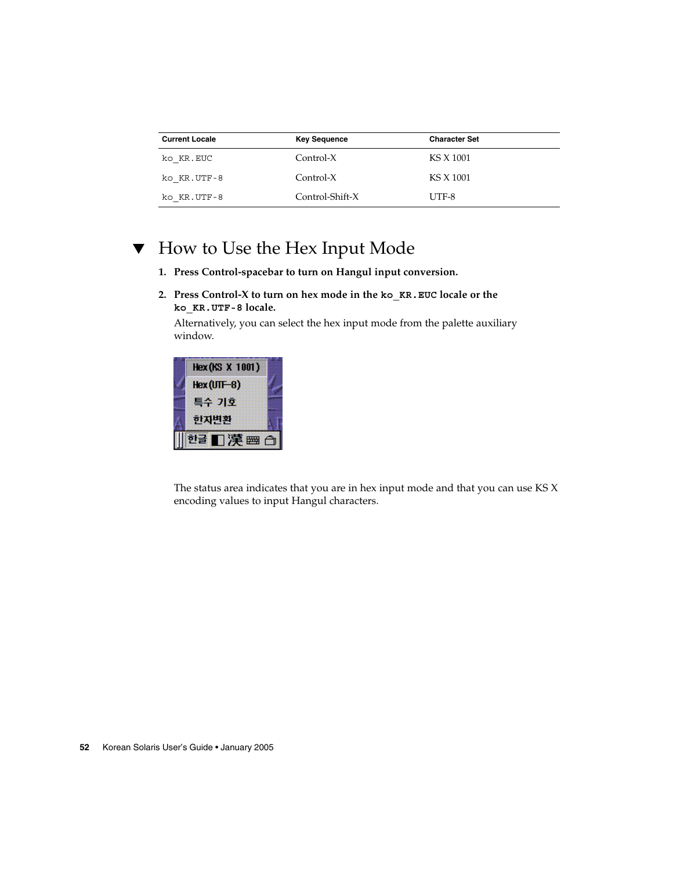| <b>Current Locale</b> | <b>Key Sequence</b> | <b>Character Set</b> |
|-----------------------|---------------------|----------------------|
| ko KR.EUC             | $Control-X$         | KS X 1001            |
| ko KR.UTF-8           | $Control-X$         | KS X 1001            |
| ko KR.UTF-8           | $Control-Shift-X$   | UTF-8                |

## ▼ How to Use the Hex Input Mode

- **1. Press Control-spacebar to turn on Hangul input conversion.**
- **2. Press Control-X to turn on hex mode in the ko\_KR.EUC locale or the ko\_KR.UTF-8 locale.**

Alternatively, you can select the hex input mode from the palette auxiliary window.

| Hex (KS X 1001) |  |
|-----------------|--|
| $Hex(UTF-8)$    |  |
| 특수 기호           |  |
| 한자변환            |  |
| 한글■漢■උ          |  |

The status area indicates that you are in hex input mode and that you can use KS X encoding values to input Hangul characters.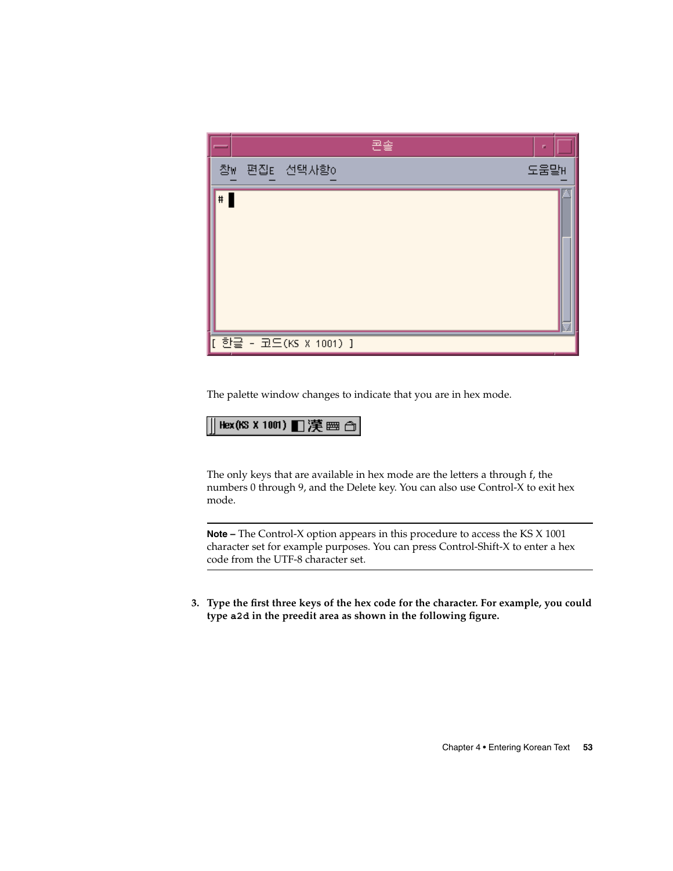

The palette window changes to indicate that you are in hex mode.

| ∭Hex(KS X 1001) ■漢  ■ 合 |  |
|-------------------------|--|
|-------------------------|--|

The only keys that are available in hex mode are the letters a through f, the numbers 0 through 9, and the Delete key. You can also use Control-X to exit hex mode.

**Note –** The Control-X option appears in this procedure to access the KS X 1001 character set for example purposes. You can press Control-Shift-X to enter a hex code from the UTF-8 character set.

**3. Type the first three keys of the hex code for the character. For example, you could type a2d in the preedit area as shown in the following figure.**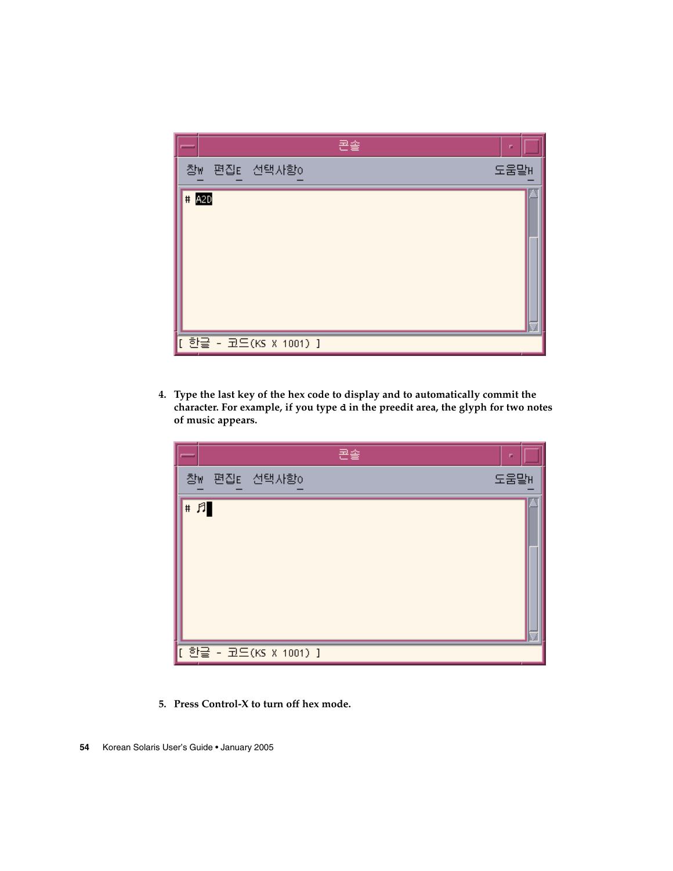

**4. Type the last key of the hex code to display and to automatically commit the character. For example, if you type d in the preedit area, the glyph for two notes of music appears.**



**5. Press Control-X to turn off hex mode.**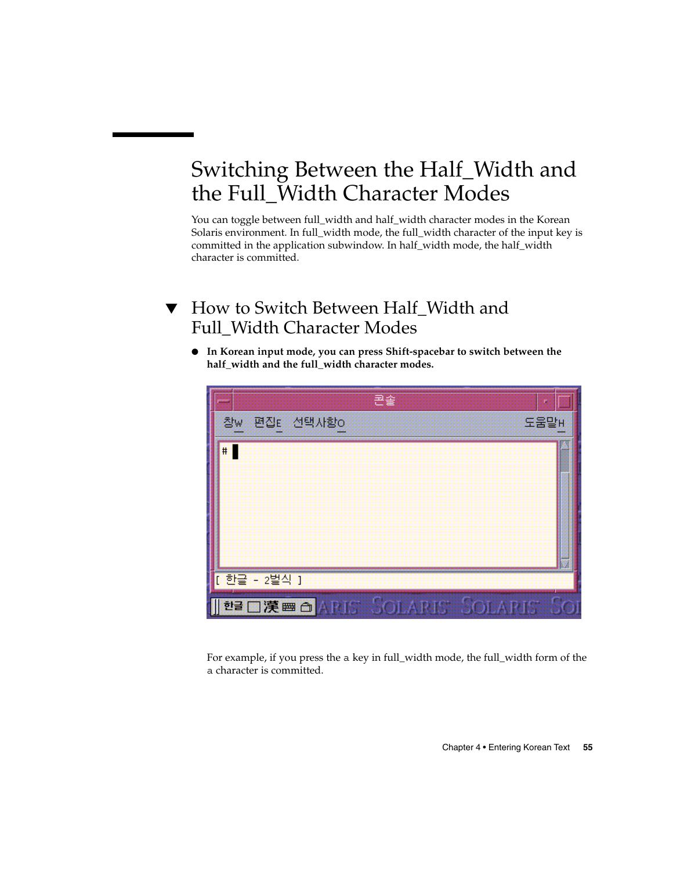## Switching Between the Half\_Width and the Full\_Width Character Modes

You can toggle between full\_width and half\_width character modes in the Korean Solaris environment. In full\_width mode, the full\_width character of the input key is committed in the application subwindow. In half\_width mode, the half\_width character is committed.

#### ▼ How to Switch Between Half\_Width and Full\_Width Character Modes

● **In Korean input mode, you can press Shift-spacebar to switch between the half\_width and the full\_width character modes.**



For example, if you press the a key in full\_width mode, the full\_width form of the a character is committed.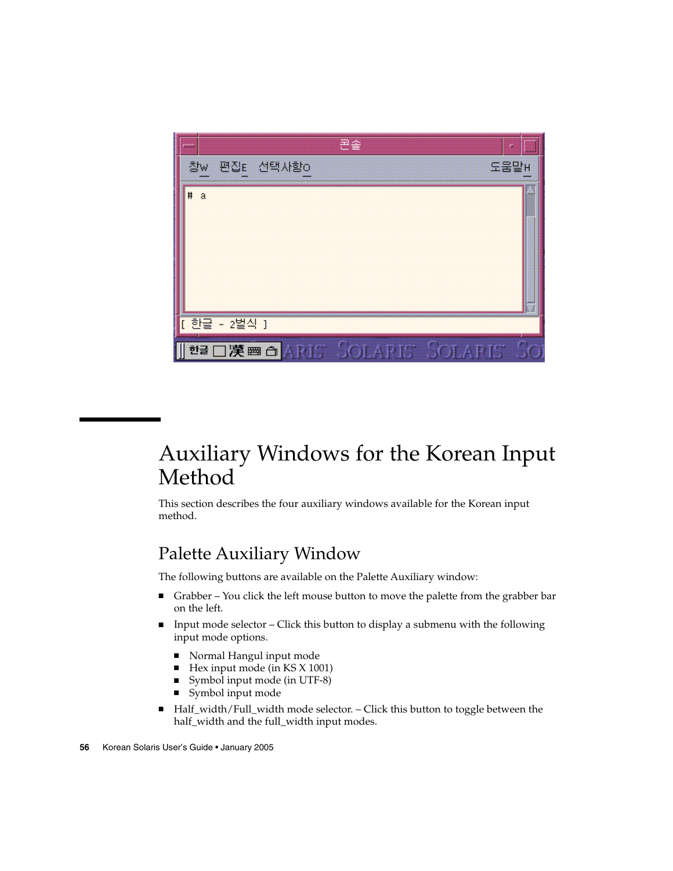

## Auxiliary Windows for the Korean Input Method

This section describes the four auxiliary windows available for the Korean input method.

## Palette Auxiliary Window

The following buttons are available on the Palette Auxiliary window:

- Grabber You click the left mouse button to move the palette from the grabber bar on the left.
- Input mode selector Click this button to display a submenu with the following input mode options.
	- Normal Hangul input mode
	- Hex input mode (in KS X 1001)
	- Symbol input mode (in UTF-8)
	- Symbol input mode
- Half\_width/Full\_width mode selector. Click this button to toggle between the half\_width and the full\_width input modes.

**56** Korean Solaris User's Guide • January 2005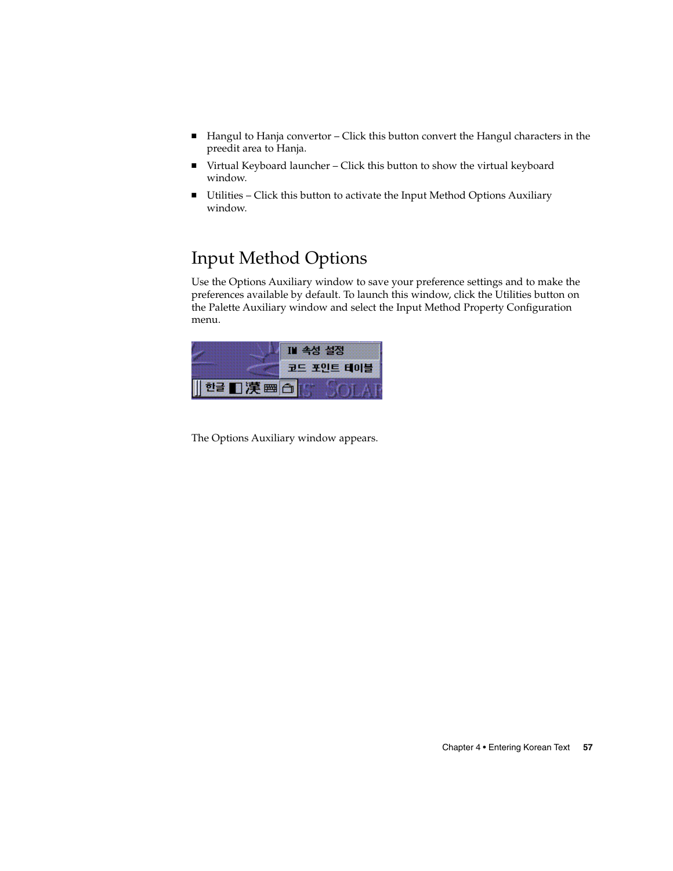- <span id="page-56-0"></span>■ Hangul to Hanja convertor – Click this button convert the Hangul characters in the preedit area to Hanja.
- Virtual Keyboard launcher Click this button to show the virtual keyboard window.
- Utilities Click this button to activate the Input Method Options Auxiliary window.

#### Input Method Options

Use the Options Auxiliary window to save your preference settings and to make the preferences available by default. To launch this window, click the Utilities button on the Palette Auxiliary window and select the Input Method Property Configuration menu.

|       | Ⅱ 속성 설정    |
|-------|------------|
|       | 코드 포인트 테이블 |
| 한글口漢圖 |            |

The Options Auxiliary window appears.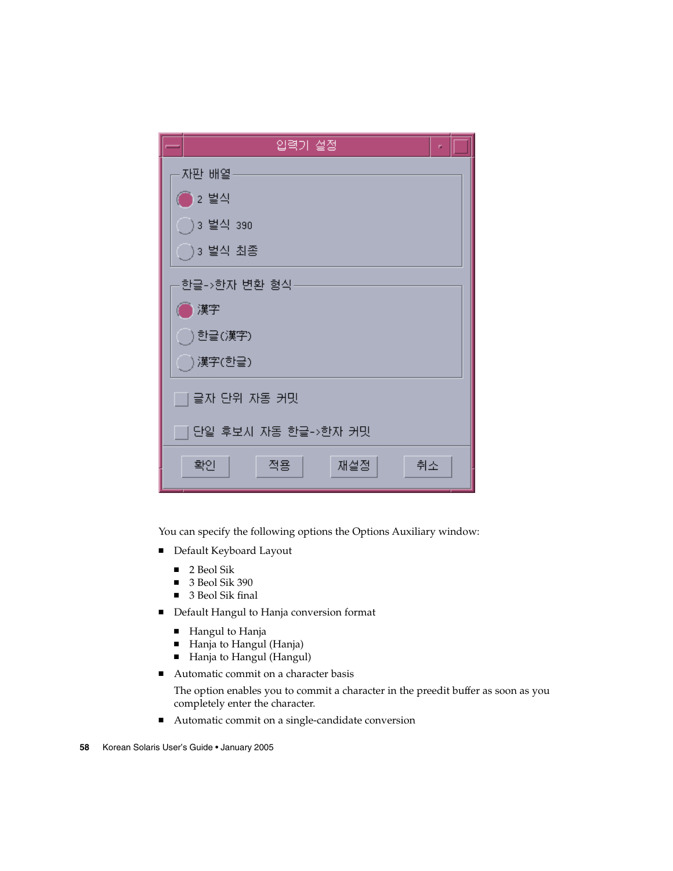| 입력가 설정<br>F)          |
|-----------------------|
| ·자판 배열                |
| (■ 2 벌식               |
| ◯ ) 3 벌식 390          |
| ○) 3 벌식 최종            |
| ·한글->한자 변환 형식         |
| ● 漢字                  |
| □ )한글(漢字)             |
| ◯ 漢字(한글)              |
| □ 글자 단위 자동 커밋         |
| 단일 후보시 자동 한글->한자 커밋   |
| 확인<br>적용<br>재설정<br>취소 |

You can specify the following options the Options Auxiliary window:

- Default Keyboard Layout
	- 2 Beol Sik
	- 3 Beol Sik 390
	- 3 Beol Sik final
- Default Hangul to Hanja conversion format
	- Hangul to Hanja
	- Hanja to Hangul (Hanja)
	- Hanja to Hangul (Hangul)
- Automatic commit on a character basis

The option enables you to commit a character in the preedit buffer as soon as you completely enter the character.

■ Automatic commit on a single-candidate conversion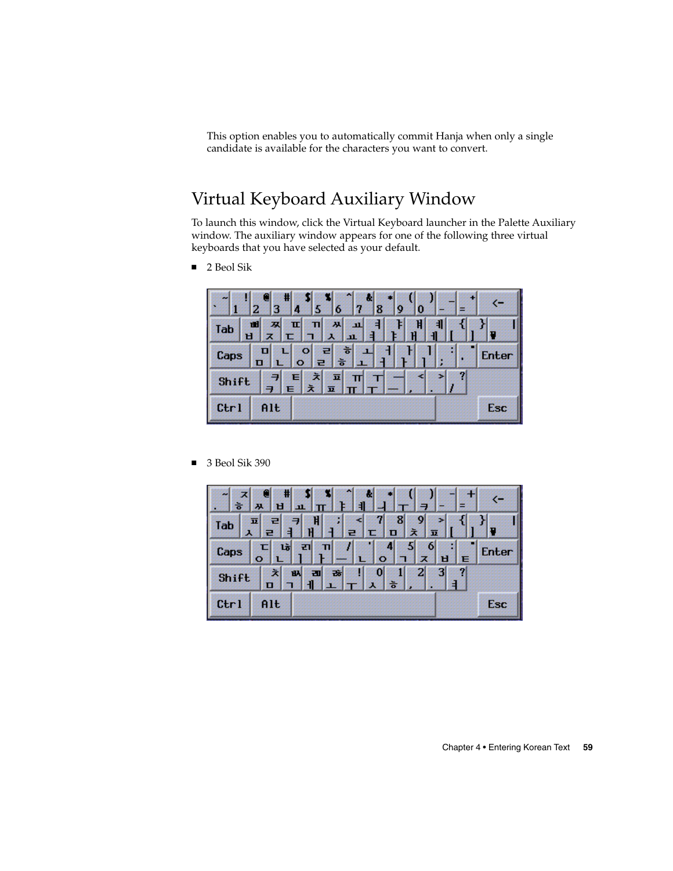This option enables you to automatically commit Hanja when only a single candidate is available for the characters you want to convert.

## Virtual Keyboard Auxiliary Window

To launch this window, click the Virtual Keyboard launcher in the Palette Auxiliary window. The auxiliary window appears for one of the following three virtual keyboards that you have selected as your default.

■ 2 Beol Sik

| z.<br>a<br>Ħ<br>×<br>н<br>л<br><b>Section</b><br>400<br>IZ<br>2<br>13<br>8<br>5<br>6<br>9<br>0<br>ц |
|-----------------------------------------------------------------------------------------------------|
| ₹<br>Ъ<br>Ħ<br>EI<br>E.<br>m<br>m<br>双<br>т<br>м<br><b>STEP</b><br>Tab<br>IJ<br>H<br>н<br>×<br>ш    |
| ×<br>÷<br>H<br>н<br>۰<br>귿<br>п<br>四<br><b>Enter</b><br>Caps<br>ā<br>п<br>2<br>о                    |
| 2<br>大<br>s.<br>π<br>E<br>×<br>÷<br>Æ<br>Shift<br>π                                                 |
| <b>Esc</b><br>Ctr1<br><b>Alt</b>                                                                    |

■ 3 Beol Sik 390

| Ħ<br>e e<br>e<br>т<br>л<br>a<br>z<br><b>SPAP</b><br>ă<br>e.<br>۳<br>LЖ.<br>gл                      | $\leftarrow$ |
|----------------------------------------------------------------------------------------------------|--------------|
| п<br>ы<br>91<br>81<br>н<br>н<br>p<br>×<br>Ξ<br>罒<br>五<br>Tab<br>H<br>Ā<br>麻<br>o<br>Ξ<br>199       | U            |
| m<br>ш<br>6<br>œ<br>51<br>4<br>7<br>내<br>m<br>画<br>ET<br>٠<br>Caps<br>IЮ<br>×<br>۰<br>$\circ$<br>Е | Enter        |
| з<br>D<br>21<br>0<br>U<br>え<br>ᇑ<br>41<br>æ<br>ш<br>Shift<br>÷<br>о                                |              |
| ctr <sub>1</sub><br>Alt                                                                            | <b>Esc</b>   |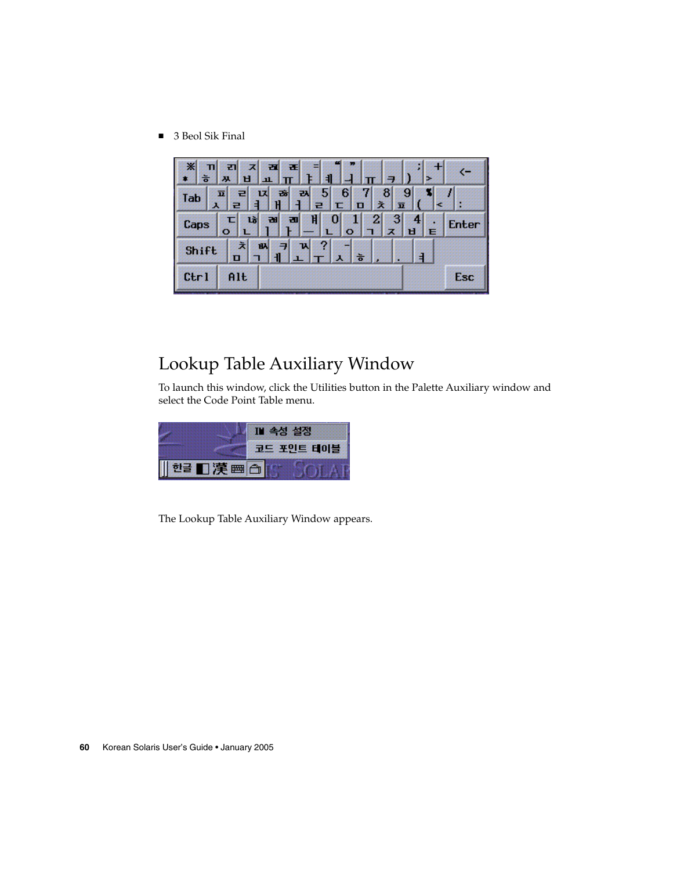■ 3 Beol Sik Final

| ×<br>굴<br>m<br>$\overline{\mathbf{x}}$<br>三<br>m<br>ㅎ<br>н<br>ж<br>911 | æ<br>œ<br>ь          |
|------------------------------------------------------------------------|----------------------|
| 과<br>亖<br>17<br>π<br>Tab<br>н<br>P.                                    | 9<br>я<br>匤<br>c     |
| 내<br>ш<br><b>TE</b><br>Ð<br>Caps<br>۰                                  | щ<br>Enter<br>胆<br>疆 |
| 大<br>ш<br>e<br>Shift<br>О                                              | в                    |
| Ctr1<br>AIt                                                            | <b>Esc</b>           |

## Lookup Table Auxiliary Window

To launch this window, click the Utilities button in the Palette Auxiliary window and select the Code Point Table menu.

|        | 속성 설정           |  |
|--------|-----------------|--|
|        | 덴트 터이블<br>「無邪に」 |  |
| 한글█之漢翻 |                 |  |

The Lookup Table Auxiliary Window appears.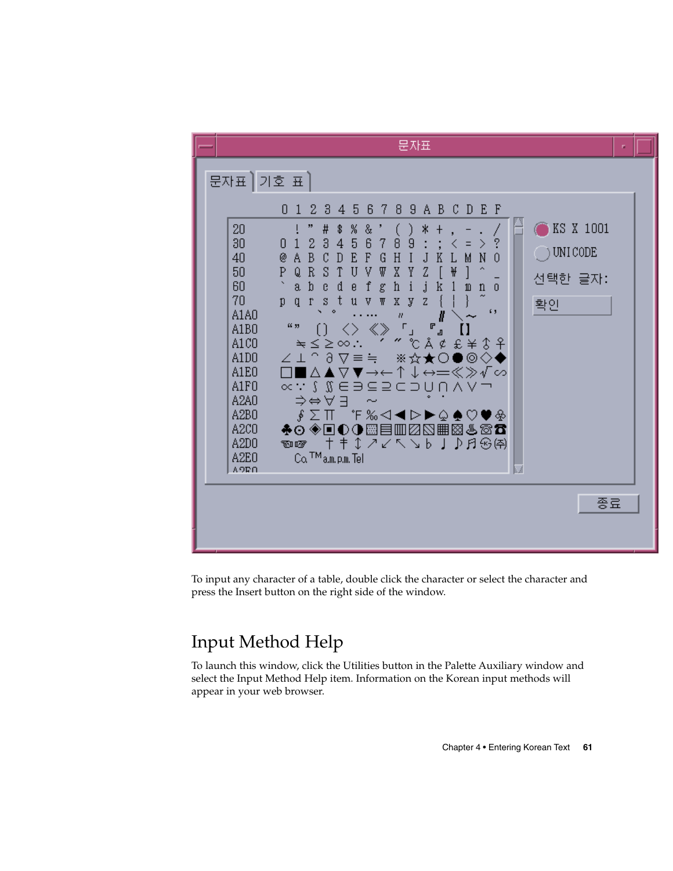

To input any character of a table, double click the character or select the character and press the Insert button on the right side of the window.

#### Input Method Help

To launch this window, click the Utilities button in the Palette Auxiliary window and select the Input Method Help item. Information on the Korean input methods will appear in your web browser.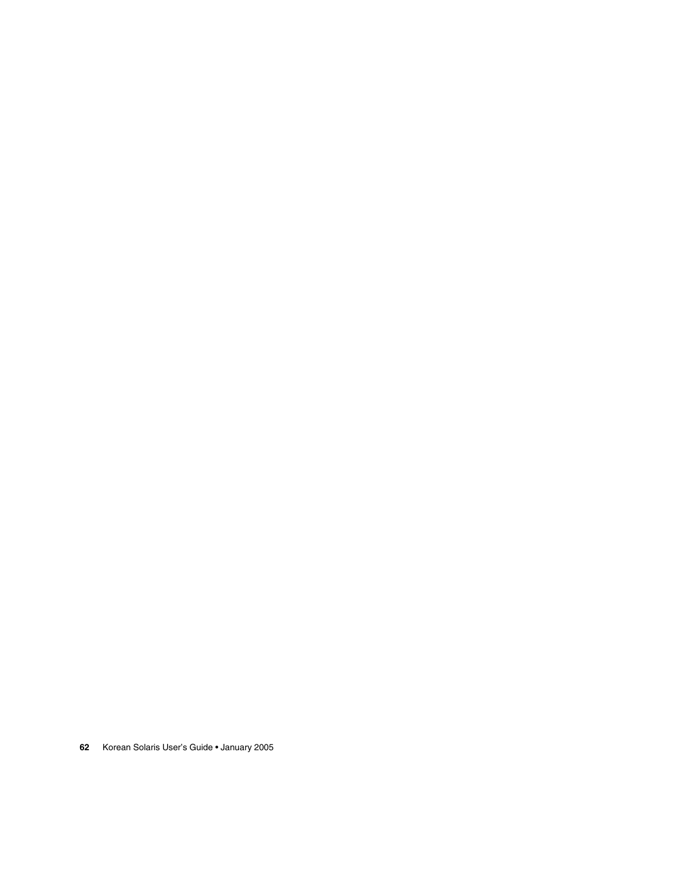Korean Solaris User's Guide • January 2005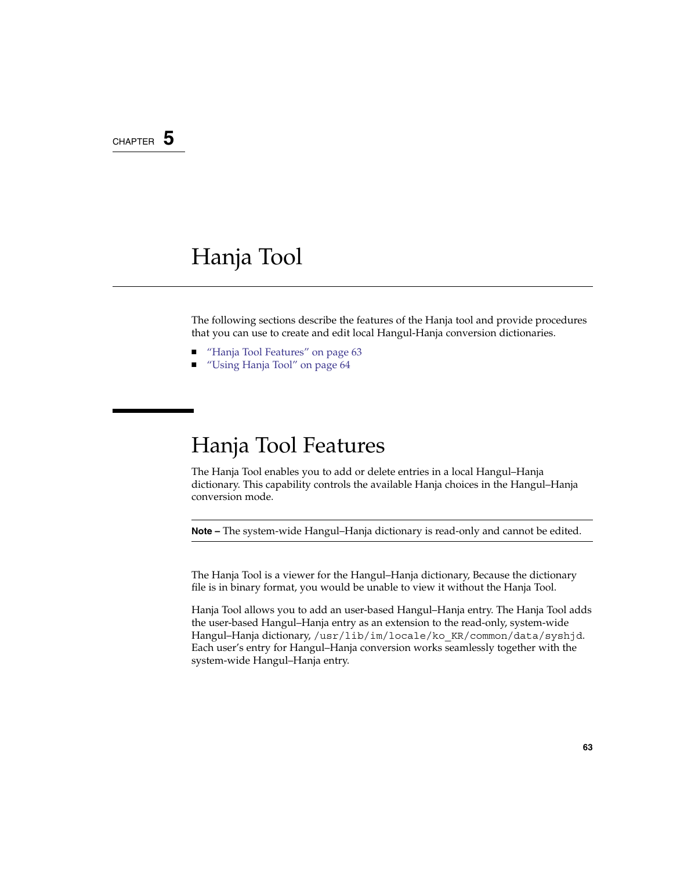#### CHAPTER **5**

## Hanja Tool

The following sections describe the features of the Hanja tool and provide procedures that you can use to create and edit local Hangul-Hanja conversion dictionaries.

- "Hanja Tool Features" on page 63
- *"*Using Hanja Tool" on page 64

## Hanja Tool Features

The Hanja Tool enables you to add or delete entries in a local Hangul–Hanja dictionary. This capability controls the available Hanja choices in the Hangul–Hanja conversion mode.

**Note –** The system-wide Hangul–Hanja dictionary is read-only and cannot be edited.

The Hanja Tool is a viewer for the Hangul–Hanja dictionary, Because the dictionary file is in binary format, you would be unable to view it without the Hanja Tool.

Hanja Tool allows you to add an user-based Hangul–Hanja entry. The Hanja Tool adds the user-based Hangul–Hanja entry as an extension to the read-only, system-wide Hangul–Hanja dictionary, /usr/lib/im/locale/ko\_KR/common/data/syshjd. Each user's entry for Hangul–Hanja conversion works seamlessly together with the system-wide Hangul–Hanja entry.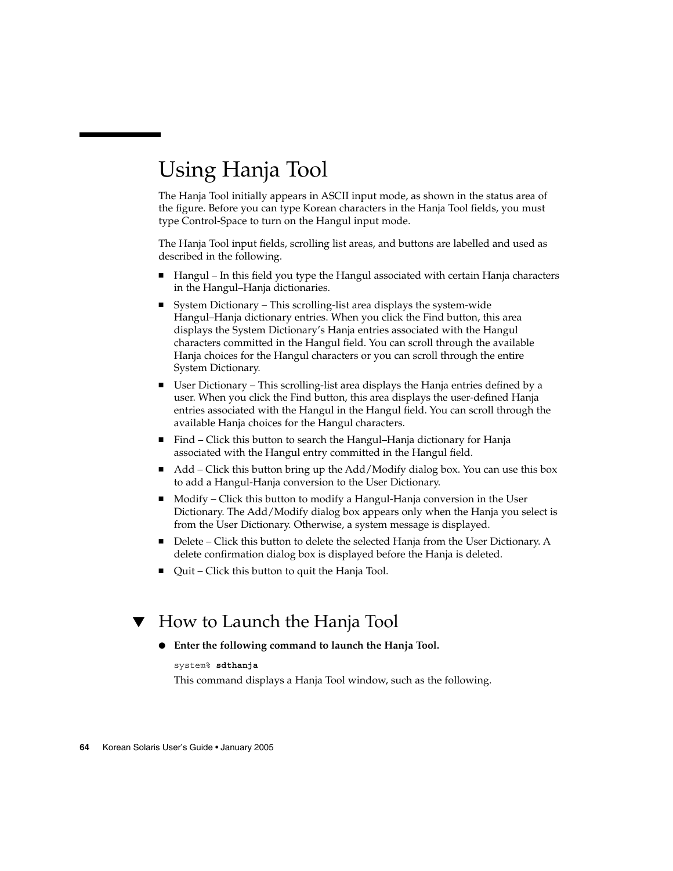## <span id="page-63-0"></span>Using Hanja Tool

The Hanja Tool initially appears in ASCII input mode, as shown in the status area of the figure. Before you can type Korean characters in the Hanja Tool fields, you must type Control-Space to turn on the Hangul input mode.

The Hanja Tool input fields, scrolling list areas, and buttons are labelled and used as described in the following.

- Hangul In this field you type the Hangul associated with certain Hanja characters in the Hangul–Hanja dictionaries.
- System Dictionary This scrolling-list area displays the system-wide Hangul–Hanja dictionary entries. When you click the Find button, this area displays the System Dictionary's Hanja entries associated with the Hangul characters committed in the Hangul field. You can scroll through the available Hanja choices for the Hangul characters or you can scroll through the entire System Dictionary.
- User Dictionary This scrolling-list area displays the Hanja entries defined by a user. When you click the Find button, this area displays the user-defined Hanja entries associated with the Hangul in the Hangul field. You can scroll through the available Hanja choices for the Hangul characters.
- Find Click this button to search the Hangul–Hanja dictionary for Hanja associated with the Hangul entry committed in the Hangul field.
- Add Click this button bring up the Add/Modify dialog box. You can use this box to add a Hangul-Hanja conversion to the User Dictionary.
- Modify Click this button to modify a Hangul-Hanja conversion in the User Dictionary. The Add/Modify dialog box appears only when the Hanja you select is from the User Dictionary. Otherwise, a system message is displayed.
- Delete Click this button to delete the selected Hanja from the User Dictionary. A delete confirmation dialog box is displayed before the Hanja is deleted.
- Quit Click this button to quit the Hanja Tool.
- How to Launch the Hanja Tool
	- **Enter the following command to launch the Hanja Tool.**

system% **sdthanja**

This command displays a Hanja Tool window, such as the following.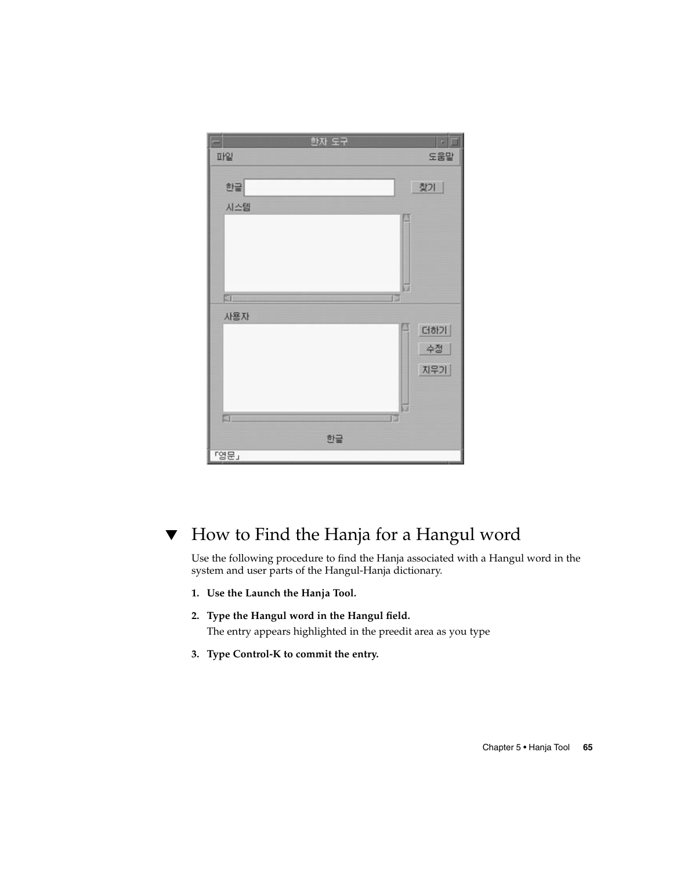

## ▼ How to Find the Hanja for a Hangul word

Use the following procedure to find the Hanja associated with a Hangul word in the system and user parts of the Hangul-Hanja dictionary.

- **1. Use the Launch the Hanja Tool.**
- **2. Type the Hangul word in the Hangul field.** The entry appears highlighted in the preedit area as you type
- **3. Type Control-K to commit the entry.**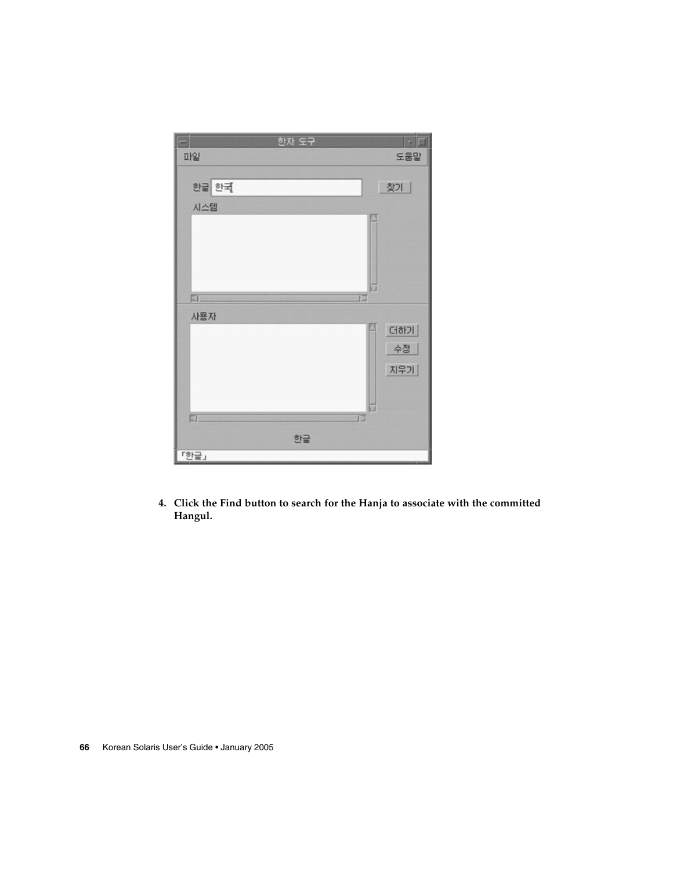

**4. Click the Find button to search for the Hanja to associate with the committed Hangul.**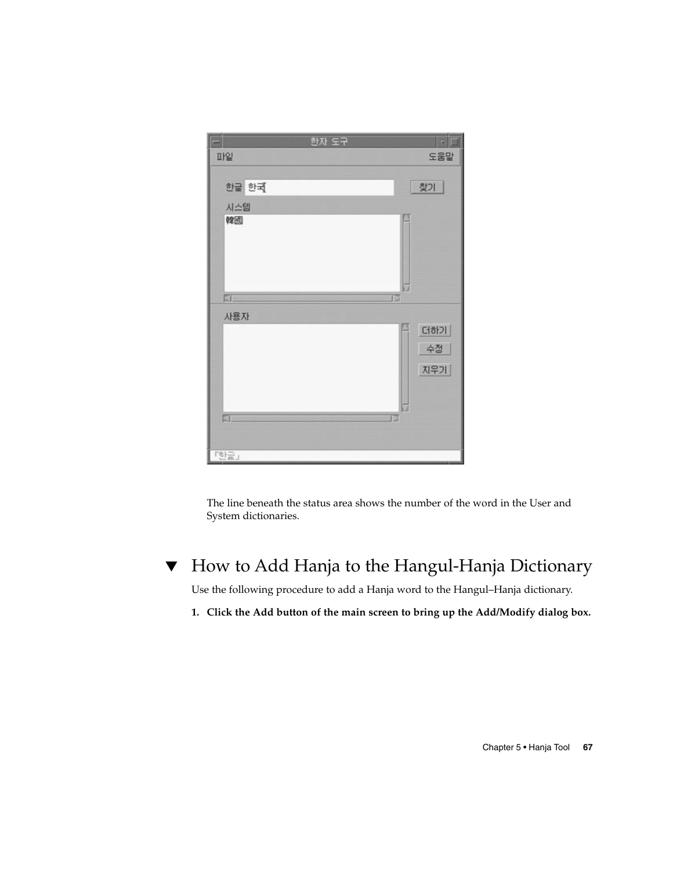

The line beneath the status area shows the number of the word in the User and System dictionaries.

▼ How to Add Hanja to the Hangul-Hanja Dictionary

Use the following procedure to add a Hanja word to the Hangul–Hanja dictionary.

**1. Click the Add button of the main screen to bring up the Add/Modify dialog box.**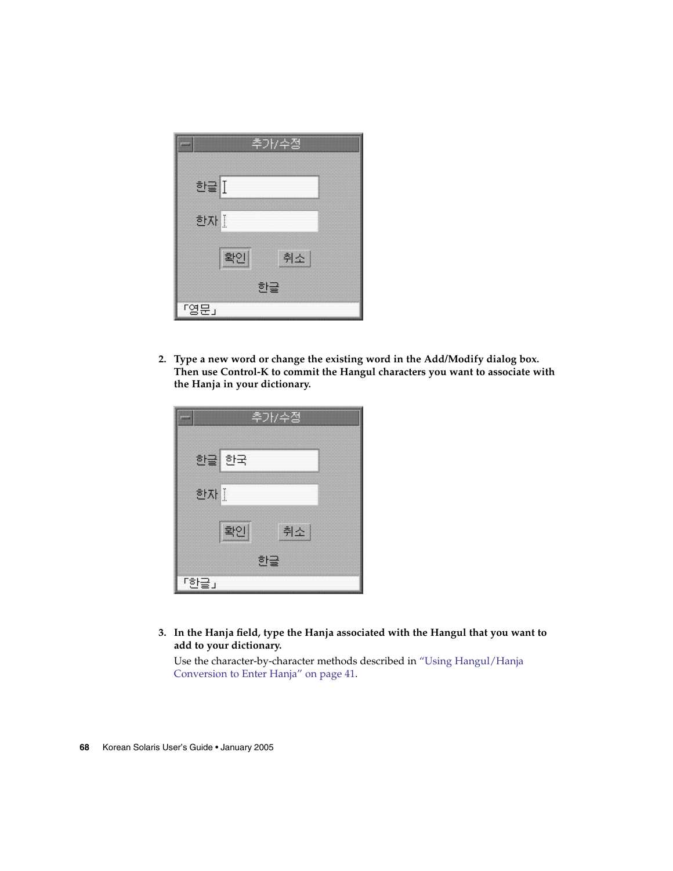|      | 추가/수정    |  |
|------|----------|--|
|      |          |  |
|      | 한글 I     |  |
|      |          |  |
|      | 한자 ]     |  |
|      | 확인<br>취소 |  |
|      | 한글       |  |
| 「영문」 |          |  |

**2. Type a new word or change the existing word in the Add/Modify dialog box. Then use Control-K to commit the Hangul characters you want to associate with the Hanja in your dictionary.**

| <b>COLOR</b> | 추가/수정    |  |
|--------------|----------|--|
|              |          |  |
|              | 한글 한국    |  |
|              | 한자 ]     |  |
|              | 확인<br>취소 |  |
|              | 한글       |  |
| 「한글」         |          |  |

**3. In the Hanja field, type the Hanja associated with the Hangul that you want to add to your dictionary.**

Use the character-by-character methods described in ["Using Hangul/Hanja](#page-40-0) [Conversion to Enter Hanja"](#page-40-0) on page 41.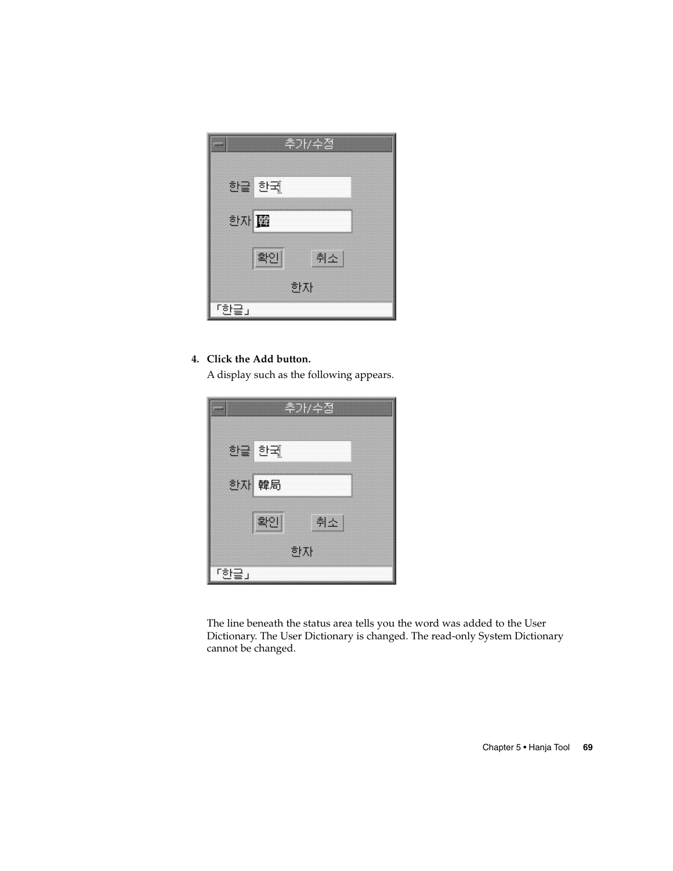

#### **4. Click the Add button.**

A display such as the following appears.

|      | 추가/수정    |
|------|----------|
|      | 한글 한국    |
| 한자   | 韓局       |
|      | 확인<br>취소 |
|      | 한자       |
| 「한글」 |          |

The line beneath the status area tells you the word was added to the User Dictionary. The User Dictionary is changed. The read-only System Dictionary cannot be changed.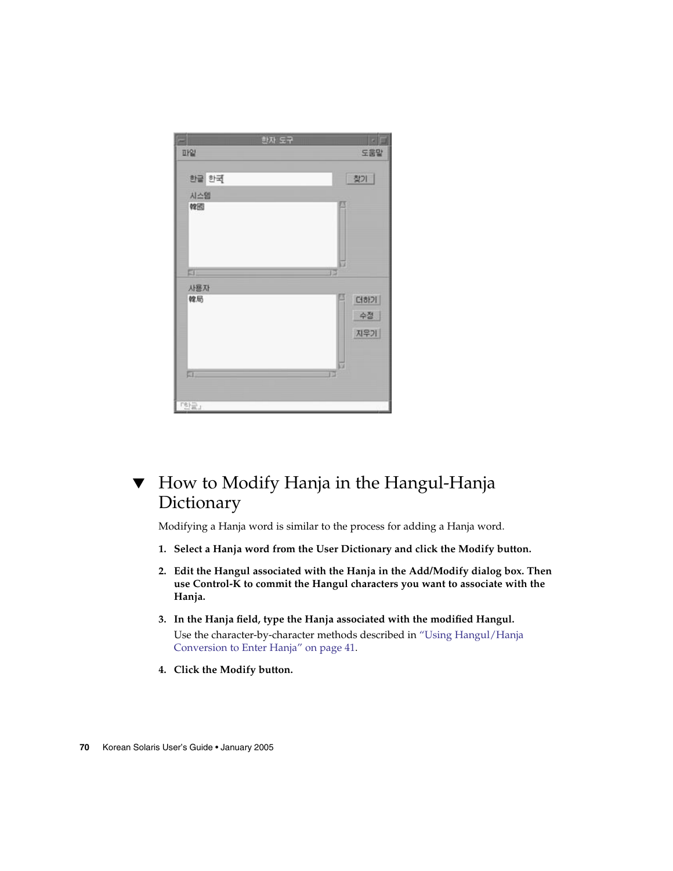

#### ▼ How to Modify Hanja in the Hangul-Hanja Dictionary

Modifying a Hanja word is similar to the process for adding a Hanja word.

- **1. Select a Hanja word from the User Dictionary and click the Modify button.**
- **2. Edit the Hangul associated with the Hanja in the Add/Modify dialog box. Then use Control-K to commit the Hangul characters you want to associate with the Hanja.**
- **3. In the Hanja field, type the Hanja associated with the modified Hangul.** Use the character-by-character methods described in ["Using Hangul/Hanja](#page-40-0) [Conversion to Enter Hanja"](#page-40-0) on page 41.
- **4. Click the Modify button.**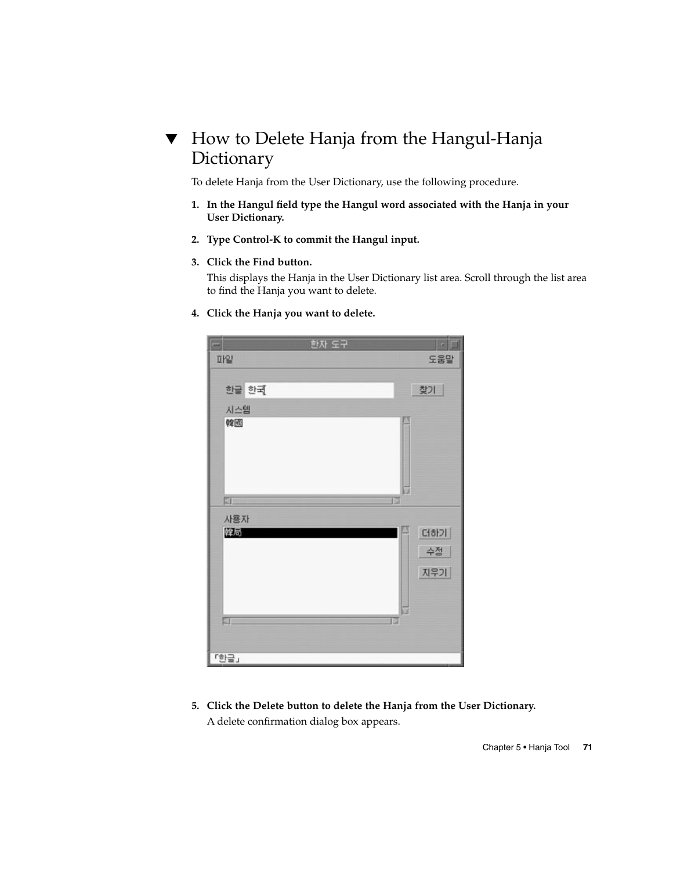#### ▼ How to Delete Hanja from the Hangul-Hanja Dictionary

To delete Hanja from the User Dictionary, use the following procedure.

- **1. In the Hangul field type the Hangul word associated with the Hanja in your User Dictionary.**
- **2. Type Control-K to commit the Hangul input.**
- **3. Click the Find button.**

This displays the Hanja in the User Dictionary list area. Scroll through the list area to find the Hanja you want to delete.

**4. Click the Hanja you want to delete.**



**5. Click the Delete button to delete the Hanja from the User Dictionary.** A delete confirmation dialog box appears.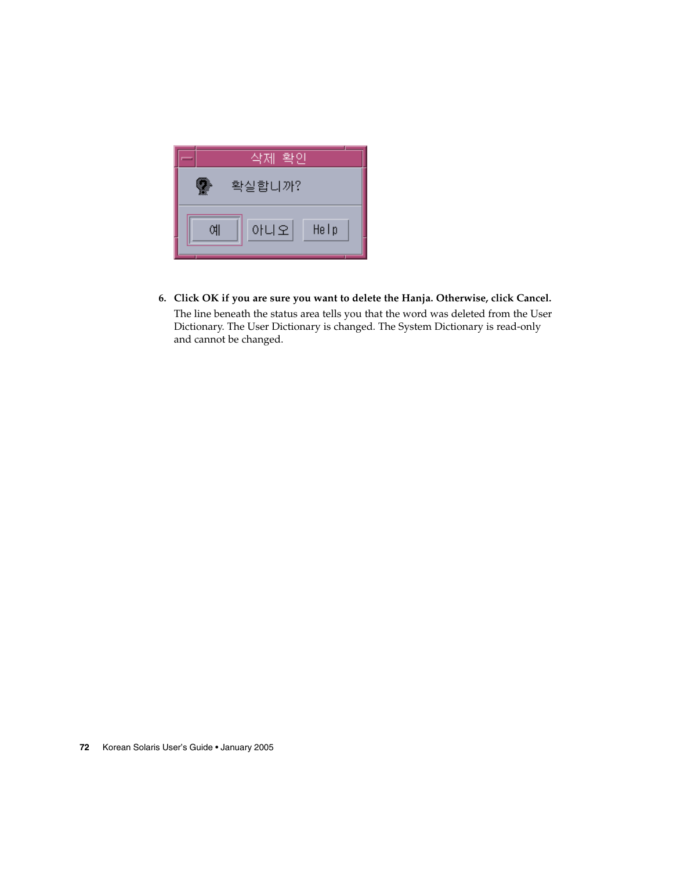

**6. Click OK if you are sure you want to delete the Hanja. Otherwise, click Cancel.** The line beneath the status area tells you that the word was deleted from the User Dictionary. The User Dictionary is changed. The System Dictionary is read-only and cannot be changed.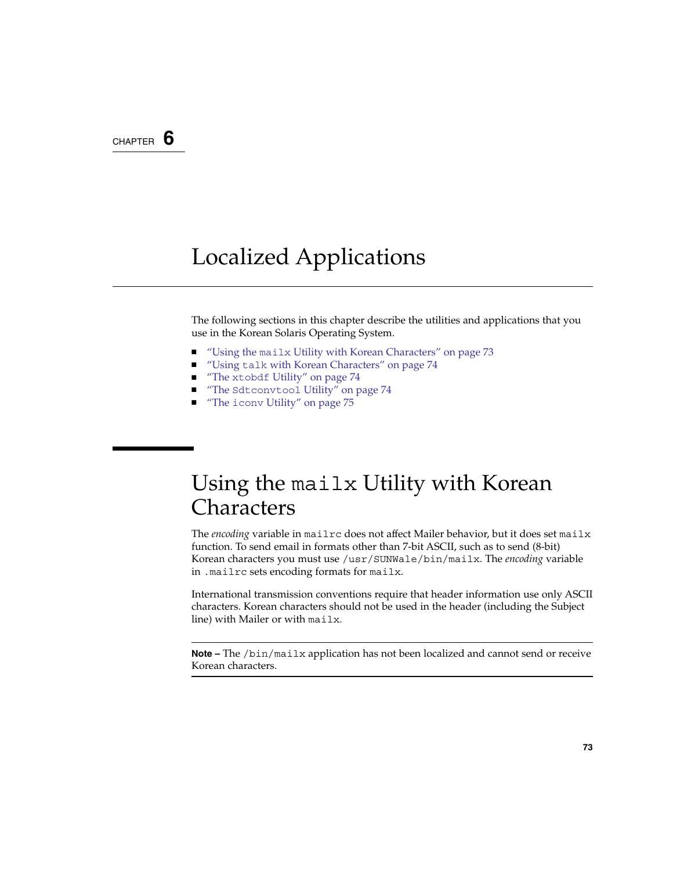### CHAPTER **6**

# Localized Applications

The following sections in this chapter describe the utilities and applications that you use in the Korean Solaris Operating System.

- "Using the mailx Utility with Korean Characters" on page 73
- "Using talk [with Korean Characters"](#page-73-0) on page 74
- "The xtobdf Utility" [on page 74](#page-73-0)
- "The [Sdtconvtool](#page-73-0) Utility" on page 74
- "The iconv Utility" [on page 75](#page-74-0)

# Using the mailx Utility with Korean **Characters**

The *encoding* variable in mailrc does not affect Mailer behavior, but it does set mailx function. To send email in formats other than 7-bit ASCII, such as to send (8-bit) Korean characters you must use /usr/SUNWale/bin/mailx. The *encoding* variable in .mailrc sets encoding formats for mailx.

International transmission conventions require that header information use only ASCII characters. Korean characters should not be used in the header (including the Subject line) with Mailer or with mailx.

**Note –** The /bin/mailx application has not been localized and cannot send or receive Korean characters.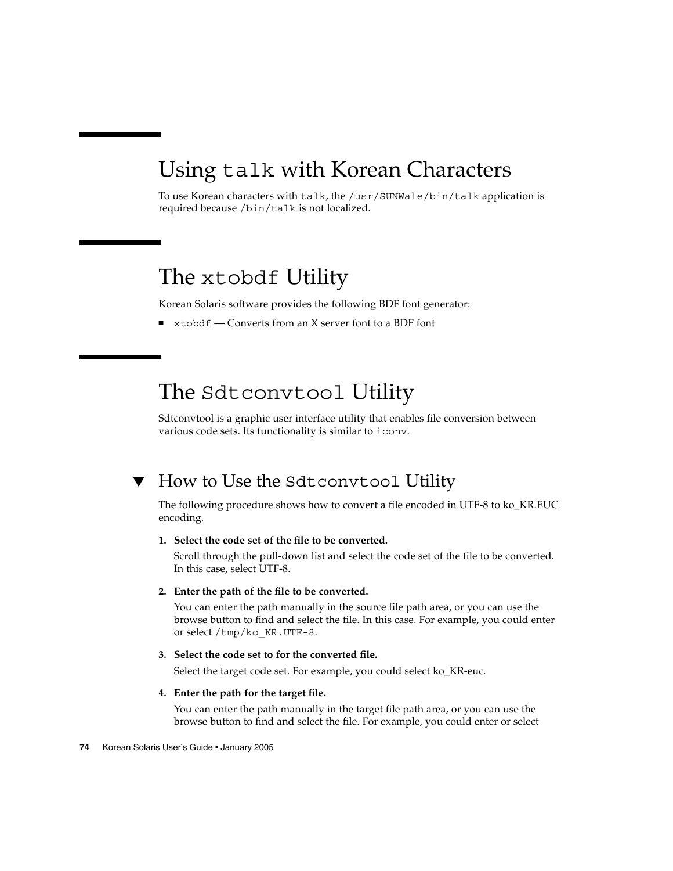# <span id="page-73-0"></span>Using talk with Korean Characters

To use Korean characters with talk, the /usr/SUNWale/bin/talk application is required because /bin/talk is not localized.

# The xtobdf Utility

Korean Solaris software provides the following BDF font generator:

■ xtobdf — Converts from an X server font to a BDF font

## The Sdtconvtool Utility

Sdtconvtool is a graphic user interface utility that enables file conversion between various code sets. Its functionality is similar to iconv.

### ▼ How to Use the Sdtconvtool Utility

The following procedure shows how to convert a file encoded in UTF-8 to ko\_KR.EUC encoding.

#### **1. Select the code set of the file to be converted.**

Scroll through the pull-down list and select the code set of the file to be converted. In this case, select UTF-8.

#### **2. Enter the path of the file to be converted.**

You can enter the path manually in the source file path area, or you can use the browse button to find and select the file. In this case. For example, you could enter or select / tmp/ko KR.UTF-8.

#### **3. Select the code set to for the converted file.**

Select the target code set. For example, you could select ko\_KR-euc.

#### **4. Enter the path for the target file.**

You can enter the path manually in the target file path area, or you can use the browse button to find and select the file. For example, you could enter or select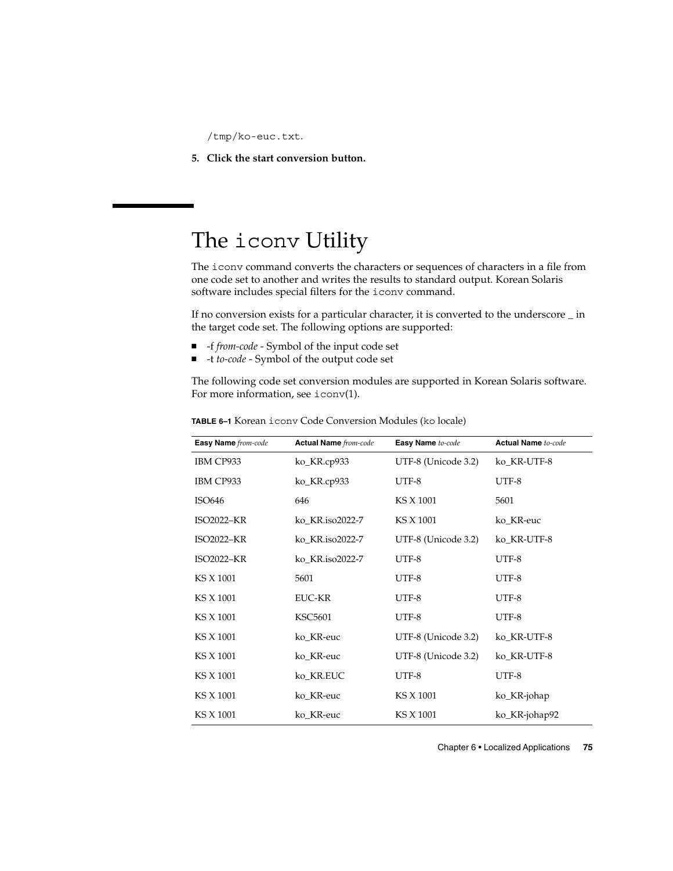/tmp/ko-euc.txt.

<span id="page-74-0"></span>**5. Click the start conversion button.**

# The iconv Utility

The iconv command converts the characters or sequences of characters in a file from one code set to another and writes the results to standard output. Korean Solaris software includes special filters for the iconv command.

If no conversion exists for a particular character, it is converted to the underscore \_ in the target code set. The following options are supported:

- -f *from-code* Symbol of the input code set
- -t *to-code* Symbol of the output code set

The following code set conversion modules are supported in Korean Solaris software. For more information, see iconv(1).

| Easy Name from-code | <b>Actual Name</b> from-code | Easy Name to-code   | <b>Actual Name to-code</b> |
|---------------------|------------------------------|---------------------|----------------------------|
| IBM CP933           | ko_KR.cp933                  | UTF-8 (Unicode 3.2) | ko_KR-UTF-8                |
| IBM CP933           | ko_KR.cp933                  | UTF-8               | UTF-8                      |
| ISO646              | 646                          | <b>KS X 1001</b>    | 5601                       |
| <b>ISO2022-KR</b>   | ko_KR.iso2022-7              | <b>KS X 1001</b>    | ko KR-euc                  |
| <b>ISO2022-KR</b>   | ko KR.iso2022-7              | UTF-8 (Unicode 3.2) | ko KR-UTF-8                |
| <b>ISO2022-KR</b>   | ko_KR.iso2022-7              | UTF-8               | UTF-8                      |
| <b>KS X 1001</b>    | 5601                         | UTF-8               | UTF-8                      |
| <b>KS X 1001</b>    | EUC-KR                       | UTF-8               | UTF-8                      |
| <b>KS X 1001</b>    | <b>KSC5601</b>               | UTF-8               | UTF-8                      |
| <b>KS X 1001</b>    | ko KR-euc                    | UTF-8 (Unicode 3.2) | ko KR-UTF-8                |
| <b>KS X 1001</b>    | ko_KR-euc                    | UTF-8 (Unicode 3.2) | ko_KR-UTF-8                |
| KS X 1001           | ko_KR.EUC                    | UTF-8               | UTF-8                      |
| <b>KS X 1001</b>    | ko KR-euc                    | <b>KS X 1001</b>    | ko_KR-johap                |
| <b>KS X 1001</b>    | ko KR-euc                    | KS X 1001           | ko_KR-johap92              |

**TABLE 6–1** Korean iconv Code Conversion Modules (ko locale)

Chapter 6 • Localized Applications **75**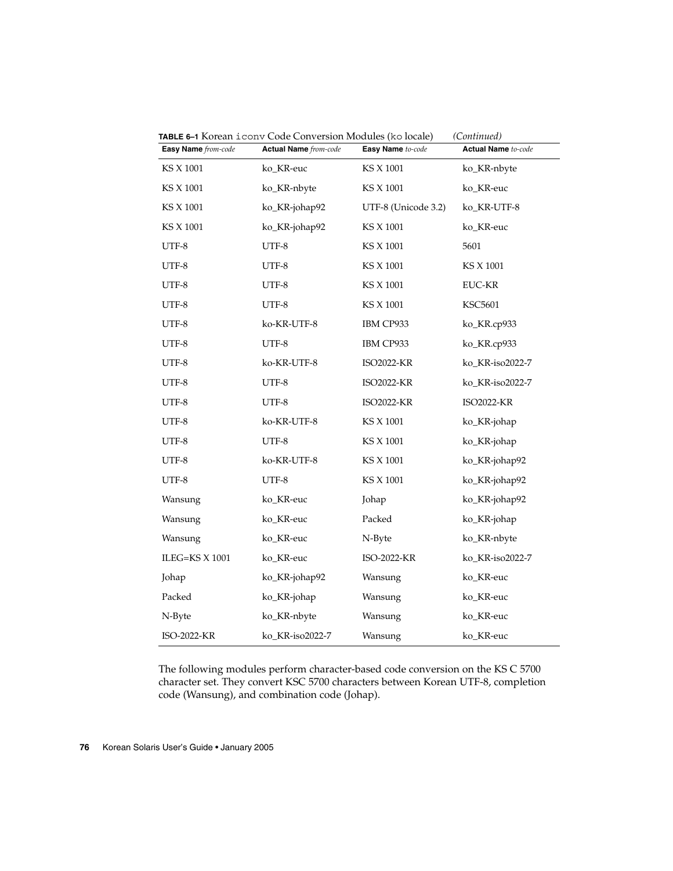| <b>TABLE 6–1</b> Korean i conv Code Conversion Modules (ko locale)<br>(Continued)<br>Easy Name from-code<br><b>Actual Name</b> from-code<br>Easy Name to-code |                 | <b>Actual Name to-code</b> |                   |
|---------------------------------------------------------------------------------------------------------------------------------------------------------------|-----------------|----------------------------|-------------------|
| KS X 1001                                                                                                                                                     | ko_KR-euc       | KS X 1001                  | ko_KR-nbyte       |
| <b>KS X 1001</b>                                                                                                                                              | ko_KR-nbyte     | KS X 1001                  | ko_KR-euc         |
| <b>KS X 1001</b>                                                                                                                                              | ko_KR-johap92   | UTF-8 (Unicode 3.2)        | ko_KR-UTF-8       |
| KS X 1001                                                                                                                                                     | ko_KR-johap92   | KS X 1001                  | ko_KR-euc         |
| UTF-8                                                                                                                                                         | UTF-8           | KS X 1001                  | 5601              |
| UTF-8                                                                                                                                                         | UTF-8           | <b>KS X 1001</b>           | <b>KS X 1001</b>  |
| UTF-8                                                                                                                                                         | UTF-8           | KS X 1001                  | EUC-KR            |
| UTF-8                                                                                                                                                         | UTF-8           | KS X 1001                  | <b>KSC5601</b>    |
| UTF-8                                                                                                                                                         | ko-KR-UTF-8     | IBM CP933                  | ko_KR.cp933       |
| UTF-8                                                                                                                                                         | UTF-8           | IBM CP933                  | ko_KR.cp933       |
| UTF-8                                                                                                                                                         | ko-KR-UTF-8     | <b>ISO2022-KR</b>          | ko_KR-iso2022-7   |
| UTF-8                                                                                                                                                         | UTF-8           | <b>ISO2022-KR</b>          | ko_KR-iso2022-7   |
| UTF-8                                                                                                                                                         | UTF-8           | <b>ISO2022-KR</b>          | <b>ISO2022-KR</b> |
| UTF-8                                                                                                                                                         | ko-KR-UTF-8     | KS X 1001                  | ko_KR-johap       |
| UTF-8                                                                                                                                                         | UTF-8           | KS X 1001                  | ko_KR-johap       |
| UTF-8                                                                                                                                                         | ko-KR-UTF-8     | KS X 1001                  | ko_KR-johap92     |
| UTF-8                                                                                                                                                         | UTF-8           | <b>KS X 1001</b>           | ko_KR-johap92     |
| Wansung                                                                                                                                                       | ko_KR-euc       | Johap                      | ko_KR-johap92     |
| Wansung                                                                                                                                                       | ko_KR-euc       | Packed                     | ko_KR-johap       |
| Wansung                                                                                                                                                       | ko_KR-euc       | N-Byte                     | ko_KR-nbyte       |
| ILEG=KS X 1001                                                                                                                                                | ko_KR-euc       | ISO-2022-KR                | ko_KR-iso2022-7   |
| Johap                                                                                                                                                         | ko_KR-johap92   | Wansung                    | ko_KR-euc         |
| Packed                                                                                                                                                        | ko_KR-johap     | Wansung                    | ko_KR-euc         |
| N-Byte                                                                                                                                                        | ko_KR-nbyte     | Wansung                    | ko_KR-euc         |
| ISO-2022-KR                                                                                                                                                   | ko_KR-iso2022-7 | Wansung                    | ko_KR-euc         |

**TABLE 6–1** Korean iconv Code Conversion Modules (ko locale) *(Continued)*

The following modules perform character-based code conversion on the KS C 5700 character set. They convert KSC 5700 characters between Korean UTF-8, completion code (Wansung), and combination code (Johap).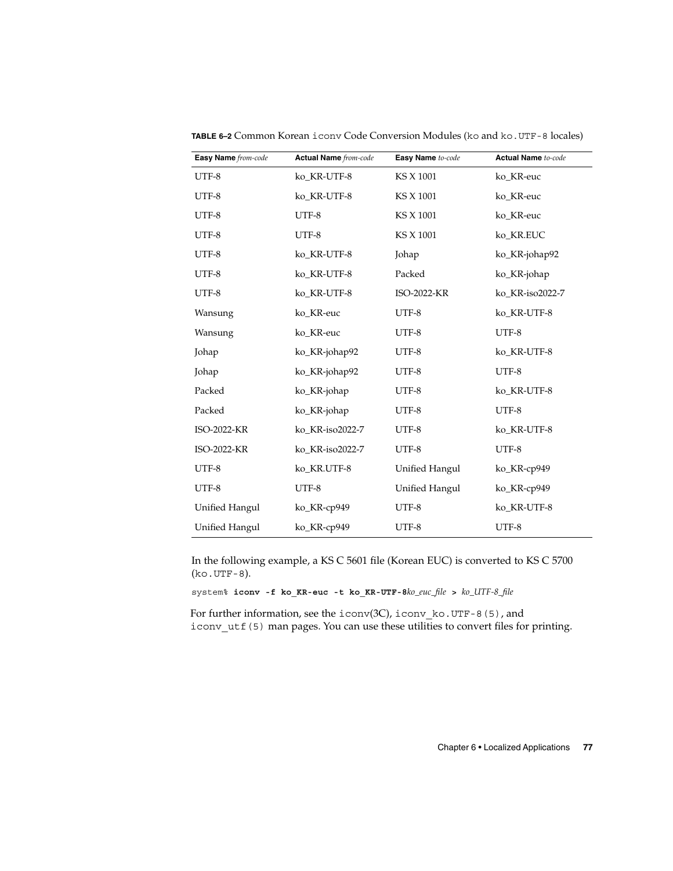| Easy Name from-code | <b>Actual Name</b> from-code | Easy Name to-code  | <b>Actual Name to-code</b> |
|---------------------|------------------------------|--------------------|----------------------------|
| UTF-8               | ko KR-UTF-8                  | <b>KS X 1001</b>   | ko KR-euc                  |
| UTF-8               | ko_KR-UTF-8                  | <b>KS X 1001</b>   | ko_KR-euc                  |
| UTF-8               | UTF-8                        | KS X 1001          | ko KR-euc                  |
| UTF-8               | UTF-8                        | <b>KS X 1001</b>   | ko KR.EUC                  |
| UTF-8               | ko KR-UTF-8                  | Johap              | ko_KR-johap92              |
| UTF-8               | ko_KR-UTF-8                  | Packed             | ko_KR-johap                |
| UTF-8               | ko_KR-UTF-8                  | <b>ISO-2022-KR</b> | ko_KR-iso2022-7            |
| Wansung             | ko_KR-euc                    | UTF-8              | ko KR-UTF-8                |
| Wansung             | ko_KR-euc                    | UTF-8              | UTF-8                      |
| Johap               | ko_KR-johap92                | UTF-8              | ko KR-UTF-8                |
| Johap               | ko_KR-johap92                | UTF-8              | UTF-8                      |
| Packed              | ko_KR-johap                  | UTF-8              | ko_KR-UTF-8                |
| Packed              | ko_KR-johap                  | UTF-8              | UTF-8                      |
| ISO-2022-KR         | ko KR-iso2022-7              | UTF-8              | ko KR-UTF-8                |
| ISO-2022-KR         | ko_KR-iso2022-7              | UTF-8              | UTF-8                      |
| UTF-8               | ko_KR.UTF-8                  | Unified Hangul     | ko_KR-cp949                |
| UTF-8               | UTF-8                        | Unified Hangul     | ko_KR-cp949                |
| Unified Hangul      | ko_KR-cp949                  | UTF-8              | ko_KR-UTF-8                |
| Unified Hangul      | ko_KR-cp949                  | UTF-8              | UTF-8                      |

**TABLE 6–2** Common Korean iconv Code Conversion Modules (ko and ko.UTF-8 locales)

In the following example, a KS C 5601 file (Korean EUC) is converted to KS C 5700 (ko.UTF-8).

system% **iconv -f ko\_KR-euc -t ko\_KR-UTF-8***ko\_euc\_file* **>** *ko\_UTF-8\_file*

For further information, see the iconv(3C), iconv\_ko.UTF-8(5), and iconv\_utf(5) man pages. You can use these utilities to convert files for printing.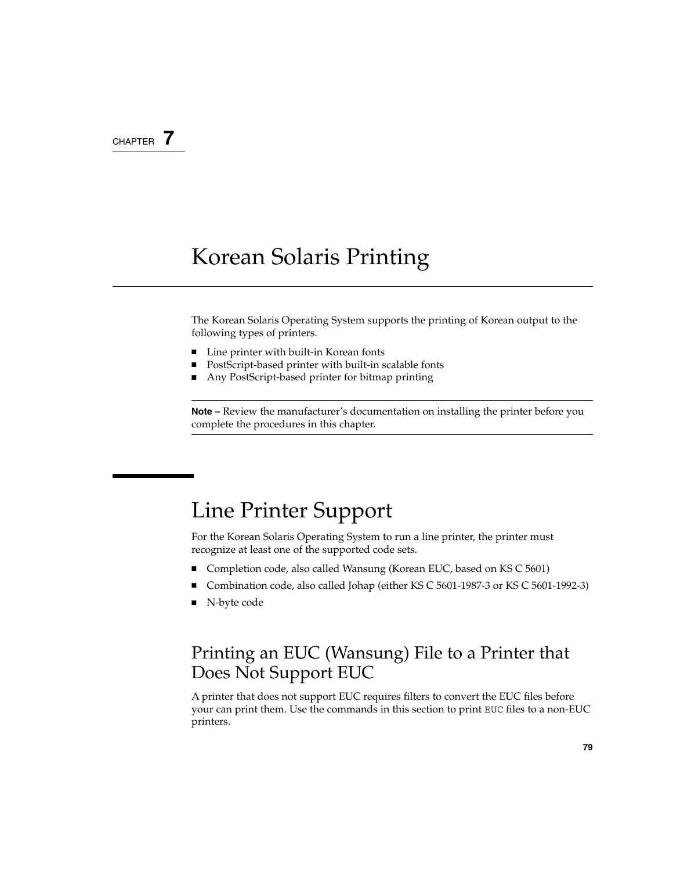### CHAPTER **7**

# Korean Solaris Printing

The Korean Solaris Operating System supports the printing of Korean output to the following types of printers.

- Line printer with built-in Korean fonts
- PostScript-based printer with built-in scalable fonts
- Any PostScript-based printer for bitmap printing

**Note –** Review the manufacturer's documentation on installing the printer before you complete the procedures in this chapter.

# Line Printer Support

For the Korean Solaris Operating System to run a line printer, the printer must recognize at least one of the supported code sets.

- Completion code, also called Wansung (Korean EUC, based on KS C 5601)
- Combination code, also called Johap (either KS C 5601-1987-3 or KS C 5601-1992-3)
- N-byte code

### Printing an EUC (Wansung) File to a Printer that Does Not Support EUC

A printer that does not support EUC requires filters to convert the EUC files before your can print them. Use the commands in this section to print EUC files to a non-EUC printers.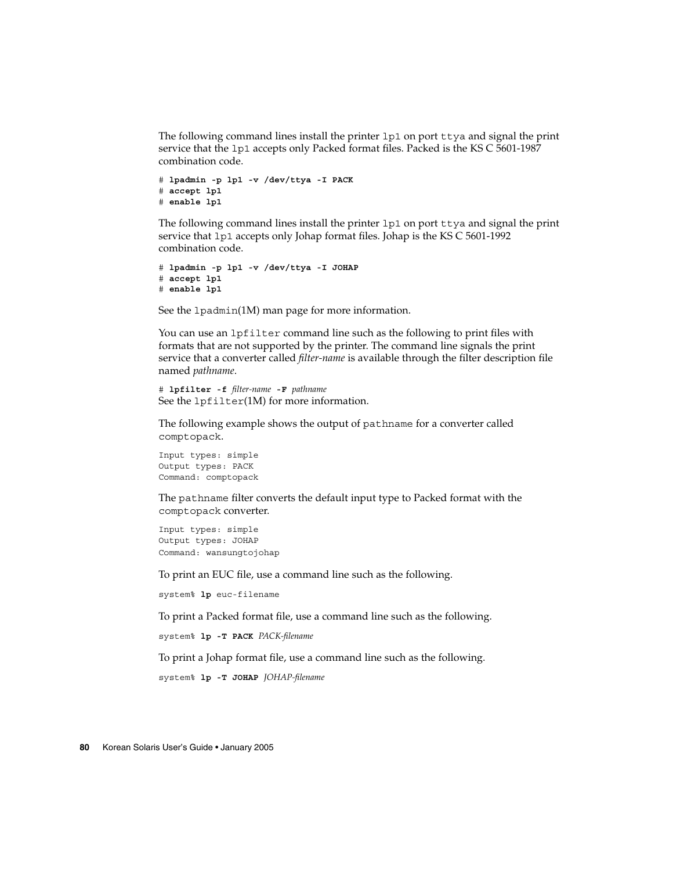The following command lines install the printer lp1 on port ttya and signal the print service that the lp1 accepts only Packed format files. Packed is the KS C 5601-1987 combination code.

```
# lpadmin -p lp1 -v /dev/ttya -I PACK
# accept lp1
# enable lp1
```
The following command lines install the printer lp1 on port ttya and signal the print service that lp1 accepts only Johap format files. Johap is the KS C 5601-1992 combination code.

```
# lpadmin -p lp1 -v /dev/ttya -I JOHAP
# accept lp1
# enable lp1
```
See the lpadmin(1M) man page for more information.

You can use an lpfilter command line such as the following to print files with formats that are not supported by the printer. The command line signals the print service that a converter called *filter-name* is available through the filter description file named *pathname*.

```
# lpfilter -f filter-name -F pathname
See the lpfilter(1M) for more information.
```
The following example shows the output of pathname for a converter called comptopack.

```
Input types: simple
Output types: PACK
Command: comptopack
```
The pathname filter converts the default input type to Packed format with the comptopack converter.

Input types: simple Output types: JOHAP Command: wansungtojohap

To print an EUC file, use a command line such as the following.

system% **lp** euc-filename

To print a Packed format file, use a command line such as the following.

system% **lp -T PACK** *PACK-filename*

To print a Johap format file, use a command line such as the following.

system% **lp -T JOHAP** *JOHAP-filename*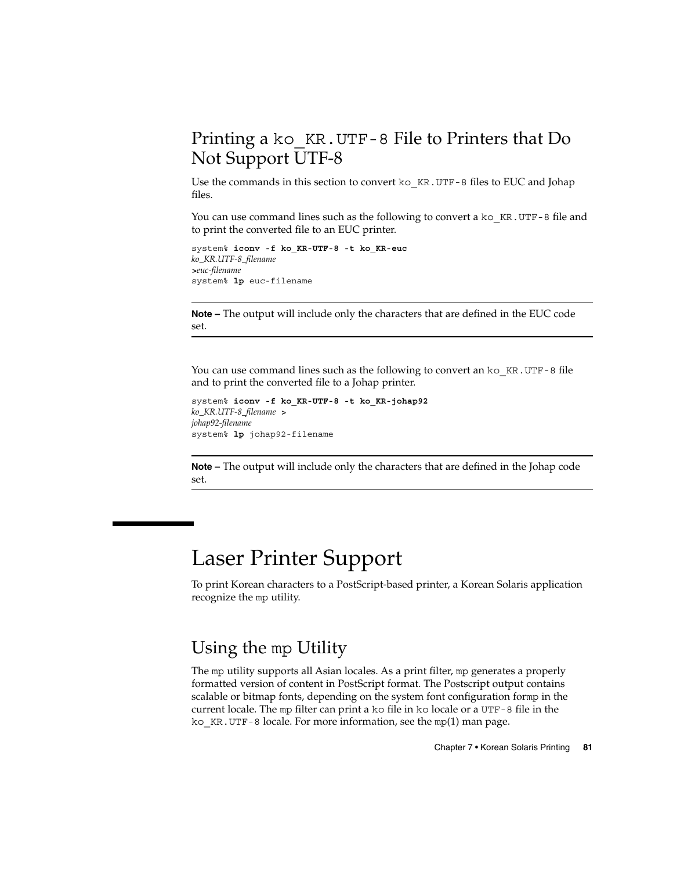### Printing a ko\_KR.UTF-8 File to Printers that Do Not Support UTF-8

Use the commands in this section to convert ko\_KR.UTF-8 files to EUC and Johap files.

You can use command lines such as the following to convert a ko\_KR.UTF-8 file and to print the converted file to an EUC printer.

system% **iconv -f ko\_KR-UTF-8 -t ko\_KR-euc** *ko\_KR.UTF-8\_filename* **>***euc-filename* system% **lp** euc-filename

**Note –** The output will include only the characters that are defined in the EUC code set.

You can use command lines such as the following to convert an ko\_KR.UTF-8 file and to print the converted file to a Johap printer.

```
system% iconv -f ko_KR-UTF-8 -t ko_KR-johap92
ko_KR.UTF-8_filename >
johap92-filename
system% lp johap92-filename
```
**Note –** The output will include only the characters that are defined in the Johap code set.

# Laser Printer Support

To print Korean characters to a PostScript-based printer, a Korean Solaris application recognize the mp utility.

### Using the mp Utility

The mp utility supports all Asian locales. As a print filter, mp generates a properly formatted version of content in PostScript format. The Postscript output contains scalable or bitmap fonts, depending on the system font configuration formp in the current locale. The mp filter can print a ko file in ko locale or a UTF-8 file in the ko  $KR. UTF-8$  locale. For more information, see the mp(1) man page.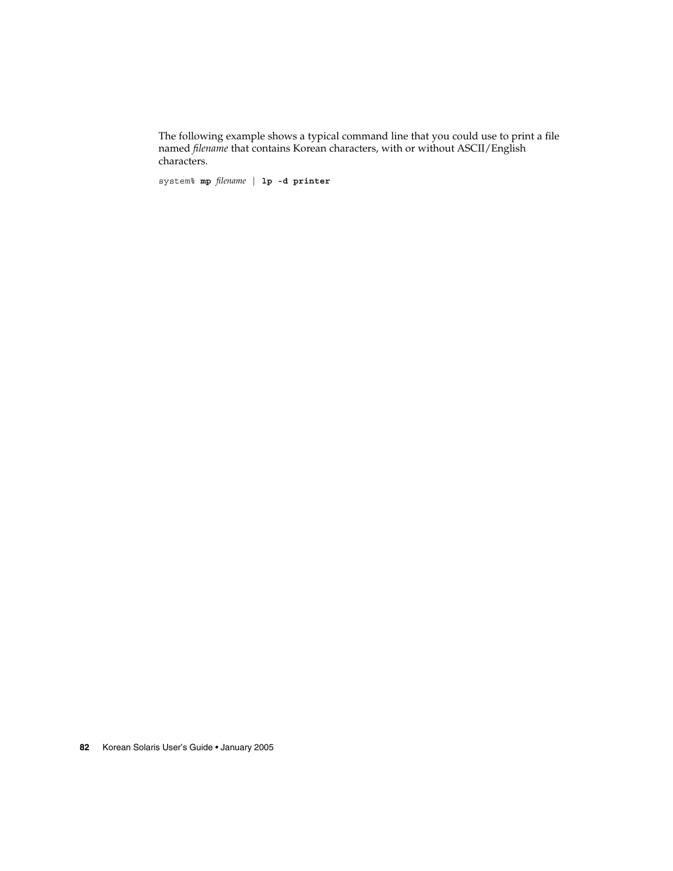The following example shows a typical command line that you could use to print a file named *filename* that contains Korean characters, with or without ASCII/English characters.

system% **mp** *filename* **| lp -d printer**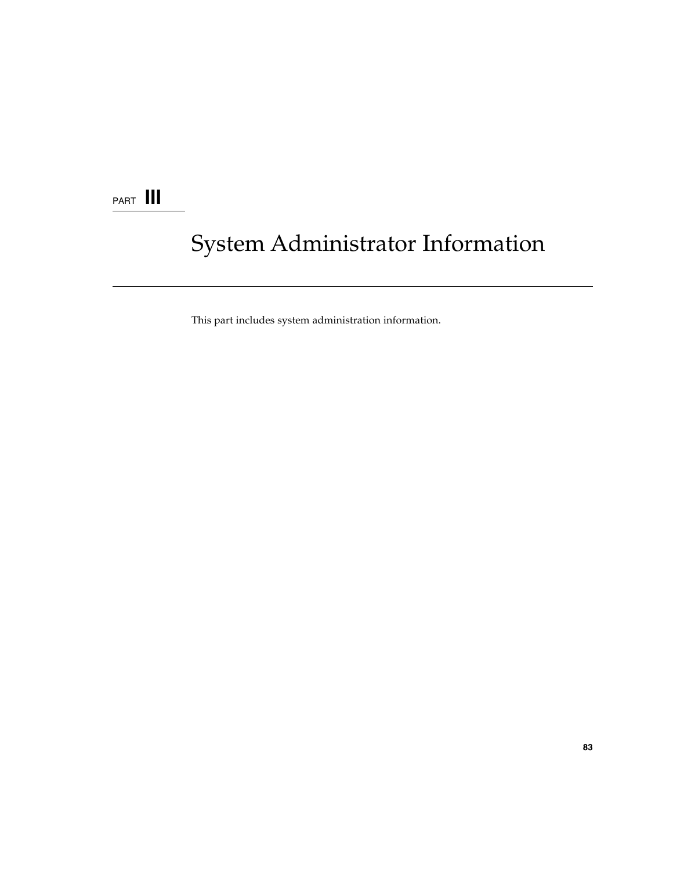PART **III**

# System Administrator Information

This part includes system administration information.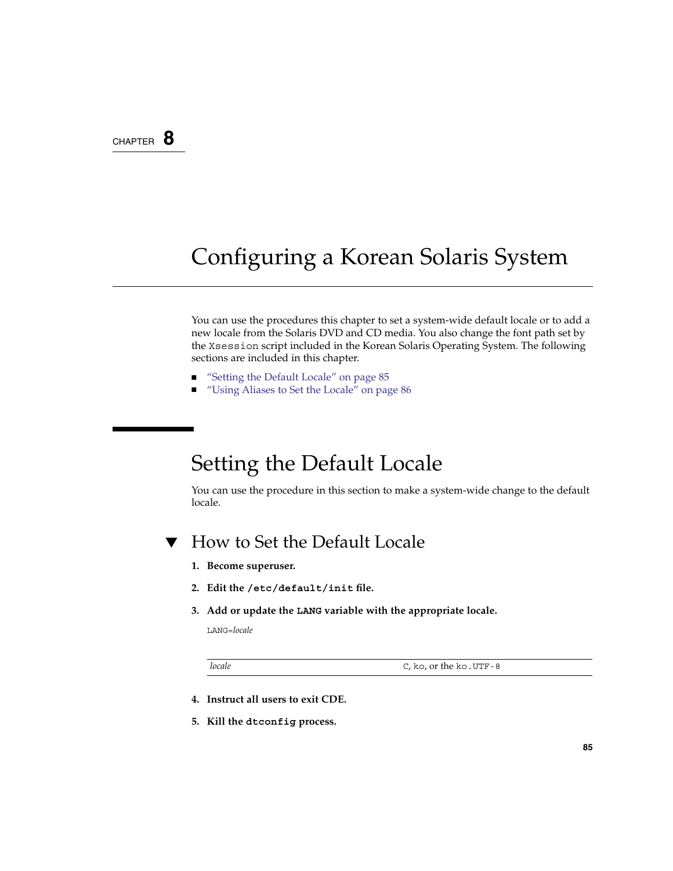### CHAPTER **8**

# Configuring a Korean Solaris System

You can use the procedures this chapter to set a system-wide default locale or to add a new locale from the Solaris DVD and CD media. You also change the font path set by the Xsession script included in the Korean Solaris Operating System. The following sections are included in this chapter.

- "Setting the Default Locale" on page 85
- ["Using Aliases to Set the Locale"](#page-85-0) on page 86

## Setting the Default Locale

You can use the procedure in this section to make a system-wide change to the default locale.

### ▼ How to Set the Default Locale

- **1. Become superuser.**
- **2. Edit the /etc/default/init file.**
- **3. Add or update the LANG variable with the appropriate locale.**

LANG=*locale*

*locale* C, ko, or the ko.UTF-8

- **4. Instruct all users to exit CDE.**
- **5. Kill the dtconfig process.**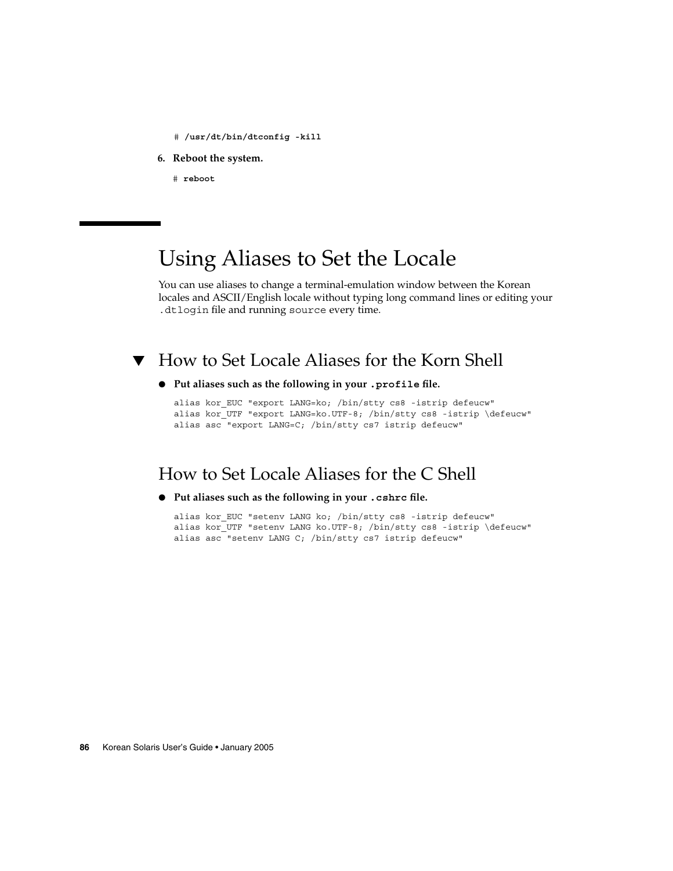- <span id="page-85-0"></span># **/usr/dt/bin/dtconfig -kill**
- **6. Reboot the system.**
	- # **reboot**

# Using Aliases to Set the Locale

You can use aliases to change a terminal-emulation window between the Korean locales and ASCII/English locale without typing long command lines or editing your .dtlogin file and running source every time.

### ▼ How to Set Locale Aliases for the Korn Shell

#### ● **Put aliases such as the following in your .profile file.**

alias kor\_EUC "export LANG=ko; /bin/stty cs8 -istrip defeucw" alias kor\_UTF "export LANG=ko.UTF-8; /bin/stty cs8 -istrip \defeucw" alias asc "export LANG=C; /bin/stty cs7 istrip defeucw"

### How to Set Locale Aliases for the C Shell

#### ● **Put aliases such as the following in your .cshrc file.**

alias kor EUC "setenv LANG ko; /bin/stty cs8 -istrip defeucw" alias kor\_UTF "setenv LANG ko.UTF-8; /bin/stty cs8 -istrip \defeucw" alias asc "setenv LANG C; /bin/stty cs7 istrip defeucw"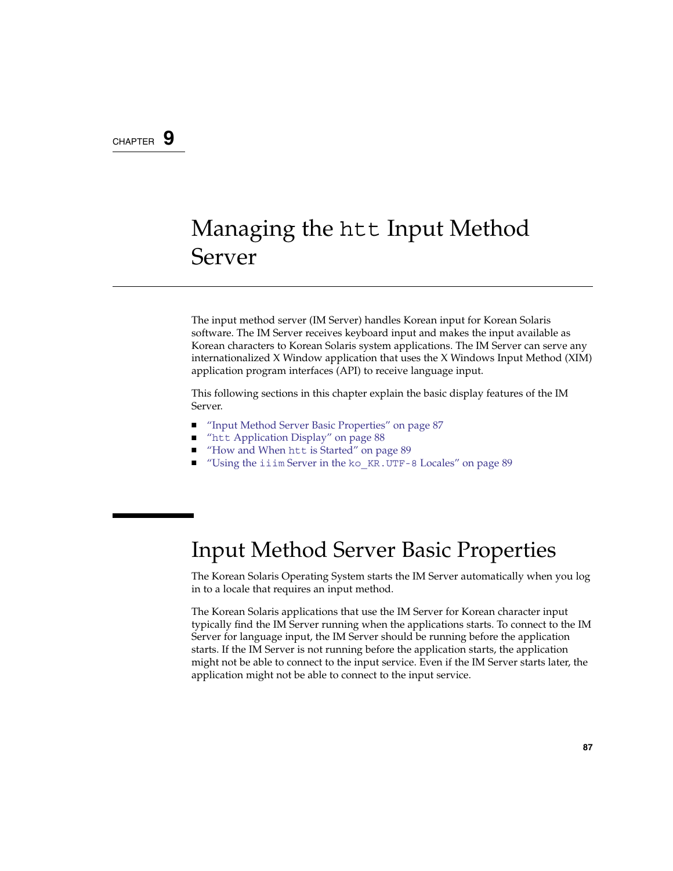### CHAPTER **9**

# Managing the htt Input Method Server

The input method server (IM Server) handles Korean input for Korean Solaris software. The IM Server receives keyboard input and makes the input available as Korean characters to Korean Solaris system applications. The IM Server can serve any internationalized X Window application that uses the X Windows Input Method (XIM) application program interfaces (API) to receive language input.

This following sections in this chapter explain the basic display features of the IM Server.

- "Input Method Server Basic Properties" on page 87
- "htt [Application Display"](#page-87-0) on page 88
- ["How and When](#page-88-0) htt is Started" on page 89
- "Using the iiim Server in the ko KR.UTF-8 Locales" on page 89

# Input Method Server Basic Properties

The Korean Solaris Operating System starts the IM Server automatically when you log in to a locale that requires an input method.

The Korean Solaris applications that use the IM Server for Korean character input typically find the IM Server running when the applications starts. To connect to the IM Server for language input, the IM Server should be running before the application starts. If the IM Server is not running before the application starts, the application might not be able to connect to the input service. Even if the IM Server starts later, the application might not be able to connect to the input service.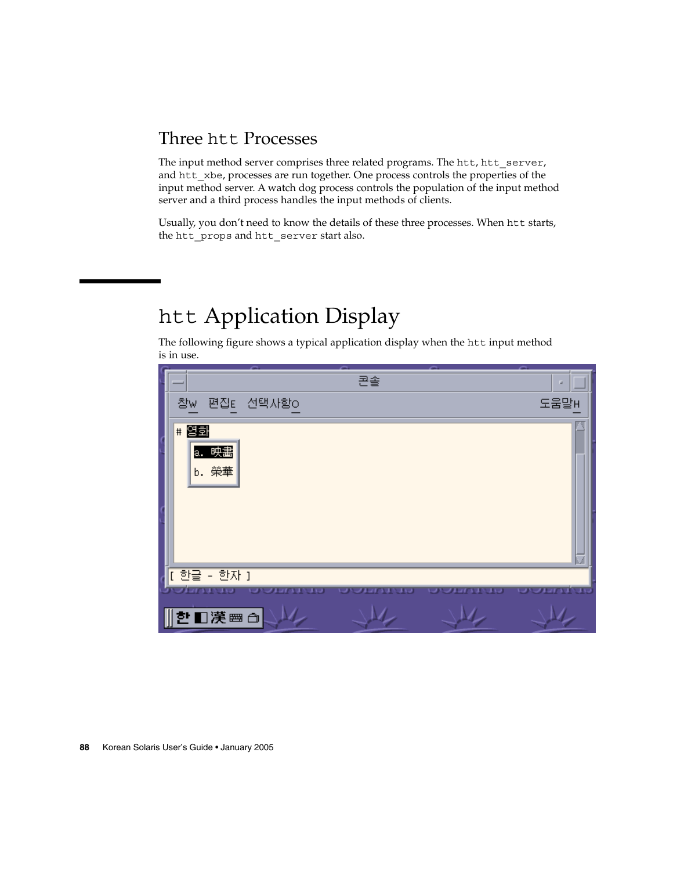### <span id="page-87-0"></span>Three htt Processes

The input method server comprises three related programs. The htt, htt\_server, and htt\_xbe, processes are run together. One process controls the properties of the input method server. A watch dog process controls the population of the input method server and a third process handles the input methods of clients.

Usually, you don't need to know the details of these three processes. When htt starts, the htt\_props and htt\_server start also.

# htt Application Display

The following figure shows a typical application display when the htt input method is in use.

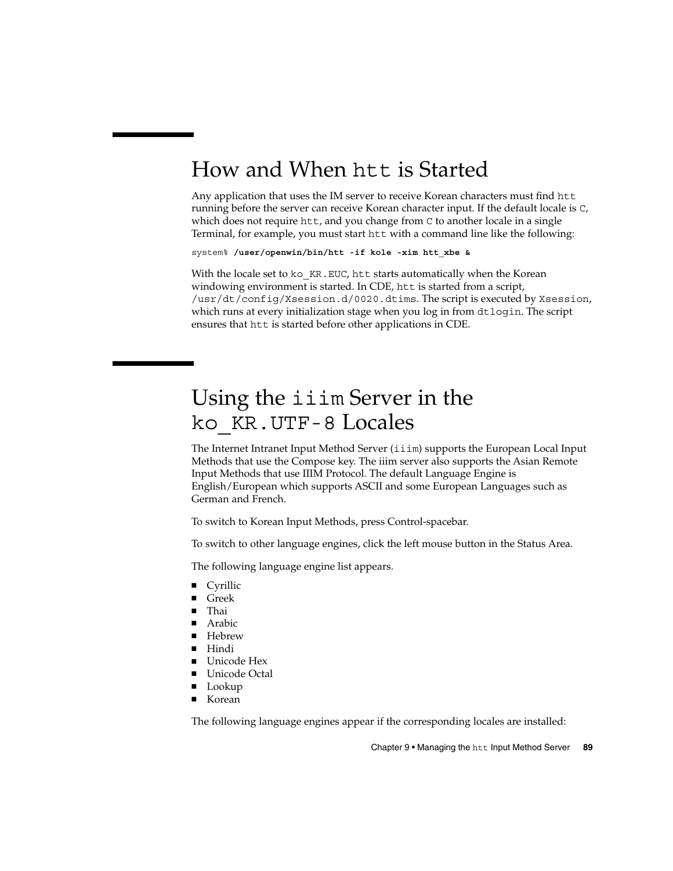# <span id="page-88-0"></span>How and When htt is Started

Any application that uses the IM server to receive Korean characters must find htt running before the server can receive Korean character input. If the default locale is C, which does not require htt, and you change from C to another locale in a single Terminal, for example, you must start htt with a command line like the following:

system% **/user/openwin/bin/htt -if kole -xim htt\_xbe &**

With the locale set to ko\_KR.EUC, htt starts automatically when the Korean windowing environment is started. In CDE, htt is started from a script, /usr/dt/config/Xsession.d/0020.dtims. The script is executed by Xsession, which runs at every initialization stage when you log in from dtlogin. The script ensures that htt is started before other applications in CDE.

# Using the iiim Server in the ko\_KR.UTF-8 Locales

The Internet Intranet Input Method Server (iiim) supports the European Local Input Methods that use the Compose key. The iiim server also supports the Asian Remote Input Methods that use IIIM Protocol. The default Language Engine is English/European which supports ASCII and some European Languages such as German and French.

To switch to Korean Input Methods, press Control-spacebar.

To switch to other language engines, click the left mouse button in the Status Area.

The following language engine list appears.

- Cyrillic
- Greek
- Thai
- Arabic
- Hebrew
- Hindi
- Unicode Hex
- Unicode Octal
- Lookup
- Korean

The following language engines appear if the corresponding locales are installed:

Chapter 9 • Managing the htt Input Method Server **89**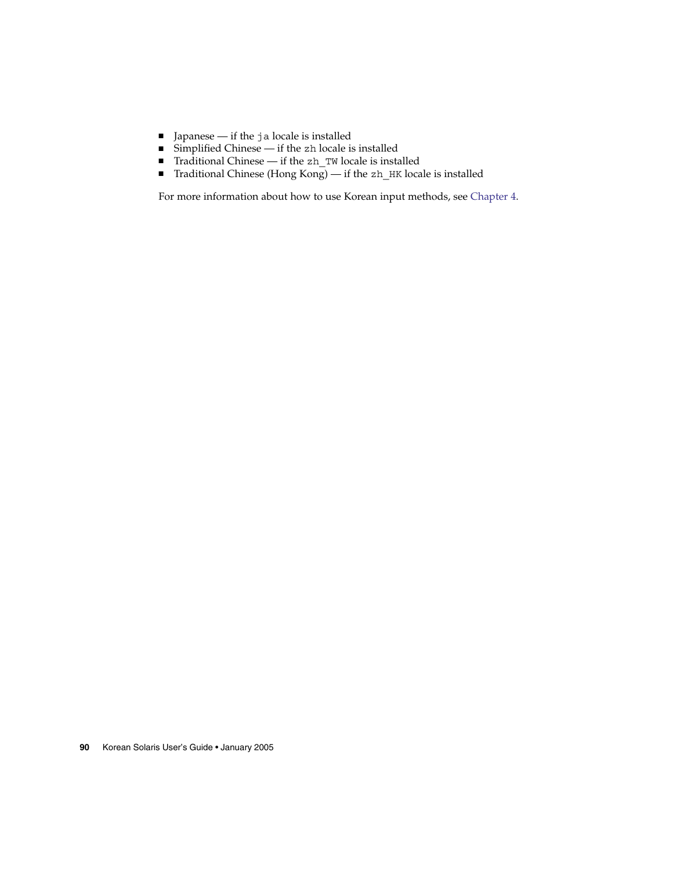- Japanese if the ja locale is installed
- Simplified Chinese if the zh locale is installed
- Traditional Chinese if the zh\_TW locale is installed
- Traditional Chinese (Hong Kong) if the zh\_HK locale is installed

For more information about how to use Korean input methods, see [Chapter 4.](#page-30-0)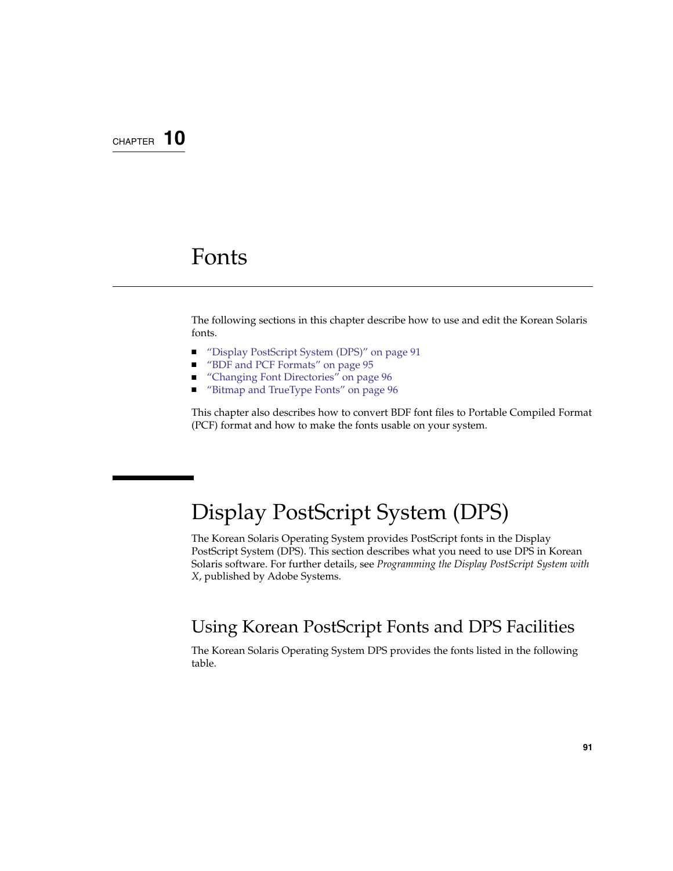### CHAPTER **10**

# Fonts

The following sections in this chapter describe how to use and edit the Korean Solaris fonts.

- "Display PostScript System (DPS)" on page 91
- ["BDF and PCF Formats"](#page-94-0) on page 95
- ["Changing Font Directories"](#page-95-0) on page 96
- ["Bitmap and TrueType Fonts"](#page-95-0) on page 96

This chapter also describes how to convert BDF font files to Portable Compiled Format (PCF) format and how to make the fonts usable on your system.

# Display PostScript System (DPS)

The Korean Solaris Operating System provides PostScript fonts in the Display PostScript System (DPS). This section describes what you need to use DPS in Korean Solaris software. For further details, see *Programming the Display PostScript System with X*, published by Adobe Systems.

### Using Korean PostScript Fonts and DPS Facilities

The Korean Solaris Operating System DPS provides the fonts listed in the following table.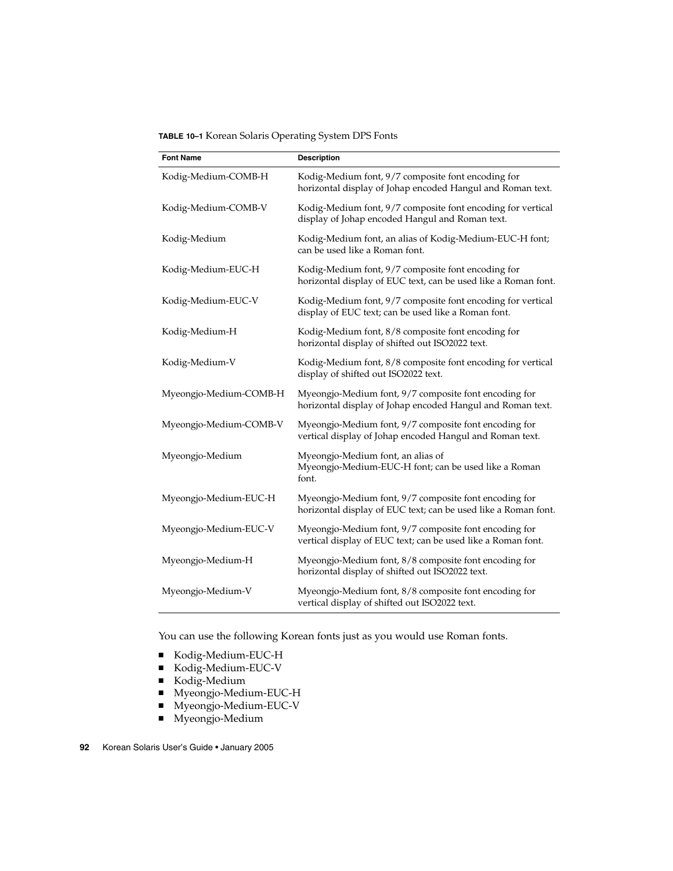| TABLE 10-1 Korean Solaris Operating System DPS Fonts |  |  |
|------------------------------------------------------|--|--|
|                                                      |  |  |

| <b>Font Name</b>       | <b>Description</b>                                                                                                      |
|------------------------|-------------------------------------------------------------------------------------------------------------------------|
| Kodig-Medium-COMB-H    | Kodig-Medium font, 9/7 composite font encoding for<br>horizontal display of Johap encoded Hangul and Roman text.        |
| Kodig-Medium-COMB-V    | Kodig-Medium font, 9/7 composite font encoding for vertical<br>display of Johap encoded Hangul and Roman text.          |
| Kodig-Medium           | Kodig-Medium font, an alias of Kodig-Medium-EUC-H font;<br>can be used like a Roman font.                               |
| Kodig-Medium-EUC-H     | Kodig-Medium font, 9/7 composite font encoding for<br>horizontal display of EUC text, can be used like a Roman font.    |
| Kodig-Medium-EUC-V     | Kodig-Medium font, 9/7 composite font encoding for vertical<br>display of EUC text; can be used like a Roman font.      |
| Kodig-Medium-H         | Kodig-Medium font, 8/8 composite font encoding for<br>horizontal display of shifted out ISO2022 text.                   |
| Kodig-Medium-V         | Kodig-Medium font, 8/8 composite font encoding for vertical<br>display of shifted out ISO2022 text.                     |
| Myeongjo-Medium-COMB-H | Myeongjo-Medium font, 9/7 composite font encoding for<br>horizontal display of Johap encoded Hangul and Roman text.     |
| Myeongjo-Medium-COMB-V | Myeongjo-Medium font, 9/7 composite font encoding for<br>vertical display of Johap encoded Hangul and Roman text.       |
| Myeongjo-Medium        | Myeongjo-Medium font, an alias of<br>Myeongjo-Medium-EUC-H font; can be used like a Roman<br>font.                      |
| Myeongjo-Medium-EUC-H  | Myeongjo-Medium font, 9/7 composite font encoding for<br>horizontal display of EUC text; can be used like a Roman font. |
| Myeongjo-Medium-EUC-V  | Myeongjo-Medium font, 9/7 composite font encoding for<br>vertical display of EUC text; can be used like a Roman font.   |
| Myeongjo-Medium-H      | Myeongjo-Medium font, 8/8 composite font encoding for<br>horizontal display of shifted out ISO2022 text.                |
| Myeongjo-Medium-V      | Myeongjo-Medium font, 8/8 composite font encoding for<br>vertical display of shifted out ISO2022 text.                  |

You can use the following Korean fonts just as you would use Roman fonts.

- Kodig-Medium-EUC-H
- Kodig-Medium-EUC-V
- Kodig-Medium
- Myeongjo-Medium-EUC-H
- Myeongjo-Medium-EUC-V
- Myeongjo-Medium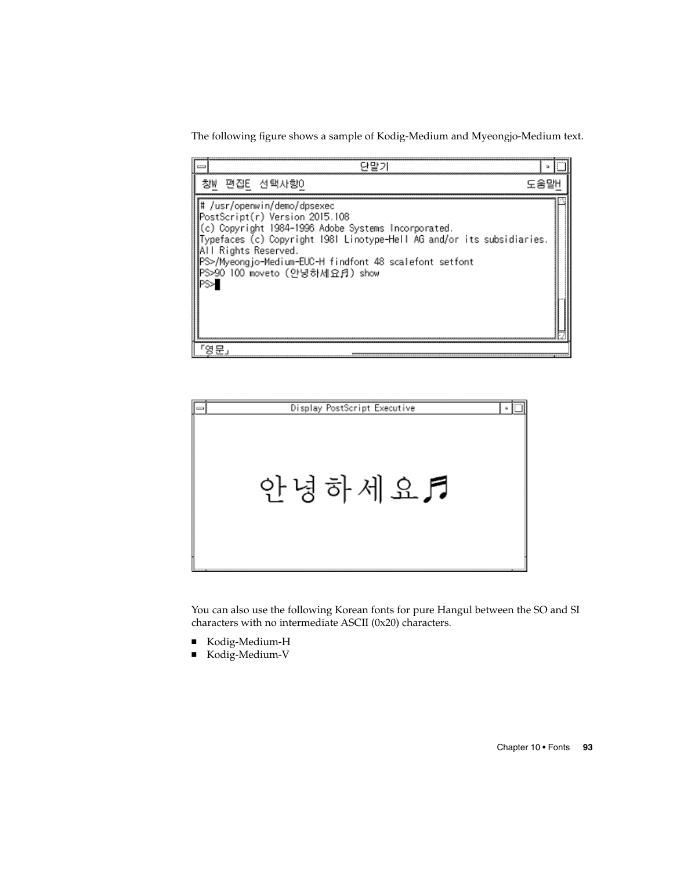The following figure shows a sample of Kodig-Medium and Myeongjo-Medium text.

| 편집E 선택사항O                                                                                                                                                                                                                                                                                                           | 도움말 |
|---------------------------------------------------------------------------------------------------------------------------------------------------------------------------------------------------------------------------------------------------------------------------------------------------------------------|-----|
| # /usr/openwin/demo/dpsexec<br>PostScript(r) Version 2015.108<br>(c) Copyright 1984-1996 Adobe Systems Incorporated.<br>Typefaces (c) Copyright 1981 Linotype-Hell AG and/or its subsidiaries.<br>All Rights Reserved.<br>PS>/Myeongjo-Medium-EUC-H findfont 48 scalefont setfont<br>PS>90 100 moveto (안녕하세요♬) show |     |
| 영문.                                                                                                                                                                                                                                                                                                                 |     |

| Display PostScript Executive |  |
|------------------------------|--|
| 안녕하세요 <b>♬</b>               |  |

You can also use the following Korean fonts for pure Hangul between the SO and SI characters with no intermediate ASCII (0x20) characters.

- Kodig-Medium-H
- Kodig-Medium-V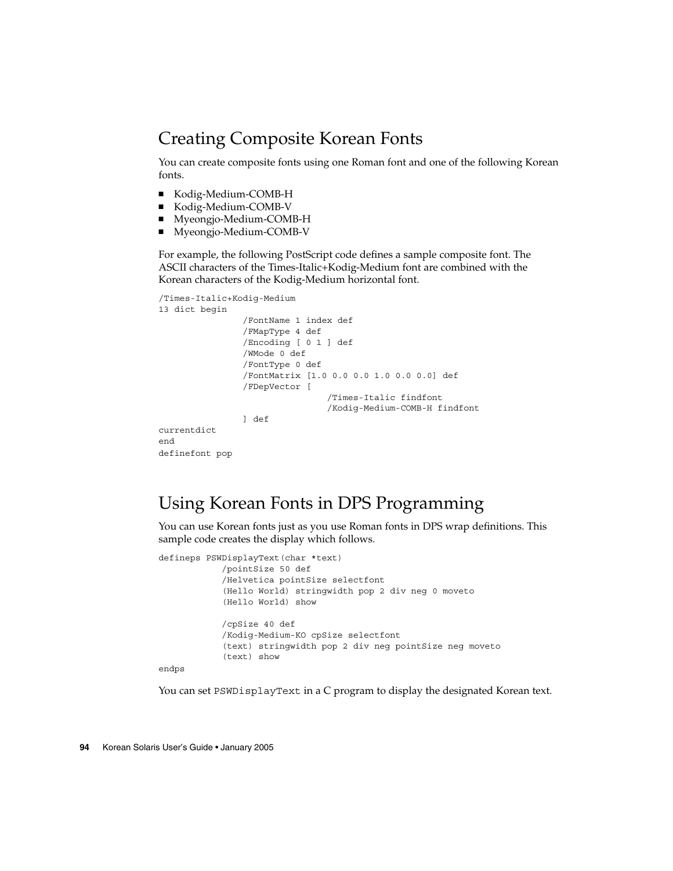### Creating Composite Korean Fonts

You can create composite fonts using one Roman font and one of the following Korean fonts.

- Kodig-Medium-COMB-H
- Kodig-Medium-COMB-V
- Myeongjo-Medium-COMB-H
- Myeongjo-Medium-COMB-V

For example, the following PostScript code defines a sample composite font. The ASCII characters of the Times-Italic+Kodig-Medium font are combined with the Korean characters of the Kodig-Medium horizontal font.

```
/Times-Italic+Kodig-Medium
13 dict begin
                /FontName 1 index def
                /FMapType 4 def
                /Encoding [ 0 1 ] def
                /WMode 0 def
                /FontType 0 def
                /FontMatrix [1.0 0.0 0.0 1.0 0.0 0.0] def
                /FDepVector [
                                /Times-Italic findfont
                                /Kodig-Medium-COMB-H findfont
                ] def
currentdict
end
definefont pop
```
### Using Korean Fonts in DPS Programming

You can use Korean fonts just as you use Roman fonts in DPS wrap definitions. This sample code creates the display which follows.

```
defineps PSWDisplayText(char *text)
            /pointSize 50 def
            /Helvetica pointSize selectfont
            (Hello World) stringwidth pop 2 div neg 0 moveto
            (Hello World) show
            /cpSize 40 def
            /Kodig-Medium-KO cpSize selectfont
            (text) stringwidth pop 2 div neg pointSize neg moveto
            (text) show
endps
```
You can set PSWDisplayText in a C program to display the designated Korean text.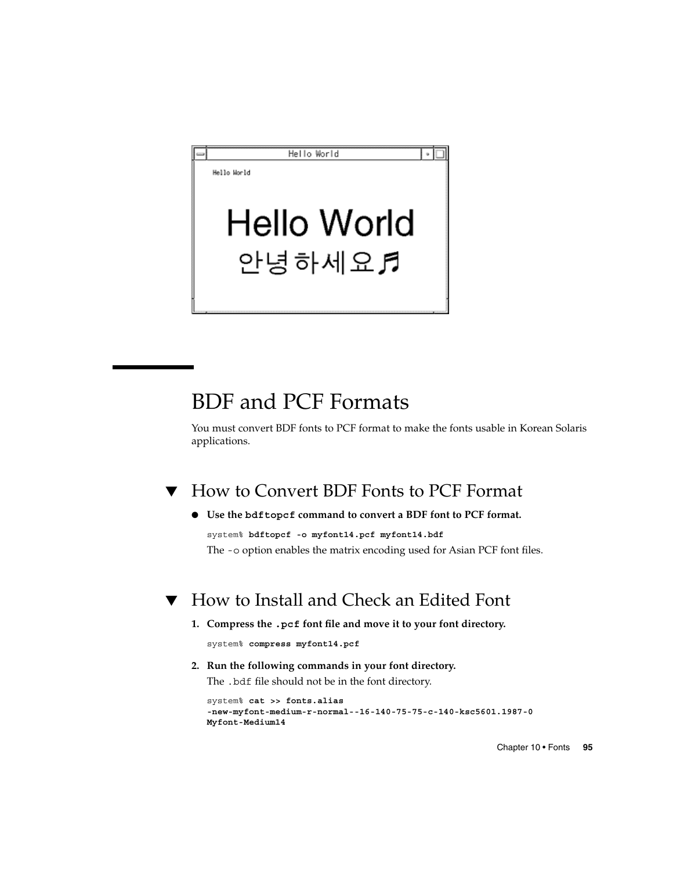<span id="page-94-0"></span>

# BDF and PCF Formats

You must convert BDF fonts to PCF format to make the fonts usable in Korean Solaris applications.

### How to Convert BDF Fonts to PCF Format

● **Use the bdftopcf command to convert a BDF font to PCF format.**

system% **bdftopcf -o myfont14.pcf myfont14.bdf** The -o option enables the matrix encoding used for Asian PCF font files.

### ▼ How to Install and Check an Edited Font

**1. Compress the .pcf font file and move it to your font directory.**

system% **compress myfont14.pcf**

**2. Run the following commands in your font directory.**

The .bdf file should not be in the font directory.

```
system% cat >> fonts.alias
-new-myfont-medium-r-normal--16-140-75-75-c-140-ksc5601.1987-0
Myfont-Medium14
```
Chapter 10 • Fonts **95**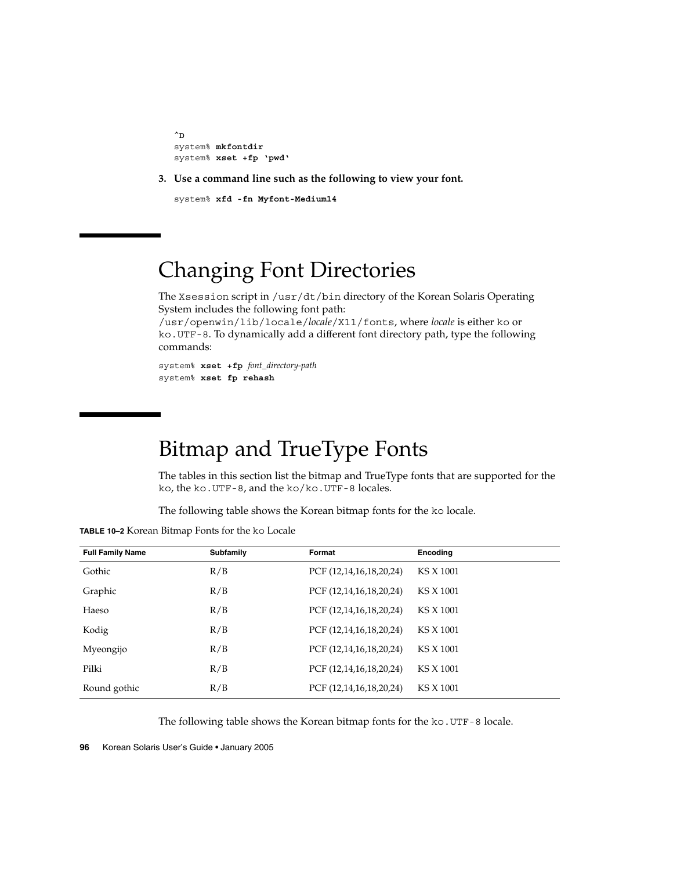```
^D
system% mkfontdir
system% xset +fp 'pwd'
```
**3. Use a command line such as the following to view your font.**

```
system% xfd -fn Myfont-Medium14
```
# Changing Font Directories

The Xsession script in /usr/dt/bin directory of the Korean Solaris Operating System includes the following font path:

/usr/openwin/lib/locale/*locale*/X11/fonts, where *locale* is either ko or ko.UTF-8. To dynamically add a different font directory path, type the following commands:

system% **xset +fp** *font\_directory-path* system% **xset fp rehash**

# Bitmap and TrueType Fonts

The tables in this section list the bitmap and TrueType fonts that are supported for the ko, the ko.UTF-8, and the ko/ko.UTF-8 locales.

The following table shows the Korean bitmap fonts for the ko locale.

| <b>TABLE 10–2</b> Korean Bitmap Fonts for the ko Locale |  |
|---------------------------------------------------------|--|
|---------------------------------------------------------|--|

| <b>Full Family Name</b> | Subfamily | Format                  | Encoding         |
|-------------------------|-----------|-------------------------|------------------|
| Gothic                  | R/B       | PCF (12,14,16,18,20,24) | KS X 1001        |
| Graphic                 | R/B       | PCF (12,14,16,18,20,24) | KS X 1001        |
| Haeso                   | R/B       | PCF (12,14,16,18,20,24) | KS X 1001        |
| Kodig                   | R/B       | PCF (12,14,16,18,20,24) | KS X 1001        |
| Myeongijo               | R/B       | PCF (12,14,16,18,20,24) | KS X 1001        |
| Pilki                   | R/B       | PCF (12,14,16,18,20,24) | <b>KS X 1001</b> |
| Round gothic            | R/B       | PCF (12,14,16,18,20,24) | KS X 1001        |

The following table shows the Korean bitmap fonts for the ko. UTF-8 locale.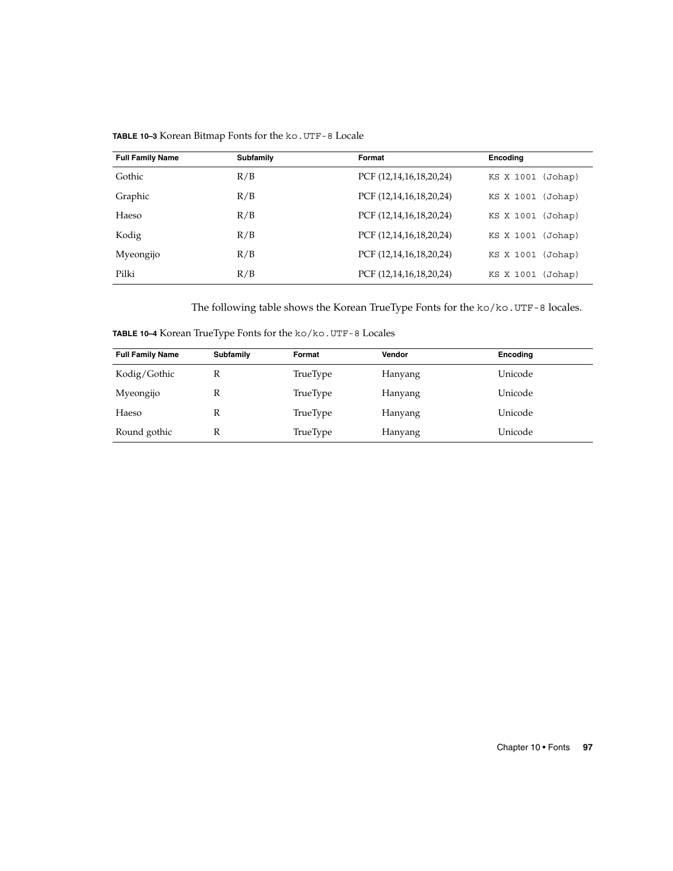| TABLE 10-3 Korean Bitmap Fonts for the ko. UTF-8 Locale |  |
|---------------------------------------------------------|--|
|                                                         |  |

| <b>Full Family Name</b> | Subfamily | Format                  | <b>Encoding</b>      |
|-------------------------|-----------|-------------------------|----------------------|
| Gothic                  | R/B       | PCF (12,14,16,18,20,24) | KS X 1001<br>(Johap) |
| Graphic                 | R/B       | PCF (12,14,16,18,20,24) | (Johap)<br>KS X 1001 |
| Haeso                   | R/B       | PCF (12,14,16,18,20,24) | KS X 1001<br>(Johap) |
| Kodig                   | R/B       | PCF (12,14,16,18,20,24) | (Johap)<br>KS X 1001 |
| Myeongijo               | R/B       | PCF (12,14,16,18,20,24) | KS X 1001<br>(Johap) |
| Pilki                   | R/B       | PCF (12,14,16,18,20,24) | KS X 1001<br>(Johap) |

The following table shows the Korean TrueType Fonts for the ko/ko.UTF-8 locales.

**TABLE 10–4** Korean TrueType Fonts for the ko/ko.UTF-8 Locales

| <b>Full Family Name</b> | Subfamily | Format   | Vendor  | <b>Encoding</b> |
|-------------------------|-----------|----------|---------|-----------------|
| Kodig/Gothic            | R         | TrueType | Hanyang | Unicode         |
| Myeongijo               | R         | TrueType | Hanyang | Unicode         |
| Haeso                   | R         | TrueType | Hanyang | Unicode         |
| Round gothic            | R         | TrueType | Hanyang | Unicode         |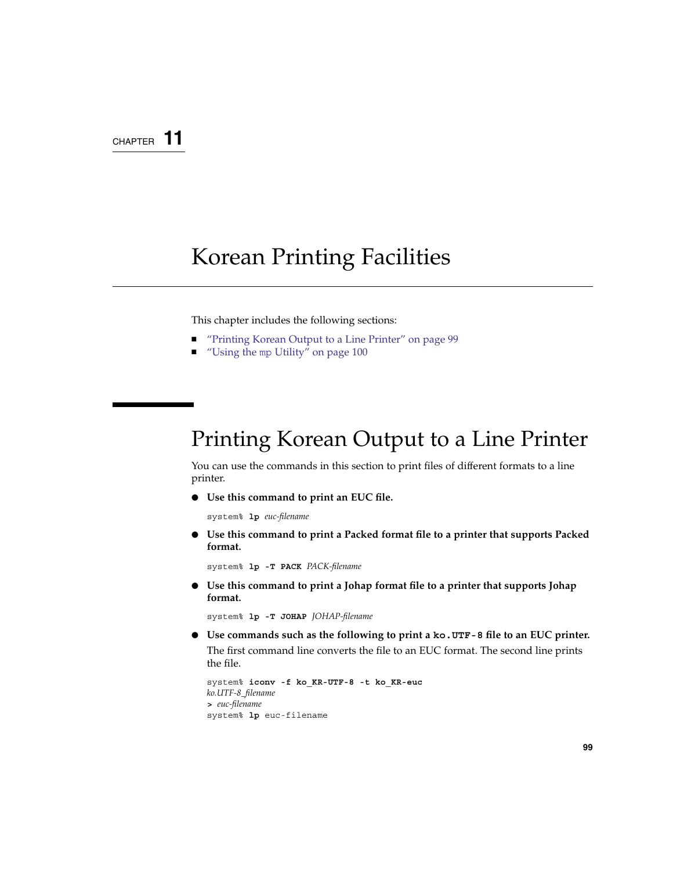### CHAPTER **11**

# Korean Printing Facilities

This chapter includes the following sections:

- "Printing Korean Output to a Line Printer" on page 99
- *"*Using the mp Utility" [on page 100](#page-99-0)

# Printing Korean Output to a Line Printer

You can use the commands in this section to print files of different formats to a line printer.

● **Use this command to print an EUC file.**

system% **lp** *euc-filename*

● **Use this command to print a Packed format file to a printer that supports Packed format.**

system% **lp -T PACK** *PACK-filename*

● **Use this command to print a Johap format file to a printer that supports Johap format.**

system% **lp -T JOHAP** *JOHAP-filename*

● **Use commands such as the following to print a ko.UTF-8 file to an EUC printer.** The first command line converts the file to an EUC format. The second line prints the file.

```
system% iconv -f ko_KR-UTF-8 -t ko_KR-euc
ko.UTF-8_filename
> euc-filename
system% lp euc-filename
```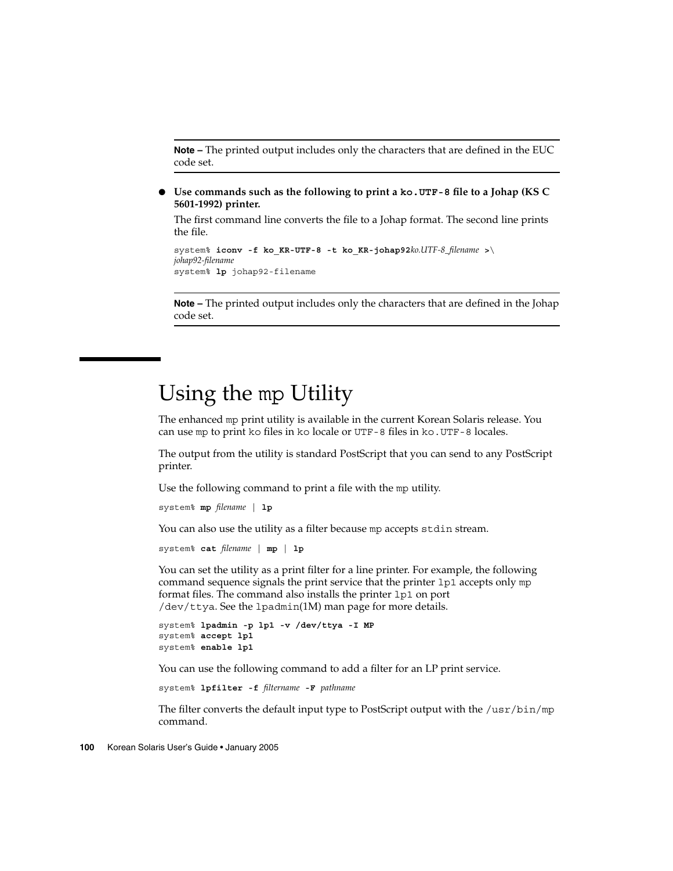<span id="page-99-0"></span>**Note –** The printed output includes only the characters that are defined in the EUC code set.

● **Use commands such as the following to print a ko.UTF-8 file to a Johap (KS C 5601-1992) printer.**

The first command line converts the file to a Johap format. The second line prints the file.

```
system% iconv -f ko_KR-UTF-8 -t ko_KR-johap92ko.UTF-8_filename >\
johap92-filename
system% lp johap92-filename
```
**Note –** The printed output includes only the characters that are defined in the Johap code set.

# Using the mp Utility

The enhanced mp print utility is available in the current Korean Solaris release. You can use mp to print ko files in ko locale or UTF-8 files in ko.UTF-8 locales.

The output from the utility is standard PostScript that you can send to any PostScript printer.

Use the following command to print a file with the mp utility.

```
system% mp filename | lp
```
You can also use the utility as a filter because mp accepts stdin stream.

```
system% cat filename | mp | lp
```
You can set the utility as a print filter for a line printer. For example, the following command sequence signals the print service that the printer lp1 accepts only mp format files. The command also installs the printer lp1 on port /dev/ttya. See the lpadmin(1M) man page for more details.

```
system% lpadmin -p lp1 -v /dev/ttya -I MP
system% accept lp1
system% enable lp1
```
You can use the following command to add a filter for an LP print service.

system% **lpfilter -f** *filtername* **-F** *pathname*

The filter converts the default input type to PostScript output with the /usr/bin/mp command.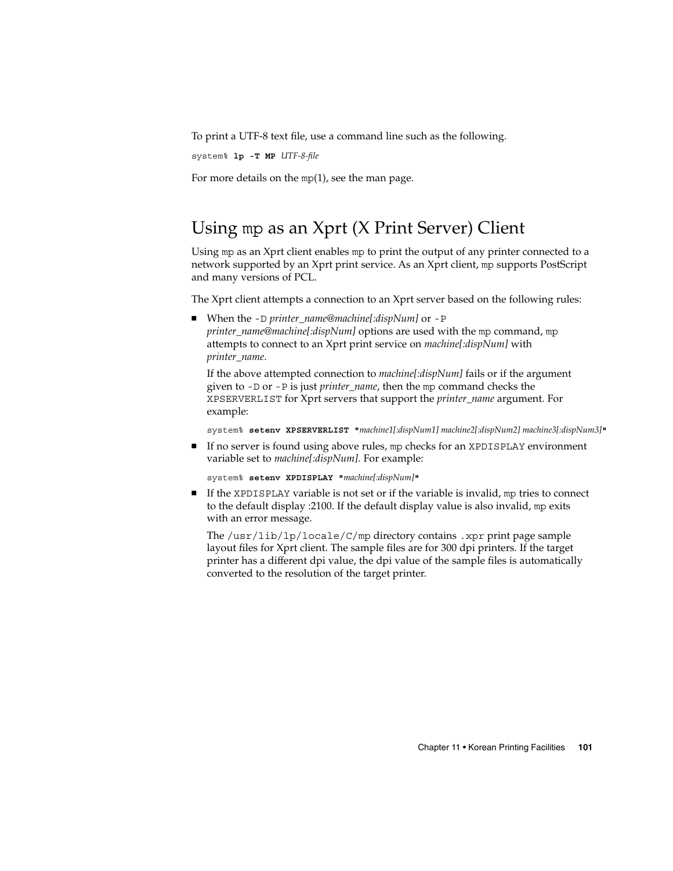To print a UTF-8 text file, use a command line such as the following.

system% **lp -T MP** *UTF-8-file*

For more details on the  $mp(1)$ , see the man page.

### Using mp as an Xprt (X Print Server) Client

Using mp as an Xprt client enables mp to print the output of any printer connected to a network supported by an Xprt print service. As an Xprt client, mp supports PostScript and many versions of PCL.

The Xprt client attempts a connection to an Xprt server based on the following rules:

■ When the -D *printer\_name@machine[:dispNum]* or -P *printer\_name@machine[:dispNum]* options are used with the mp command, mp attempts to connect to an Xprt print service on *machine[:dispNum]* with *printer\_name*.

If the above attempted connection to *machine[:dispNum]* fails or if the argument given to -D or -P is just *printer\_name*, then the mp command checks the XPSERVERLIST for Xprt servers that support the *printer\_name* argument. For example:

system% **setenv XPSERVERLIST "***machine1[:dispNum1] machine2[:dispNum2] machine3[:dispNum3]***"**

■ If no server is found using above rules, mp checks for an XPDISPLAY environment variable set to *machine[:dispNum]*. For example:

system% **setenv XPDISPLAY "***machine[:dispNum]***"**

■ If the XPDISPLAY variable is not set or if the variable is invalid, mp tries to connect to the default display :2100. If the default display value is also invalid, mp exits with an error message.

The  $\langle \text{usr}/\text{lib}/\text{lp}/\text{local}e/\text{C}/\text{mp}$  directory contains . xpr print page sample layout files for Xprt client. The sample files are for 300 dpi printers. If the target printer has a different dpi value, the dpi value of the sample files is automatically converted to the resolution of the target printer.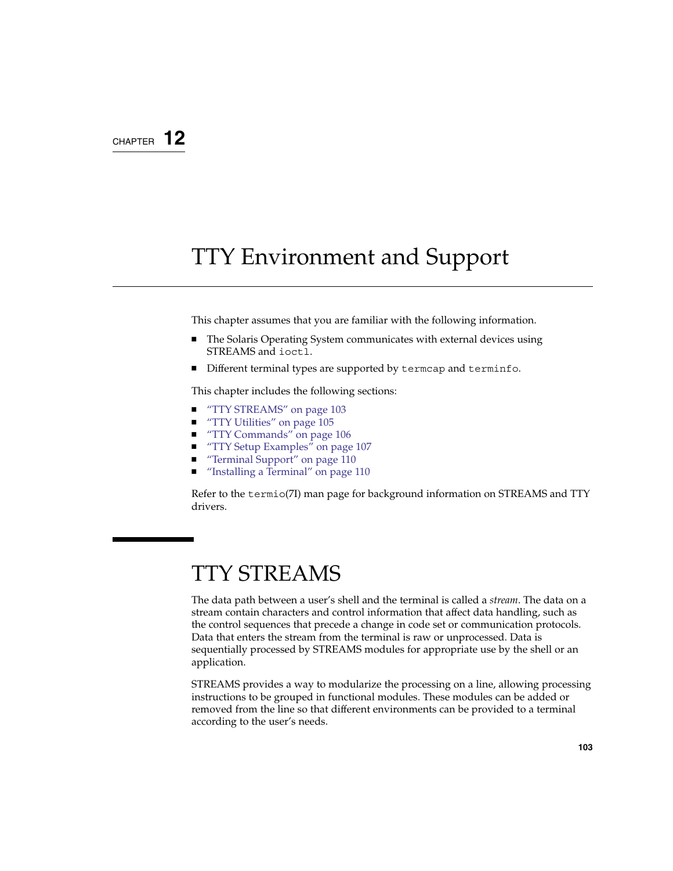### CHAPTER **12**

# TTY Environment and Support

This chapter assumes that you are familiar with the following information.

- The Solaris Operating System communicates with external devices using STREAMS and ioctl.
- Different terminal types are supported by termcap and terminfo.

This chapter includes the following sections:

- "TTY STREAMS" on page 103
- ["TTY Utilities"](#page-104-0) on page 105
- ["TTY Commands"](#page-105-0) on page 106
- ["TTY Setup Examples"](#page-106-0) on page 107
- ["Terminal Support"](#page-109-0) on page 110
- *["Installing a Terminal"](#page-109-0)* on page 110

Refer to the termio(7I) man page for background information on STREAMS and TTY drivers.

### TTY STREAMS

The data path between a user's shell and the terminal is called a *stream*. The data on a stream contain characters and control information that affect data handling, such as the control sequences that precede a change in code set or communication protocols. Data that enters the stream from the terminal is raw or unprocessed. Data is sequentially processed by STREAMS modules for appropriate use by the shell or an application.

STREAMS provides a way to modularize the processing on a line, allowing processing instructions to be grouped in functional modules. These modules can be added or removed from the line so that different environments can be provided to a terminal according to the user's needs.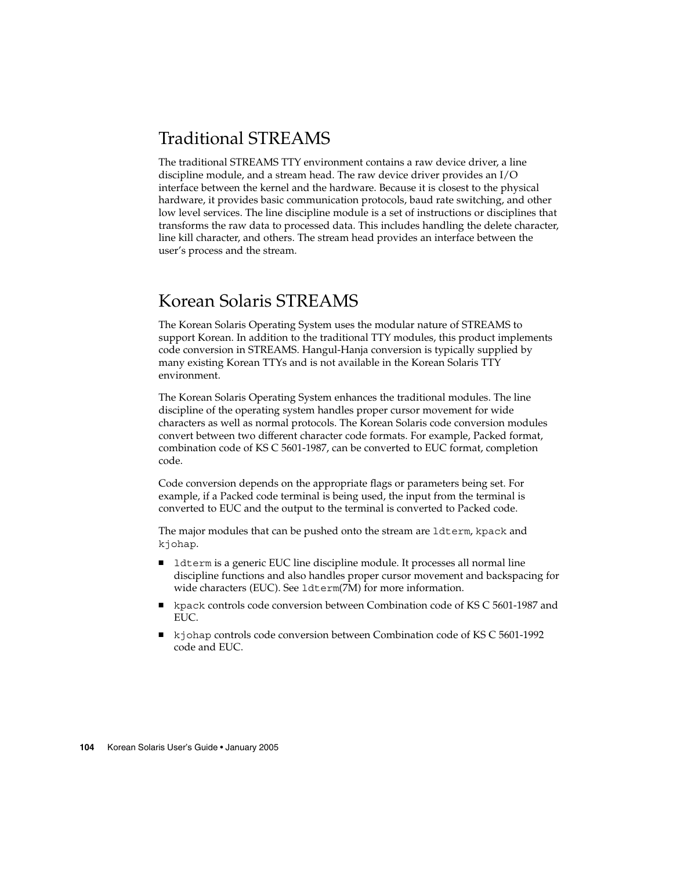### Traditional STREAMS

The traditional STREAMS TTY environment contains a raw device driver, a line discipline module, and a stream head. The raw device driver provides an I/O interface between the kernel and the hardware. Because it is closest to the physical hardware, it provides basic communication protocols, baud rate switching, and other low level services. The line discipline module is a set of instructions or disciplines that transforms the raw data to processed data. This includes handling the delete character, line kill character, and others. The stream head provides an interface between the user's process and the stream.

### Korean Solaris STREAMS

The Korean Solaris Operating System uses the modular nature of STREAMS to support Korean. In addition to the traditional TTY modules, this product implements code conversion in STREAMS. Hangul-Hanja conversion is typically supplied by many existing Korean TTYs and is not available in the Korean Solaris TTY environment.

The Korean Solaris Operating System enhances the traditional modules. The line discipline of the operating system handles proper cursor movement for wide characters as well as normal protocols. The Korean Solaris code conversion modules convert between two different character code formats. For example, Packed format, combination code of KS C 5601-1987, can be converted to EUC format, completion code.

Code conversion depends on the appropriate flags or parameters being set. For example, if a Packed code terminal is being used, the input from the terminal is converted to EUC and the output to the terminal is converted to Packed code.

The major modules that can be pushed onto the stream are ldterm, kpack and kjohap.

- ldterm is a generic EUC line discipline module. It processes all normal line discipline functions and also handles proper cursor movement and backspacing for wide characters (EUC). See ldterm(7M) for more information.
- kpack controls code conversion between Combination code of KS C 5601-1987 and EUC.
- kjohap controls code conversion between Combination code of KS C 5601-1992 code and EUC.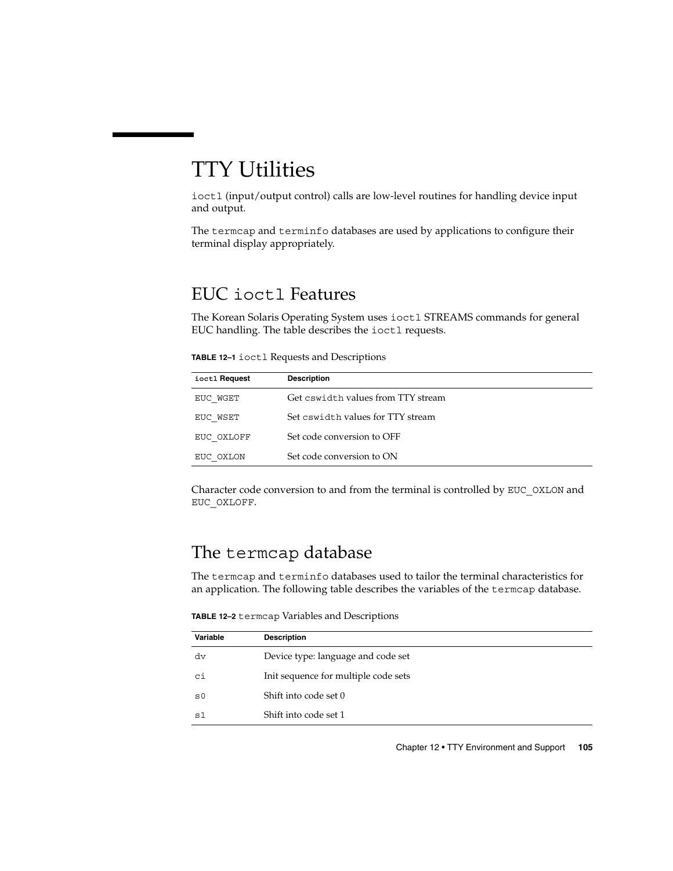# <span id="page-104-0"></span>TTY Utilities

ioctl (input/output control) calls are low-level routines for handling device input and output.

The termcap and terminfo databases are used by applications to configure their terminal display appropriately.

### EUC ioctl Features

The Korean Solaris Operating System uses ioctl STREAMS commands for general EUC handling. The table describes the ioctl requests.

**TABLE 12–1** ioctl Requests and Descriptions

| ioct1 Request | <b>Description</b>                 |  |
|---------------|------------------------------------|--|
| EUC WGET      | Get cswidth values from TTY stream |  |
| EUC WSET      | Set cswidth values for TTY stream  |  |
| EUC OXLOFF    | Set code conversion to OFF         |  |
| EUC OXLON     | Set code conversion to ON          |  |

Character code conversion to and from the terminal is controlled by EUC\_OXLON and EUC\_OXLOFF.

### The termcap database

The termcap and terminfo databases used to tailor the terminal characteristics for an application. The following table describes the variables of the termcap database.

**TABLE 12–2** termcap Variables and Descriptions

| Variable       | <b>Description</b>                   |
|----------------|--------------------------------------|
| dv             | Device type: language and code set   |
| сi             | Init sequence for multiple code sets |
| $\mathrm{s}$ 0 | Shift into code set 0                |
| s1             | Shift into code set 1                |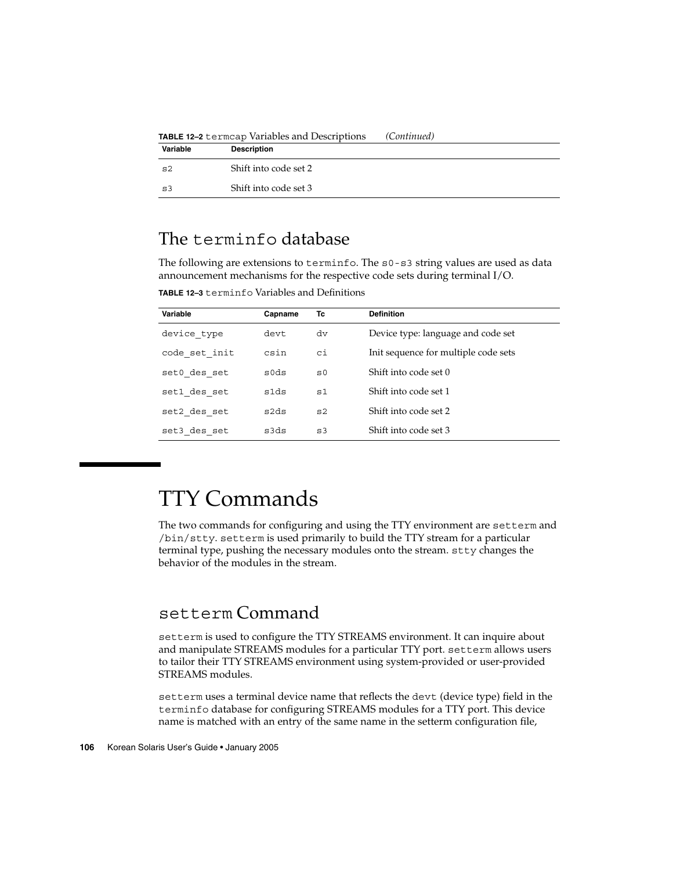<span id="page-105-0"></span>

| <b>TABLE 12-2</b> termcap Variables and Descriptions |                       | (Continued) |
|------------------------------------------------------|-----------------------|-------------|
| Variable                                             | <b>Description</b>    |             |
| s2                                                   | Shift into code set 2 |             |
| $\mathbf{s}3$                                        | Shift into code set 3 |             |

### The terminfo database

The following are extensions to terminfo. The s0-s3 string values are used as data announcement mechanisms for the respective code sets during terminal I/O.

| Variable      | Capname | Тc            | <b>Definition</b>                    |
|---------------|---------|---------------|--------------------------------------|
| device type   | devt    | dv            | Device type: language and code set   |
| code set init | csin    | сi            | Init sequence for multiple code sets |
| set0 des set  | s0ds    | $\sin \theta$ | Shift into code set 0                |
| set1 des set  | s1ds    | s1            | Shift into code set 1                |
| set2 des set  | s2ds    | s2            | Shift into code set 2                |
| set3 des set  | s3ds    | s3            | Shift into code set 3                |

**TABLE 12–3** terminfo Variables and Definitions

# TTY Commands

The two commands for configuring and using the TTY environment are setterm and /bin/stty. setterm is used primarily to build the TTY stream for a particular terminal type, pushing the necessary modules onto the stream. stty changes the behavior of the modules in the stream.

### setterm Command

setterm is used to configure the TTY STREAMS environment. It can inquire about and manipulate STREAMS modules for a particular TTY port. setterm allows users to tailor their TTY STREAMS environment using system-provided or user-provided STREAMS modules.

setterm uses a terminal device name that reflects the devt (device type) field in the terminfo database for configuring STREAMS modules for a TTY port. This device name is matched with an entry of the same name in the setterm configuration file,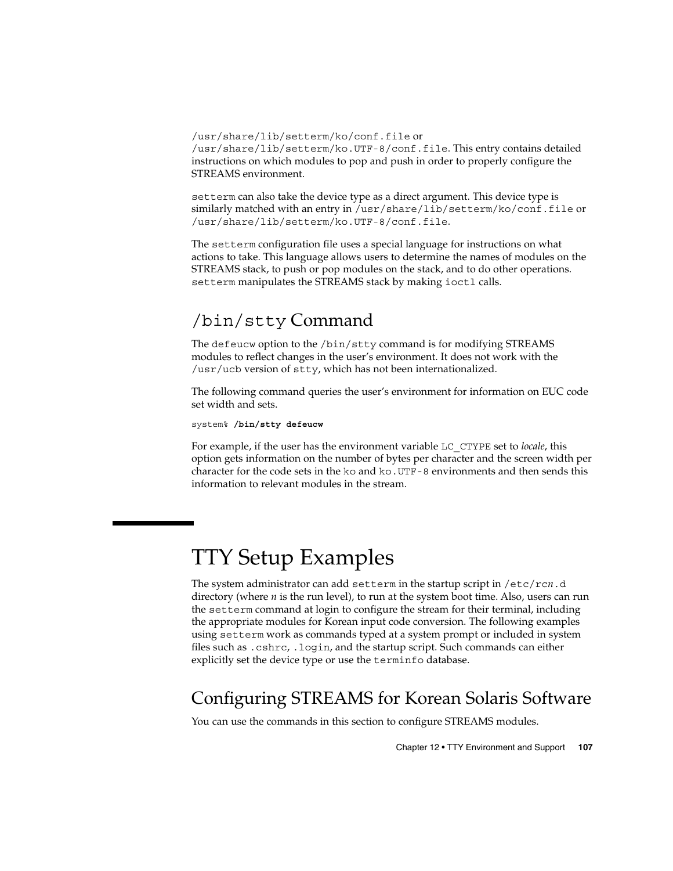<span id="page-106-0"></span>/usr/share/lib/setterm/ko/conf.file or /usr/share/lib/setterm/ko.UTF-8/conf.file. This entry contains detailed instructions on which modules to pop and push in order to properly configure the STREAMS environment.

setterm can also take the device type as a direct argument. This device type is similarly matched with an entry in /usr/share/lib/setterm/ko/conf.file or /usr/share/lib/setterm/ko.UTF-8/conf.file.

The setterm configuration file uses a special language for instructions on what actions to take. This language allows users to determine the names of modules on the STREAMS stack, to push or pop modules on the stack, and to do other operations. setterm manipulates the STREAMS stack by making ioctl calls.

### /bin/stty Command

The defeucw option to the /bin/stty command is for modifying STREAMS modules to reflect changes in the user's environment. It does not work with the /usr/ucb version of stty, which has not been internationalized.

The following command queries the user's environment for information on EUC code set width and sets.

system% **/bin/stty defeucw**

For example, if the user has the environment variable LC\_CTYPE set to *locale*, this option gets information on the number of bytes per character and the screen width per character for the code sets in the ko and ko. UTF-8 environments and then sends this information to relevant modules in the stream.

# TTY Setup Examples

The system administrator can add setterm in the startup script in /etc/rc*n*.d directory (where *n* is the run level), to run at the system boot time. Also, users can run the setterm command at login to configure the stream for their terminal, including the appropriate modules for Korean input code conversion. The following examples using setterm work as commands typed at a system prompt or included in system files such as .cshrc, .login, and the startup script. Such commands can either explicitly set the device type or use the terminfo database.

### Configuring STREAMS for Korean Solaris Software

You can use the commands in this section to configure STREAMS modules.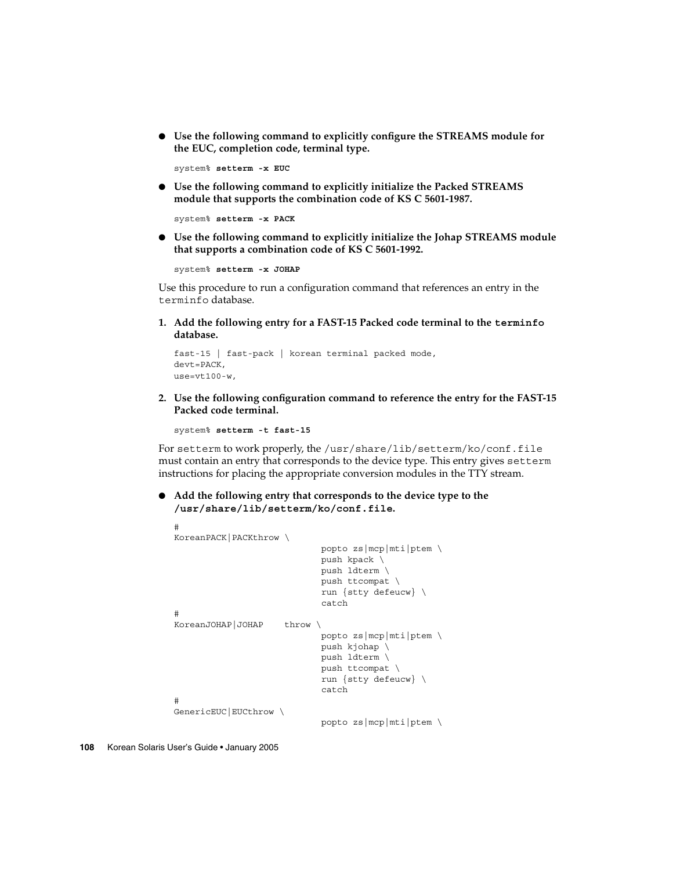● **Use the following command to explicitly configure the STREAMS module for the EUC, completion code, terminal type.**

system% **setterm -x EUC**

● **Use the following command to explicitly initialize the Packed STREAMS module that supports the combination code of KS C 5601-1987.**

system% **setterm -x PACK**

● **Use the following command to explicitly initialize the Johap STREAMS module that supports a combination code of KS C 5601-1992.**

system% **setterm -x JOHAP**

Use this procedure to run a configuration command that references an entry in the terminfo database.

**1. Add the following entry for a FAST-15 Packed code terminal to the terminfo database.**

```
fast-15 | fast-pack | korean terminal packed mode,
devt = PACK.
use=vt100-w,
```
**2. Use the following configuration command to reference the entry for the FAST-15 Packed code terminal.**

system% **setterm -t fast-15**

For setterm to work properly, the /usr/share/lib/setterm/ko/conf.file must contain an entry that corresponds to the device type. This entry gives setterm instructions for placing the appropriate conversion modules in the TTY stream.

● **Add the following entry that corresponds to the device type to the /usr/share/lib/setterm/ko/conf.file.**

```
#
KoreanPACK|PACKthrow \
                            popto zs|mcp|mti|ptem \
                            push kpack \
                            push ldterm \
                            push ttcompat \
                            run {stty defeucw} \
                            catch
#
KoreanJOHAP JOHAP throw \
                            popto zs|mcp|mti|ptem \
                            push kjohap \
                            push ldterm \
                            push ttcompat \
                            run {stty defeucw} \
                            catch
#
GenericEUC|EUCthrow \
                            popto zs|mcp|mti|ptem \
```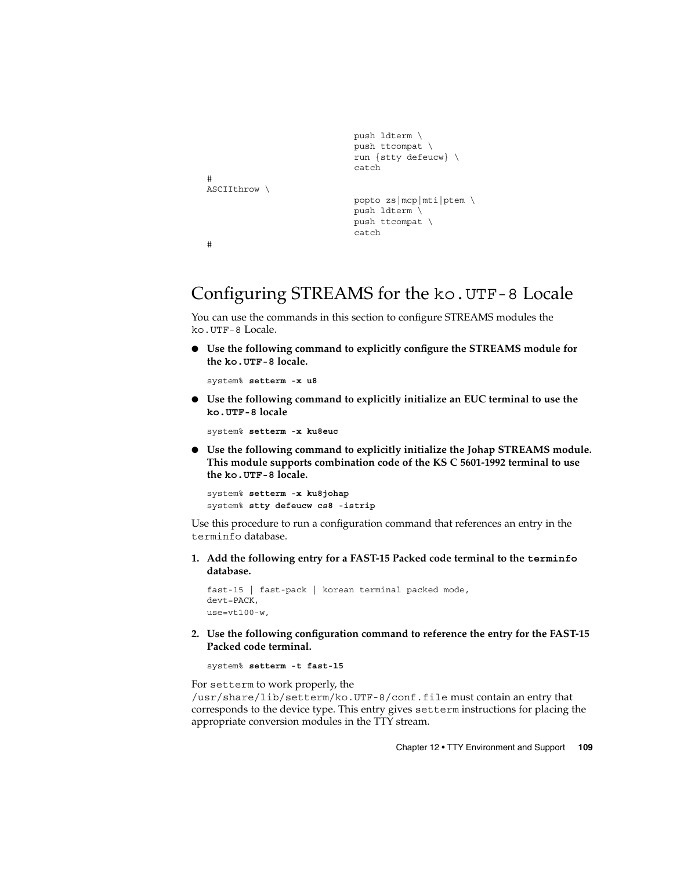```
push ldterm \
                            push ttcompat \
                            run {stty defeucw} \
                            catch
ASCIIthrow \
                            popto zs|mcp|mti|ptem \
                            push ldterm \
                            push ttcompat \
                            catch
```
## Configuring STREAMS for the ko. UTF-8 Locale

You can use the commands in this section to configure STREAMS modules the ko.UTF-8 Locale.

● **Use the following command to explicitly configure the STREAMS module for the ko.UTF-8 locale.**

system% **setterm -x u8**

#

#

● **Use the following command to explicitly initialize an EUC terminal to use the ko.UTF-8 locale**

system% **setterm -x ku8euc**

● **Use the following command to explicitly initialize the Johap STREAMS module. This module supports combination code of the KS C 5601-1992 terminal to use the ko.UTF-8 locale.**

```
system% setterm -x ku8johap
system% stty defeucw cs8 -istrip
```
Use this procedure to run a configuration command that references an entry in the terminfo database.

**1. Add the following entry for a FAST-15 Packed code terminal to the terminfo database.**

fast-15 | fast-pack | korean terminal packed mode, devt=PACK, use=vt100-w,

**2. Use the following configuration command to reference the entry for the FAST-15 Packed code terminal.**

system% **setterm -t fast-15**

For setterm to work properly, the

/usr/share/lib/setterm/ko.UTF-8/conf.file must contain an entry that corresponds to the device type. This entry gives setterm instructions for placing the appropriate conversion modules in the TTY stream.

Chapter 12 • TTY Environment and Support **109**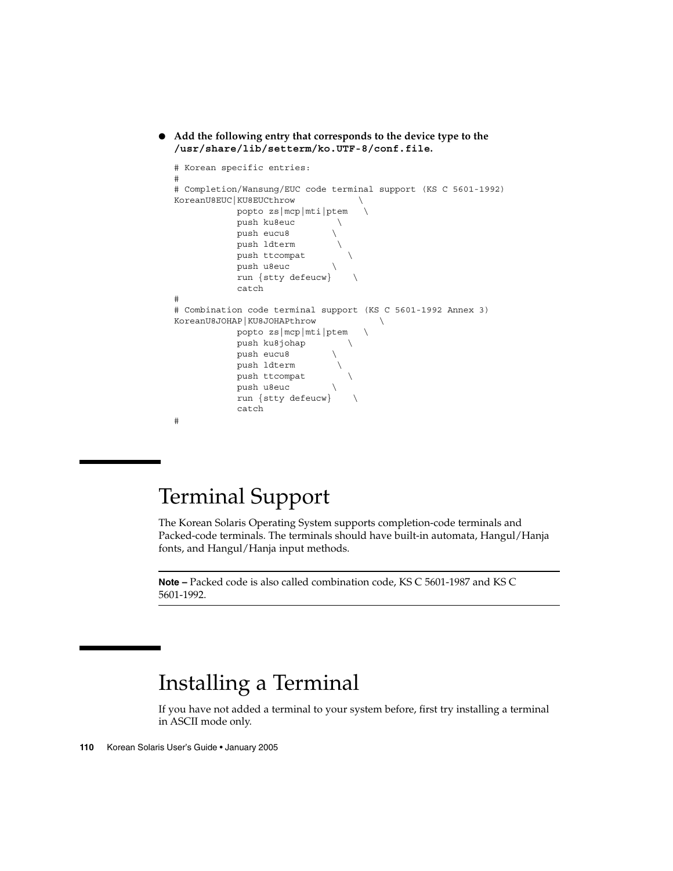<span id="page-109-0"></span>● **Add the following entry that corresponds to the device type to the /usr/share/lib/setterm/ko.UTF-8/conf.file.**

```
# Korean specific entries:
#
# Completion/Wansung/EUC code terminal support (KS C 5601-1992)
KoreanU8EUC | KU8EUCthrow \
         popto zs|mcp|mti|ptem \
          push ku8euc \
          push eucu8 \
          push ldterm \qquad \qquad \backslashpush ttcompat \
          push u8euc \
          run {stty defeucw} \
          catch
#
# Combination code terminal support (KS C 5601-1992 Annex 3)
KoreanU8JOHAP|KU8JOHAPthrow \
         popto zs|mcp|mti|ptem \
         push ku8johap \
          push eucu8
          push ldterm \
          push ttcompat \
         push u8euc \
         run {stty defeucw} \
          catch
#
```
## Terminal Support

The Korean Solaris Operating System supports completion-code terminals and Packed-code terminals. The terminals should have built-in automata, Hangul/Hanja fonts, and Hangul/Hanja input methods.

**Note –** Packed code is also called combination code, KS C 5601-1987 and KS C 5601-1992.

## Installing a Terminal

If you have not added a terminal to your system before, first try installing a terminal in ASCII mode only.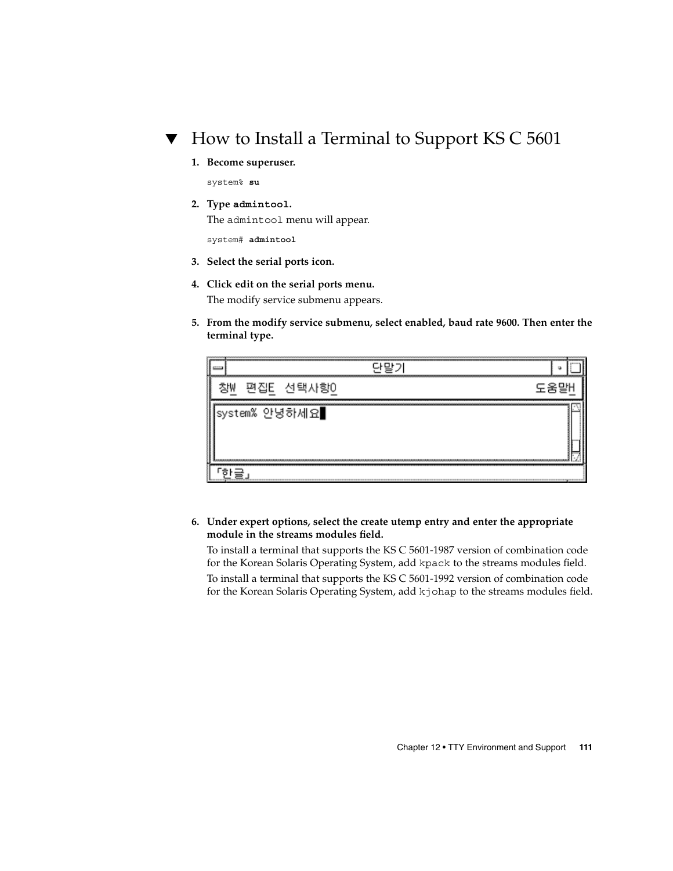### <span id="page-110-0"></span>▼ How to Install a Terminal to Support KS C 5601

**1. Become superuser.**

system% **su**

**2. Type admintool.**

The admintool menu will appear.

system# **admintool**

- **3. Select the serial ports icon.**
- **4. Click edit on the serial ports menu.**

The modify service submenu appears.

**5. From the modify service submenu, select enabled, baud rate 9600. Then enter the terminal type.**



**6. Under expert options, select the create utemp entry and enter the appropriate module in the streams modules field.**

To install a terminal that supports the KS C 5601-1987 version of combination code for the Korean Solaris Operating System, add kpack to the streams modules field. To install a terminal that supports the KS C 5601-1992 version of combination code for the Korean Solaris Operating System, add kjohap to the streams modules field.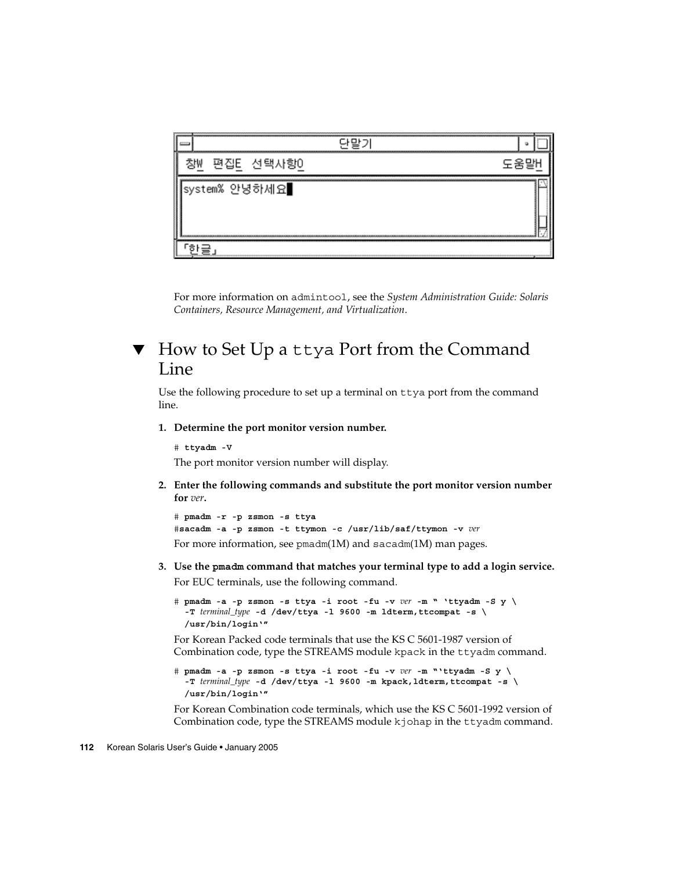<span id="page-111-0"></span>

|   |               | 단말기 |     |
|---|---------------|-----|-----|
|   | 편집E 선택사항O     |     | 도움말 |
| Ц | system% 안녕하세요 |     |     |
|   |               |     |     |

For more information on admintool, see the *System Administration Guide: Solaris Containers, Resource Management, and Virtualization*.

## ▼ How to Set Up a ttya Port from the Command Line

Use the following procedure to set up a terminal on ttya port from the command line.

**1. Determine the port monitor version number.**

# **ttyadm -V**

The port monitor version number will display.

**2. Enter the following commands and substitute the port monitor version number for** *ver***.**

# **pmadm -r -p zsmon -s ttya** #**sacadm -a -p zsmon -t ttymon -c /usr/lib/saf/ttymon -v** *ver* For more information, see pmadm(1M) and sacadm(1M) man pages.

- **3. Use the pmadm command that matches your terminal type to add a login service.** For EUC terminals, use the following command.
	- # **pmadm -a -p zsmon -s ttya -i root -fu -v** *ver* **-m " 'ttyadm -S y \ -T** *terminal\_type* **-d /dev/ttya -l 9600 -m ldterm,ttcompat -s \ /usr/bin/login'"**

For Korean Packed code terminals that use the KS C 5601-1987 version of Combination code, type the STREAMS module kpack in the ttyadm command.

# **pmadm -a -p zsmon -s ttya -i root -fu -v** *ver* **-m "'ttyadm -S y \ -T** *terminal\_type* **-d /dev/ttya -l 9600 -m kpack,ldterm,ttcompat -s \ /usr/bin/login'"**

For Korean Combination code terminals, which use the KS C 5601-1992 version of Combination code, type the STREAMS module kjohap in the ttyadm command.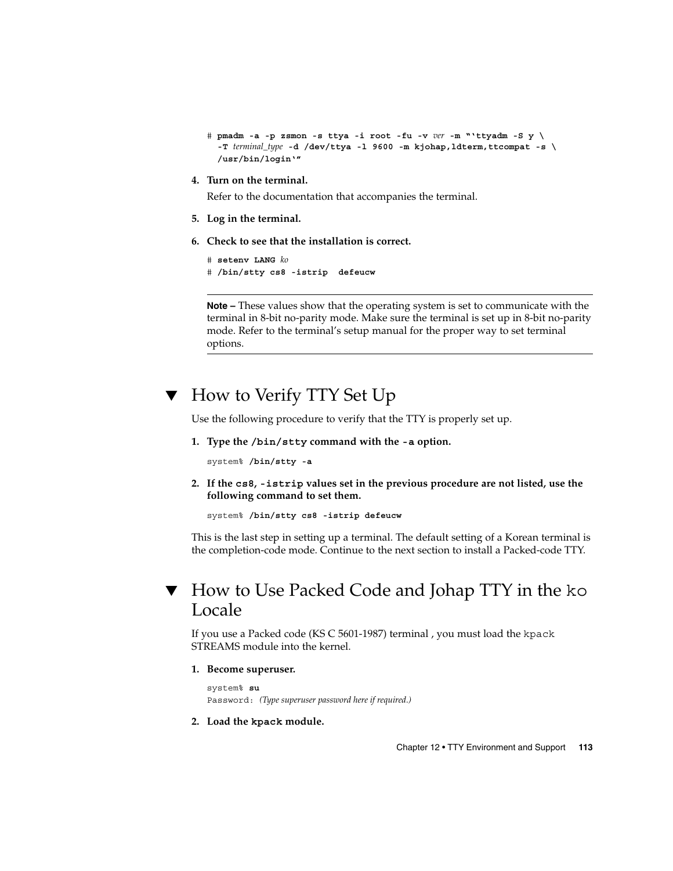```
# pmadm -a -p zsmon -s ttya -i root -fu -v ver -m "'ttyadm -S y \
  -T terminal_type -d /dev/ttya -l 9600 -m kjohap,ldterm,ttcompat -s \
  /usr/bin/login'"
```
**4. Turn on the terminal.**

Refer to the documentation that accompanies the terminal.

- **5. Log in the terminal.**
- **6. Check to see that the installation is correct.**

```
# setenv LANG ko
```
# **/bin/stty cs8 -istrip defeucw**

**Note –** These values show that the operating system is set to communicate with the terminal in 8-bit no-parity mode. Make sure the terminal is set up in 8-bit no-parity mode. Refer to the terminal's setup manual for the proper way to set terminal options.

### ▼ How to Verify TTY Set Up

Use the following procedure to verify that the TTY is properly set up.

**1. Type the /bin/stty command with the -a option.**

system% **/bin/stty -a**

**2. If the cs8, -istrip values set in the previous procedure are not listed, use the following command to set them.**

system% **/bin/stty cs8 -istrip defeucw**

This is the last step in setting up a terminal. The default setting of a Korean terminal is the completion-code mode. Continue to the next section to install a Packed-code TTY.

### ▼ How to Use Packed Code and Johap TTY in the ko Locale

If you use a Packed code (KS C 5601-1987) terminal , you must load the kpack STREAMS module into the kernel.

**1. Become superuser.**

system% **su** Password: *(Type superuser password here if required.)*

**2. Load the kpack module.**

Chapter 12 • TTY Environment and Support **113**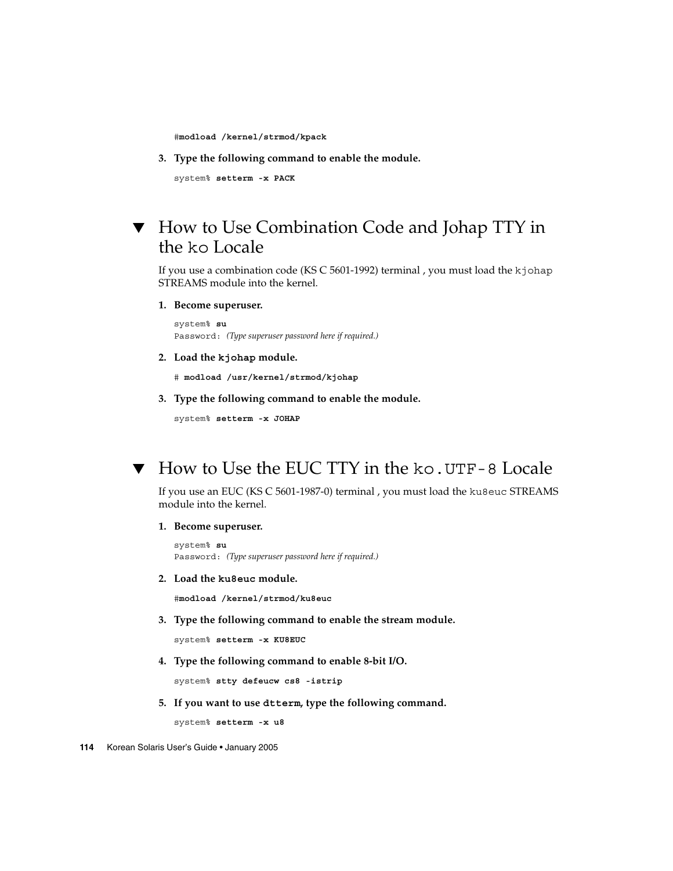#**modload /kernel/strmod/kpack**

**3. Type the following command to enable the module.**

```
system% setterm -x PACK
```
## ▼ How to Use Combination Code and Johap TTY in the ko Locale

If you use a combination code (KS C 5601-1992) terminal , you must load the kjohap STREAMS module into the kernel.

**1. Become superuser.**

system% **su** Password: *(Type superuser password here if required.)*

**2. Load the kjohap module.**

# **modload /usr/kernel/strmod/kjohap**

**3. Type the following command to enable the module.**

system% **setterm -x JOHAP**

## ▼ How to Use the EUC TTY in the ko.UTF-8 Locale

If you use an EUC (KS C 5601-1987-0) terminal , you must load the ku8euc STREAMS module into the kernel.

**1. Become superuser.**

system% **su** Password: *(Type superuser password here if required.)*

**2. Load the ku8euc module.**

#**modload /kernel/strmod/ku8euc**

**3. Type the following command to enable the stream module.**

system% **setterm -x KU8EUC**

**4. Type the following command to enable 8-bit I/O.**

system% **stty defeucw cs8 -istrip**

**5. If you want to use dtterm, type the following command.**

system% **setterm -x u8**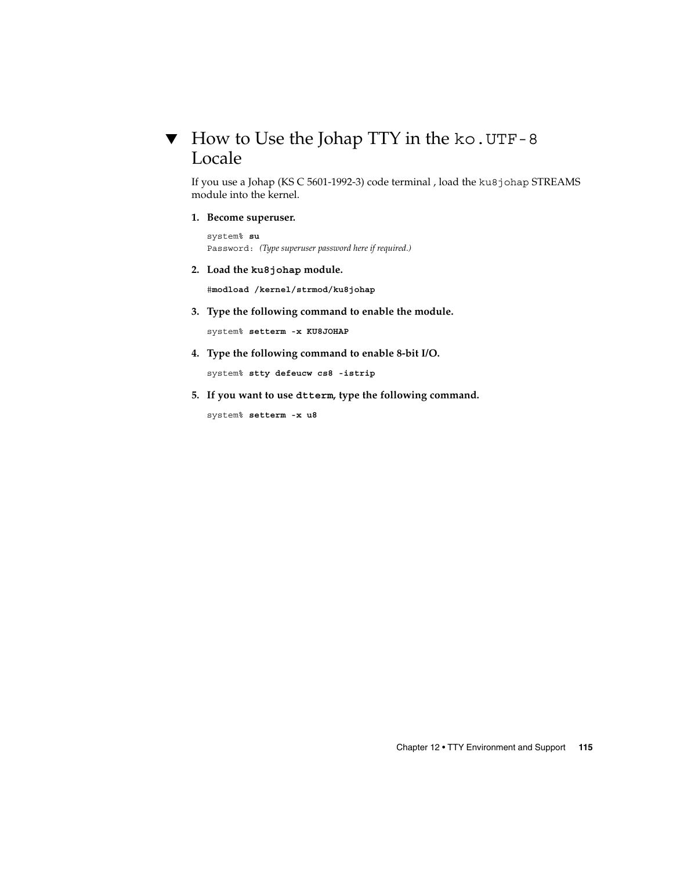## ▼ How to Use the Johap TTY in the ko.UTF-8 Locale

If you use a Johap (KS C 5601-1992-3) code terminal , load the ku8johap STREAMS module into the kernel.

#### **1. Become superuser.**

system% **su** Password: *(Type superuser password here if required.)*

**2. Load the ku8johap module.**

#**modload /kernel/strmod/ku8johap**

**3. Type the following command to enable the module.**

system% **setterm -x KU8JOHAP**

**4. Type the following command to enable 8-bit I/O.**

system% **stty defeucw cs8 -istrip**

**5. If you want to use dtterm, type the following command.**

system% **setterm -x u8**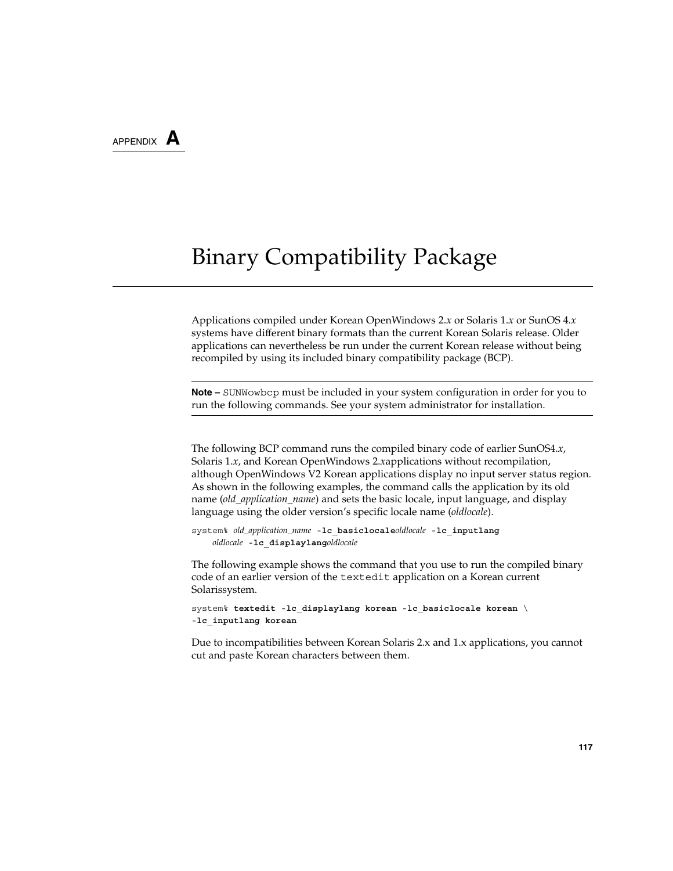<span id="page-116-0"></span>APPENDIX **A**

## Binary Compatibility Package

Applications compiled under Korean OpenWindows 2.*x* or Solaris 1.*x* or SunOS 4.*x* systems have different binary formats than the current Korean Solaris release. Older applications can nevertheless be run under the current Korean release without being recompiled by using its included binary compatibility package (BCP).

**Note –** SUNWowbcp must be included in your system configuration in order for you to run the following commands. See your system administrator for installation.

The following BCP command runs the compiled binary code of earlier SunOS4.*x*, Solaris 1.*x*, and Korean OpenWindows 2.*x*applications without recompilation, although OpenWindows V2 Korean applications display no input server status region. As shown in the following examples, the command calls the application by its old name (*old\_application\_name*) and sets the basic locale, input language, and display language using the older version's specific locale name (*oldlocale*).

system% *old\_application\_name* **-lc\_basiclocale***oldlocale* **-lc\_inputlang** *oldlocale* **-lc\_displaylang***oldlocale*

The following example shows the command that you use to run the compiled binary code of an earlier version of the textedit application on a Korean current Solarissystem.

system% **textedit -lc\_displaylang korean -lc\_basiclocale korean** \ **-lc\_inputlang korean**

Due to incompatibilities between Korean Solaris 2.x and 1.x applications, you cannot cut and paste Korean characters between them.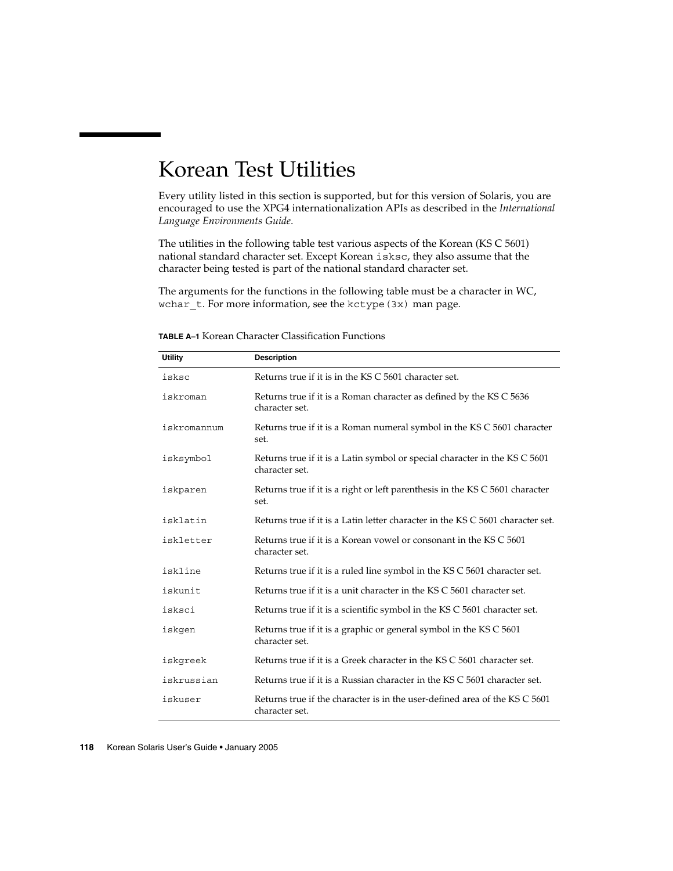## <span id="page-117-0"></span>Korean Test Utilities

Every utility listed in this section is supported, but for this version of Solaris, you are encouraged to use the XPG4 internationalization APIs as described in the *International Language Environments Guide*.

The utilities in the following table test various aspects of the Korean (KS C 5601) national standard character set. Except Korean isksc, they also assume that the character being tested is part of the national standard character set.

The arguments for the functions in the following table must be a character in WC, wchar t. For more information, see the kctype (3x) man page.

| Utility     | <b>Description</b>                                                                           |
|-------------|----------------------------------------------------------------------------------------------|
| isksc       | Returns true if it is in the KS C 5601 character set.                                        |
| iskroman    | Returns true if it is a Roman character as defined by the KS C 5636<br>character set.        |
| iskromannum | Returns true if it is a Roman numeral symbol in the KS C 5601 character<br>set.              |
| isksymbol   | Returns true if it is a Latin symbol or special character in the KS C 5601<br>character set. |
| iskparen    | Returns true if it is a right or left parenthesis in the KS C 5601 character<br>set.         |
| isklatin    | Returns true if it is a Latin letter character in the KS C 5601 character set.               |
| iskletter   | Returns true if it is a Korean yowel or consonant in the KS C 5601<br>character set.         |
| iskline     | Returns true if it is a ruled line symbol in the KS C 5601 character set.                    |
| iskunit     | Returns true if it is a unit character in the KS C 5601 character set.                       |
| isksci      | Returns true if it is a scientific symbol in the KS C 5601 character set.                    |
| iskgen      | Returns true if it is a graphic or general symbol in the KS C 5601<br>character set.         |
| iskgreek    | Returns true if it is a Greek character in the KS C 5601 character set.                      |
| iskrussian  | Returns true if it is a Russian character in the KS C 5601 character set.                    |
| iskuser     | Returns true if the character is in the user-defined area of the KS C 5601<br>character set. |

**TABLE A–1** Korean Character Classification Functions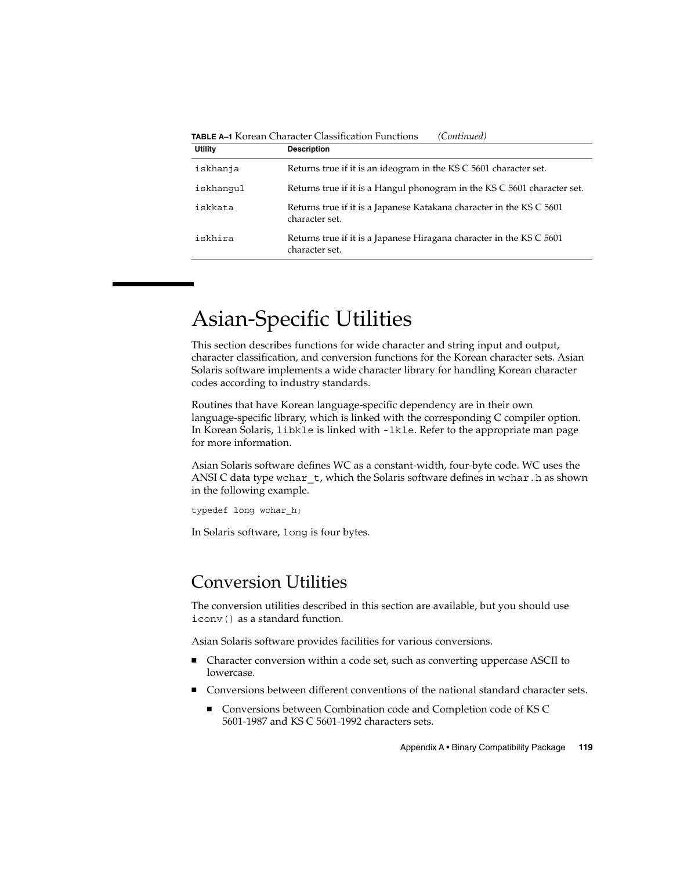<span id="page-118-0"></span>**TABLE A–1** Korean Character Classification Functions *(Continued)*

| <b>Utility</b> | <b>Description</b>                                                                     |
|----------------|----------------------------------------------------------------------------------------|
| iskhanja       | Returns true if it is an ideogram in the KS C 5601 character set.                      |
| iskhanqul      | Returns true if it is a Hangul phonogram in the KS C 5601 character set.               |
| iskkata        | Returns true if it is a Japanese Katakana character in the KS C 5601<br>character set. |
| iskhira        | Returns true if it is a Japanese Hiragana character in the KS C 5601<br>character set. |

## Asian-Specific Utilities

This section describes functions for wide character and string input and output, character classification, and conversion functions for the Korean character sets. Asian Solaris software implements a wide character library for handling Korean character codes according to industry standards.

Routines that have Korean language-specific dependency are in their own language-specific library, which is linked with the corresponding C compiler option. In Korean Solaris, libkle is linked with -lkle. Refer to the appropriate man page for more information.

Asian Solaris software defines WC as a constant-width, four-byte code. WC uses the ANSI C data type wchar t, which the Solaris software defines in wchar.h as shown in the following example.

typedef long wchar\_h;

In Solaris software, long is four bytes.

### Conversion Utilities

The conversion utilities described in this section are available, but you should use iconv() as a standard function.

Asian Solaris software provides facilities for various conversions.

- Character conversion within a code set, such as converting uppercase ASCII to lowercase.
- Conversions between different conventions of the national standard character sets.
	- Conversions between Combination code and Completion code of KS C 5601-1987 and KS C 5601-1992 characters sets.

Appendix A • Binary Compatibility Package **119**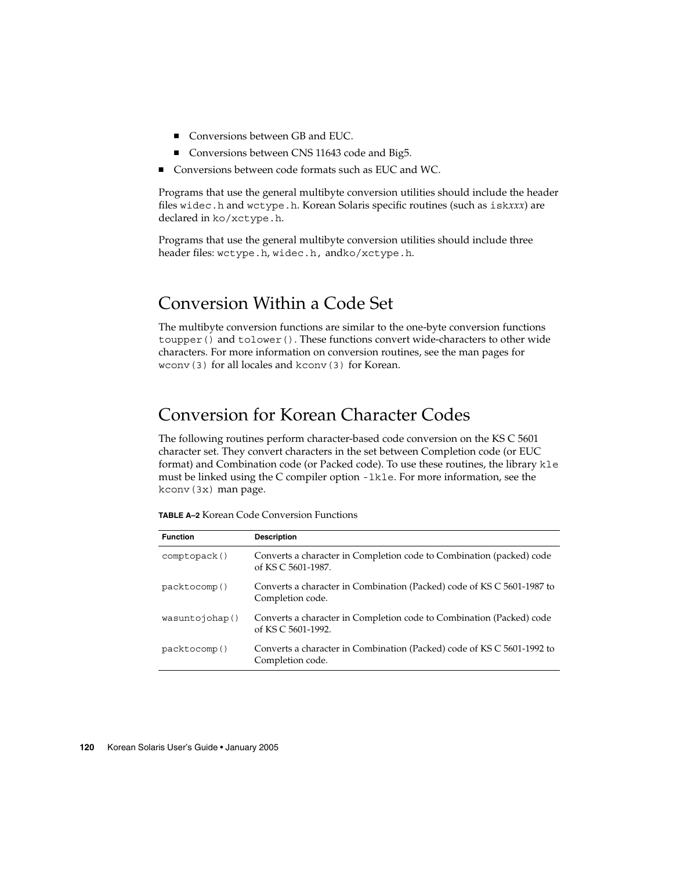- Conversions between GB and EUC.
- Conversions between CNS 11643 code and Big5.
- Conversions between code formats such as EUC and WC.

Programs that use the general multibyte conversion utilities should include the header files widec.h and wctype.h. Korean Solaris specific routines (such as isk*xxx*) are declared in ko/xctype.h.

Programs that use the general multibyte conversion utilities should include three header files: wctype.h, widec.h, andko/xctype.h.

### Conversion Within a Code Set

The multibyte conversion functions are similar to the one-byte conversion functions toupper() and tolower(). These functions convert wide-characters to other wide characters. For more information on conversion routines, see the man pages for wconv(3) for all locales and kconv(3) for Korean.

## Conversion for Korean Character Codes

The following routines perform character-based code conversion on the KS C 5601 character set. They convert characters in the set between Completion code (or EUC format) and Combination code (or Packed code). To use these routines, the library kle must be linked using the C compiler option -lkle. For more information, see the kconv(3x) man page.

| <b>Function</b> | <b>Description</b>                                                                         |
|-----------------|--------------------------------------------------------------------------------------------|
| comptopack()    | Converts a character in Completion code to Combination (packed) code<br>of KS C 5601-1987. |
| packtocomp()    | Converts a character in Combination (Packed) code of KS C 5601-1987 to<br>Completion code. |
| wasuntojohap()  | Converts a character in Completion code to Combination (Packed) code<br>of KS C 5601-1992. |
| packtocomp()    | Converts a character in Combination (Packed) code of KS C 5601-1992 to<br>Completion code. |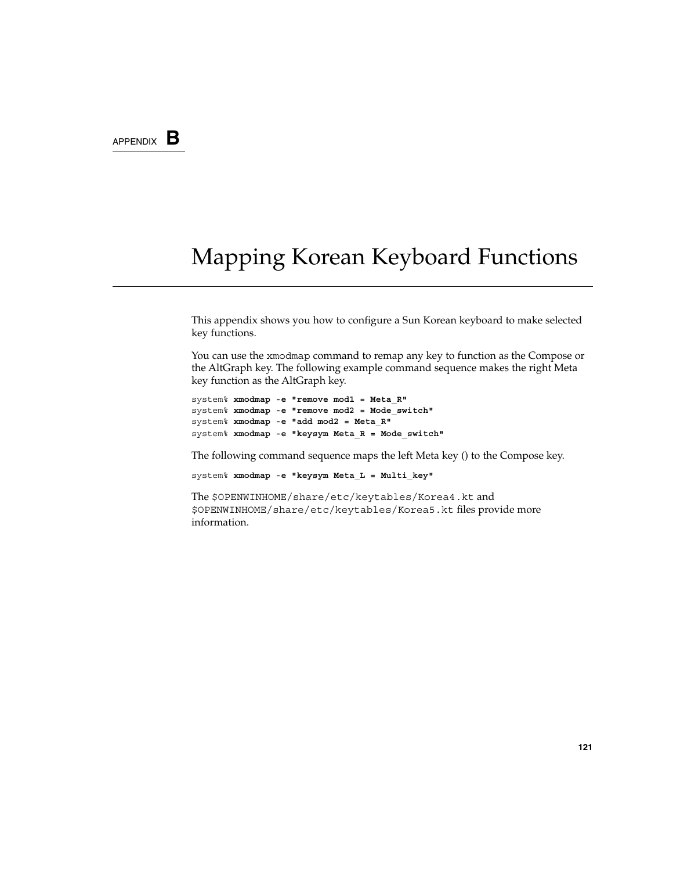<span id="page-120-0"></span>APPENDIX **B**

## Mapping Korean Keyboard Functions

This appendix shows you how to configure a Sun Korean keyboard to make selected key functions.

You can use the xmodmap command to remap any key to function as the Compose or the AltGraph key. The following example command sequence makes the right Meta key function as the AltGraph key.

```
system% xmodmap -e "remove mod1 = Meta_R"
system% xmodmap -e "remove mod2 = Mode_switch"
system% xmodmap -e "add mod2 = Meta_R"
system% xmodmap -e "keysym Meta_R = Mode_switch"
```
The following command sequence maps the left Meta key () to the Compose key.

```
system% xmodmap -e "keysym Meta_L = Multi_key"
```
The \$OPENWINHOME/share/etc/keytables/Korea4.kt and \$OPENWINHOME/share/etc/keytables/Korea5.kt files provide more information.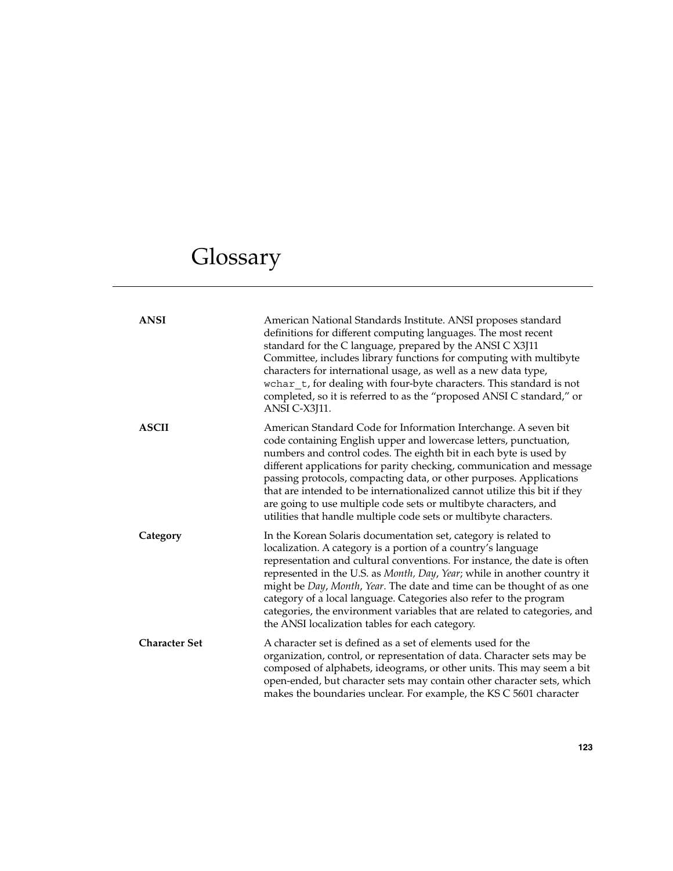# Glossary

| <b>ANSI</b>          | American National Standards Institute. ANSI proposes standard<br>definitions for different computing languages. The most recent<br>standard for the C language, prepared by the ANSI C X3J11<br>Committee, includes library functions for computing with multibyte<br>characters for international usage, as well as a new data type,<br>wchar t, for dealing with four-byte characters. This standard is not                                                                                                                                                                   |
|----------------------|---------------------------------------------------------------------------------------------------------------------------------------------------------------------------------------------------------------------------------------------------------------------------------------------------------------------------------------------------------------------------------------------------------------------------------------------------------------------------------------------------------------------------------------------------------------------------------|
|                      | completed, so it is referred to as the "proposed ANSI C standard," or<br>ANSI C-X3J11.                                                                                                                                                                                                                                                                                                                                                                                                                                                                                          |
| <b>ASCII</b>         | American Standard Code for Information Interchange. A seven bit<br>code containing English upper and lowercase letters, punctuation,<br>numbers and control codes. The eighth bit in each byte is used by<br>different applications for parity checking, communication and message<br>passing protocols, compacting data, or other purposes. Applications<br>that are intended to be internationalized cannot utilize this bit if they<br>are going to use multiple code sets or multibyte characters, and<br>utilities that handle multiple code sets or multibyte characters. |
| Category             | In the Korean Solaris documentation set, category is related to<br>localization. A category is a portion of a country's language<br>representation and cultural conventions. For instance, the date is often<br>represented in the U.S. as Month, Day, Year; while in another country it<br>might be Day, Month, Year. The date and time can be thought of as one<br>category of a local language. Categories also refer to the program<br>categories, the environment variables that are related to categories, and<br>the ANSI localization tables for each category.         |
| <b>Character Set</b> | A character set is defined as a set of elements used for the<br>organization, control, or representation of data. Character sets may be<br>composed of alphabets, ideograms, or other units. This may seem a bit<br>open-ended, but character sets may contain other character sets, which<br>makes the boundaries unclear. For example, the KS C 5601 character                                                                                                                                                                                                                |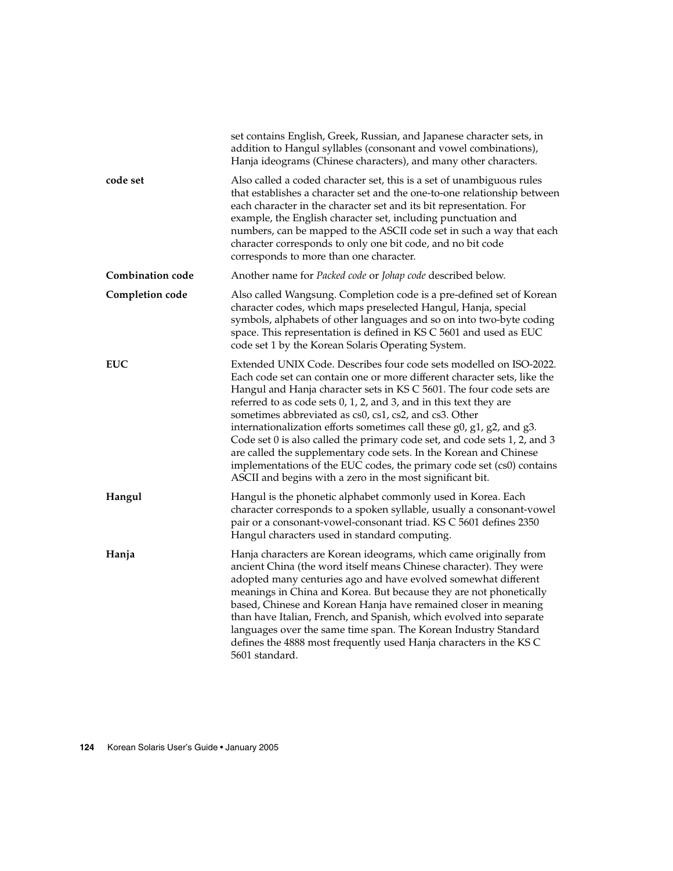|                         | set contains English, Greek, Russian, and Japanese character sets, in<br>addition to Hangul syllables (consonant and vowel combinations),<br>Hanja ideograms (Chinese characters), and many other characters.                                                                                                                                                                                                                                                                                                                                                                                                                                                                                                           |
|-------------------------|-------------------------------------------------------------------------------------------------------------------------------------------------------------------------------------------------------------------------------------------------------------------------------------------------------------------------------------------------------------------------------------------------------------------------------------------------------------------------------------------------------------------------------------------------------------------------------------------------------------------------------------------------------------------------------------------------------------------------|
| code set                | Also called a coded character set, this is a set of unambiguous rules<br>that establishes a character set and the one-to-one relationship between<br>each character in the character set and its bit representation. For<br>example, the English character set, including punctuation and<br>numbers, can be mapped to the ASCII code set in such a way that each<br>character corresponds to only one bit code, and no bit code<br>corresponds to more than one character.                                                                                                                                                                                                                                             |
| <b>Combination code</b> | Another name for Packed code or Johap code described below.                                                                                                                                                                                                                                                                                                                                                                                                                                                                                                                                                                                                                                                             |
| Completion code         | Also called Wangsung. Completion code is a pre-defined set of Korean<br>character codes, which maps preselected Hangul, Hanja, special<br>symbols, alphabets of other languages and so on into two-byte coding<br>space. This representation is defined in KS C 5601 and used as EUC<br>code set 1 by the Korean Solaris Operating System.                                                                                                                                                                                                                                                                                                                                                                              |
| <b>EUC</b>              | Extended UNIX Code. Describes four code sets modelled on ISO-2022.<br>Each code set can contain one or more different character sets, like the<br>Hangul and Hanja character sets in KS C 5601. The four code sets are<br>referred to as code sets 0, 1, 2, and 3, and in this text they are<br>sometimes abbreviated as cs0, cs1, cs2, and cs3. Other<br>internationalization efforts sometimes call these g0, g1, g2, and g3.<br>Code set 0 is also called the primary code set, and code sets 1, 2, and 3<br>are called the supplementary code sets. In the Korean and Chinese<br>implementations of the EUC codes, the primary code set (cs0) contains<br>ASCII and begins with a zero in the most significant bit. |
| Hangul                  | Hangul is the phonetic alphabet commonly used in Korea. Each<br>character corresponds to a spoken syllable, usually a consonant-vowel<br>pair or a consonant-vowel-consonant triad. KS C 5601 defines 2350<br>Hangul characters used in standard computing.                                                                                                                                                                                                                                                                                                                                                                                                                                                             |
| Hanja                   | Hanja characters are Korean ideograms, which came originally from<br>ancient China (the word itself means Chinese character). They were<br>adopted many centuries ago and have evolved somewhat different<br>meanings in China and Korea. But because they are not phonetically<br>based, Chinese and Korean Hanja have remained closer in meaning<br>than have Italian, French, and Spanish, which evolved into separate<br>languages over the same time span. The Korean Industry Standard<br>defines the 4888 most frequently used Hanja characters in the KS C<br>5601 standard.                                                                                                                                    |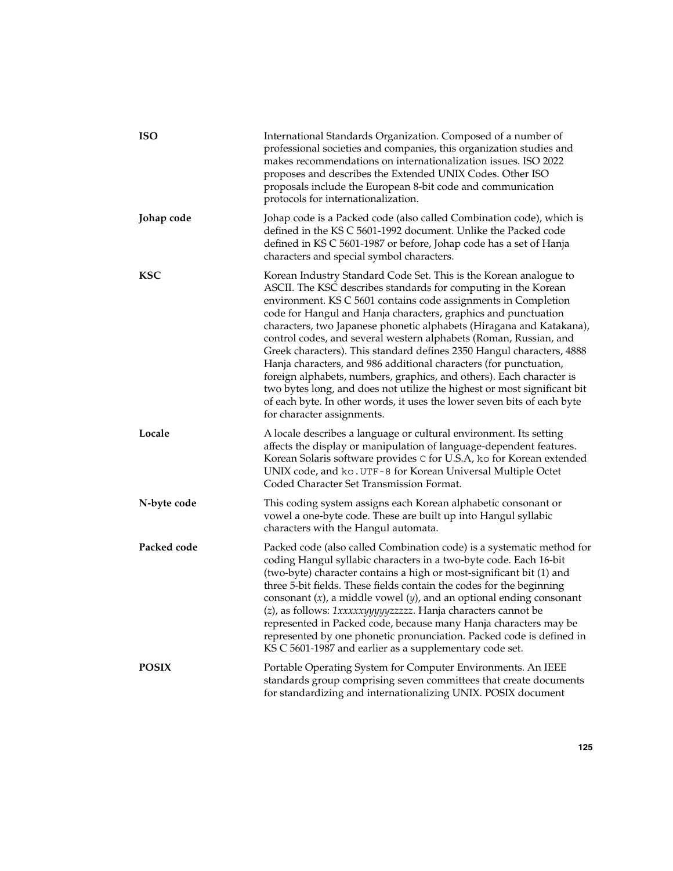| <b>ISO</b>   | International Standards Organization. Composed of a number of<br>professional societies and companies, this organization studies and<br>makes recommendations on internationalization issues. ISO 2022<br>proposes and describes the Extended UNIX Codes. Other ISO<br>proposals include the European 8-bit code and communication<br>protocols for internationalization.                                                                                                                                                                                                                                                                                                                                                                                                                                                       |
|--------------|---------------------------------------------------------------------------------------------------------------------------------------------------------------------------------------------------------------------------------------------------------------------------------------------------------------------------------------------------------------------------------------------------------------------------------------------------------------------------------------------------------------------------------------------------------------------------------------------------------------------------------------------------------------------------------------------------------------------------------------------------------------------------------------------------------------------------------|
| Johap code   | Johap code is a Packed code (also called Combination code), which is<br>defined in the KS C 5601-1992 document. Unlike the Packed code<br>defined in KS C 5601-1987 or before, Johap code has a set of Hanja<br>characters and special symbol characters.                                                                                                                                                                                                                                                                                                                                                                                                                                                                                                                                                                       |
| <b>KSC</b>   | Korean Industry Standard Code Set. This is the Korean analogue to<br>ASCII. The KSC describes standards for computing in the Korean<br>environment. KS C 5601 contains code assignments in Completion<br>code for Hangul and Hanja characters, graphics and punctuation<br>characters, two Japanese phonetic alphabets (Hiragana and Katakana),<br>control codes, and several western alphabets (Roman, Russian, and<br>Greek characters). This standard defines 2350 Hangul characters, 4888<br>Hanja characters, and 986 additional characters (for punctuation,<br>foreign alphabets, numbers, graphics, and others). Each character is<br>two bytes long, and does not utilize the highest or most significant bit<br>of each byte. In other words, it uses the lower seven bits of each byte<br>for character assignments. |
| Locale       | A locale describes a language or cultural environment. Its setting<br>affects the display or manipulation of language-dependent features.<br>Korean Solaris software provides C for U.S.A, ko for Korean extended<br>UNIX code, and ko. UTF-8 for Korean Universal Multiple Octet<br>Coded Character Set Transmission Format.                                                                                                                                                                                                                                                                                                                                                                                                                                                                                                   |
| N-byte code  | This coding system assigns each Korean alphabetic consonant or<br>vowel a one-byte code. These are built up into Hangul syllabic<br>characters with the Hangul automata.                                                                                                                                                                                                                                                                                                                                                                                                                                                                                                                                                                                                                                                        |
| Packed code  | Packed code (also called Combination code) is a systematic method for<br>coding Hangul syllabic characters in a two-byte code. Each 16-bit<br>(two-byte) character contains a high or most-significant bit (1) and<br>three 5-bit fields. These fields contain the codes for the beginning<br>consonant $(x)$ , a middle vowel $(y)$ , and an optional ending consonant<br>(z), as follows: 1xxxxxyyyyyzzzzz. Hanja characters cannot be<br>represented in Packed code, because many Hanja characters may be<br>represented by one phonetic pronunciation. Packed code is defined in<br>KS C 5601-1987 and earlier as a supplementary code set.                                                                                                                                                                                 |
| <b>POSIX</b> | Portable Operating System for Computer Environments. An IEEE<br>standards group comprising seven committees that create documents<br>for standardizing and internationalizing UNIX. POSIX document                                                                                                                                                                                                                                                                                                                                                                                                                                                                                                                                                                                                                              |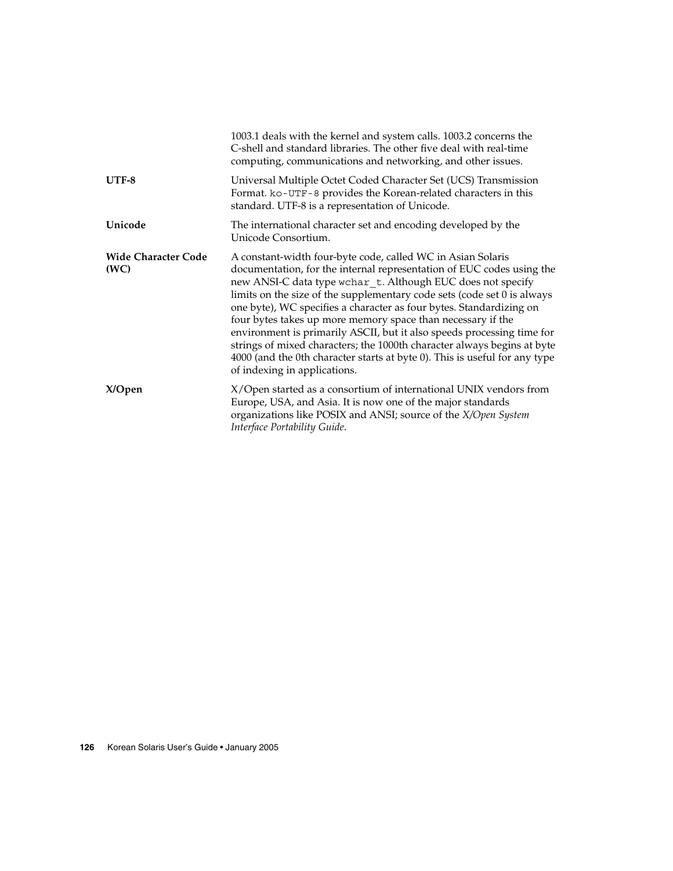|                                    | 1003.1 deals with the kernel and system calls. 1003.2 concerns the<br>C-shell and standard libraries. The other five deal with real-time<br>computing, communications and networking, and other issues.                                                                                                                                                                                                                                                                                                                                                                                                                                                                                 |
|------------------------------------|-----------------------------------------------------------------------------------------------------------------------------------------------------------------------------------------------------------------------------------------------------------------------------------------------------------------------------------------------------------------------------------------------------------------------------------------------------------------------------------------------------------------------------------------------------------------------------------------------------------------------------------------------------------------------------------------|
| UTF-8                              | Universal Multiple Octet Coded Character Set (UCS) Transmission<br>Format. ko-UTF-8 provides the Korean-related characters in this<br>standard. UTF-8 is a representation of Unicode.                                                                                                                                                                                                                                                                                                                                                                                                                                                                                                   |
| Unicode                            | The international character set and encoding developed by the<br>Unicode Consortium.                                                                                                                                                                                                                                                                                                                                                                                                                                                                                                                                                                                                    |
| <b>Wide Character Code</b><br>(WC) | A constant-width four-byte code, called WC in Asian Solaris<br>documentation, for the internal representation of EUC codes using the<br>new ANSI-C data type wchar t. Although EUC does not specify<br>limits on the size of the supplementary code sets (code set 0 is always<br>one byte), WC specifies a character as four bytes. Standardizing on<br>four bytes takes up more memory space than necessary if the<br>environment is primarily ASCII, but it also speeds processing time for<br>strings of mixed characters; the 1000th character always begins at byte<br>4000 (and the 0th character starts at byte 0). This is useful for any type<br>of indexing in applications. |
| X/Open                             | X/Open started as a consortium of international UNIX vendors from<br>Europe, USA, and Asia. It is now one of the major standards<br>organizations like POSIX and ANSI; source of the X/Open System<br>Interface Portability Guide.                                                                                                                                                                                                                                                                                                                                                                                                                                                      |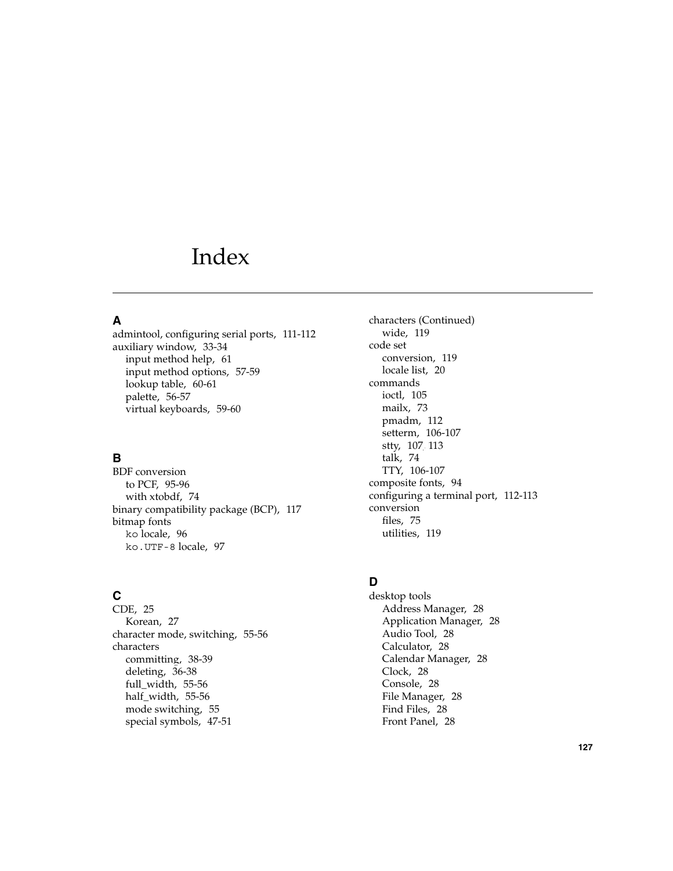## Index

#### **A**

admintool, configuring serial ports, [111-112](#page-110-0) auxiliary window, [33-34](#page-32-0) input method help, [61](#page-60-0) input method options, [57-59](#page-56-0) lookup table, [60-61](#page-59-0) palette, [56-57](#page-55-0) virtual keyboards, [59-60](#page-58-0)

#### **B**

BDF conversion to PCF, [95-96](#page-94-0) with xtobdf, [74](#page-73-0) binary compatibility package (BCP), [117](#page-116-0) bitmap fonts ko locale, [96](#page-95-0) ko.UTF-8 locale, [97](#page-96-0)

#### **C**

CDE, [25](#page-24-0) Korean, [27](#page-26-0) character mode, switching, [55-56](#page-54-0) characters committing, [38-39](#page-37-0) deleting, [36-38](#page-35-0) full\_width, [55-56](#page-54-0) half\_width, [55-56](#page-54-0) mode switching, [55](#page-54-0) special symbols, [47-51](#page-46-0)

characters (Continued) wide, [119](#page-118-0) code set conversion, [119](#page-118-0) locale list, [20](#page-19-0) commands ioctl, [105](#page-104-0) mailx, [73](#page-72-0) pmadm, [112](#page-111-0) setterm, [106-107](#page-105-0) stty, [107,](#page-106-0) [113](#page-112-0) talk, [74](#page-73-0) TTY, [106-107](#page-105-0) composite fonts, [94](#page-93-0) configuring a terminal port, [112-113](#page-111-0) conversion files, [75](#page-74-0) utilities, [119](#page-118-0)

#### **D**

desktop tools Address Manager, [28](#page-27-0) Application Manager, [28](#page-27-0) Audio Tool, [28](#page-27-0) Calculator, [28](#page-27-0) Calendar Manager, [28](#page-27-0) Clock, [28](#page-27-0) Console, [28](#page-27-0) File Manager, [28](#page-27-0) Find Files, [28](#page-27-0) Front Panel, [28](#page-27-0)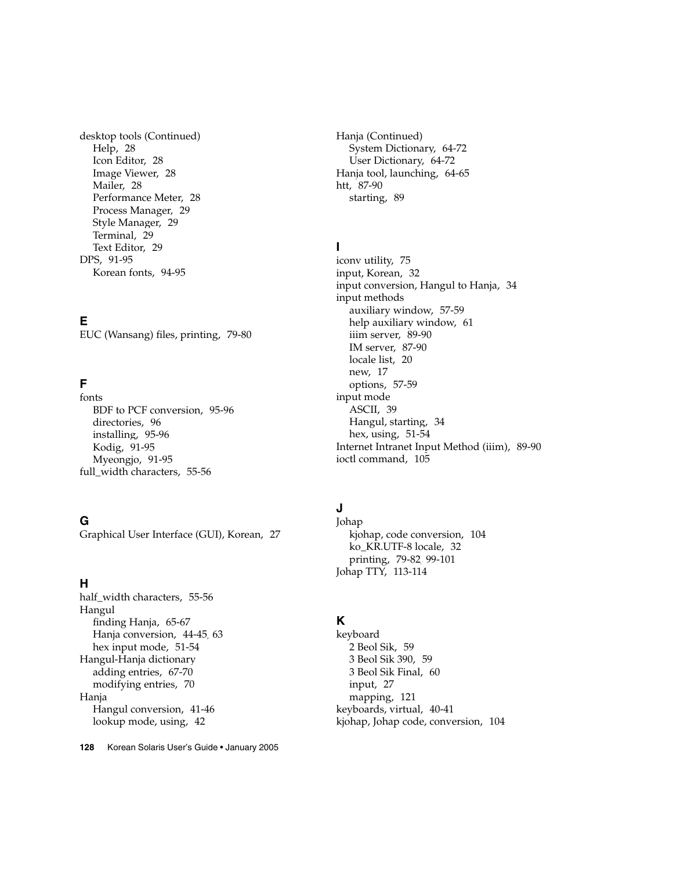desktop tools (Continued) Help, [28](#page-27-0) Icon Editor, [28](#page-27-0) Image Viewer, [28](#page-27-0) Mailer, [28](#page-27-0) Performance Meter, [28](#page-27-0) Process Manager, [29](#page-28-0) Style Manager, [29](#page-28-0) Terminal, [29](#page-28-0) Text Editor, [29](#page-28-0) DPS, [91-95](#page-90-0) Korean fonts, [94-95](#page-93-0)

#### **E**

EUC (Wansang) files, printing, [79-80](#page-78-0)

#### **F**

fonts BDF to PCF conversion, [95-96](#page-94-0) directories, [96](#page-95-0) installing, [95-96](#page-94-0) Kodig, [91-95](#page-90-0) Myeongjo, [91-95](#page-90-0) full\_width characters, [55-56](#page-54-0)

#### **G**

Graphical User Interface (GUI), Korean, [27](#page-26-0)

#### **H**

half\_width characters, [55-56](#page-54-0) Hangul finding Hanja, [65-67](#page-64-0) Hanja conversion, [44-45,](#page-43-0) [63](#page-62-0) hex input mode, [51-54](#page-50-0) Hangul-Hanja dictionary adding entries, [67-70](#page-66-0) modifying entries, [70](#page-69-0) Hanja Hangul conversion, [41-46](#page-40-0) lookup mode, using, [42](#page-41-0)

**128** Korean Solaris User's Guide • January 2005

Hanja (Continued) System Dictionary, [64-72](#page-63-0) User Dictionary, [64-72](#page-63-0) Hanja tool, launching, [64-65](#page-63-0) htt, [87-90](#page-86-0) starting, [89](#page-88-0)

#### **I**

iconv utility, [75](#page-74-0) input, Korean, [32](#page-31-0) input conversion, Hangul to Hanja, [34](#page-33-0) input methods auxiliary window, [57-59](#page-56-0) help auxiliary window, [61](#page-60-0) iiim server, [89-90](#page-88-0) IM server, [87-90](#page-86-0) locale list, [20](#page-19-0) new, [17](#page-16-0) options, [57-59](#page-56-0) input mode ASCII, [39](#page-38-0) Hangul, starting, [34](#page-33-0) hex, using, [51-54](#page-50-0) Internet Intranet Input Method (iiim), [89-90](#page-88-0) ioctl command, [105](#page-104-0)

### **J**

Johap kjohap, code conversion, [104](#page-103-0) ko\_KR.UTF-8 locale, [32](#page-31-0) printing, [79-82,](#page-78-0) [99-101](#page-98-0) Johap TTY, [113-114](#page-112-0)

#### **K**

keyboard 2 Beol Sik, [59](#page-58-0) 3 Beol Sik 390, [59](#page-58-0) 3 Beol Sik Final, [60](#page-59-0) input, [27](#page-26-0) mapping, [121](#page-120-0) keyboards, virtual, [40-41](#page-39-0) kjohap, Johap code, conversion, [104](#page-103-0)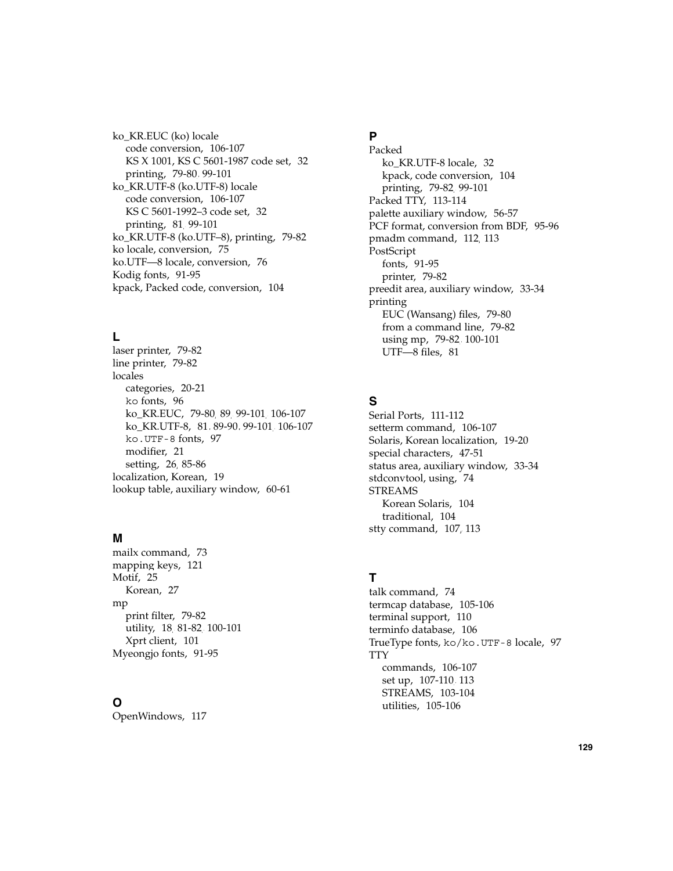ko\_KR.EUC (ko) locale code conversion, [106-107](#page-105-0) KS X 1001, KS C 5601-1987 code set, [32](#page-31-0) printing, [79-80,](#page-78-0) [99-101](#page-98-0) ko\_KR.UTF-8 (ko.UTF-8) locale code conversion, [106-107](#page-105-0) KS C 5601-1992–3 code set, [32](#page-31-0) printing, [81,](#page-80-0) [99-101](#page-98-0) ko\_KR.UTF-8 (ko.UTF–8), printing, [79-82](#page-78-0) ko locale, conversion, [75](#page-74-0) ko.UTF—8 locale, conversion, [76](#page-75-0) Kodig fonts, [91-95](#page-90-0) kpack, Packed code, conversion, [104](#page-103-0)

#### **L**

laser printer, [79-82](#page-78-0) line printer, [79-82](#page-78-0) locales categories, [20-21](#page-19-0) ko fonts, [96](#page-95-0) ko\_KR.EUC, [79-80,](#page-78-0) [89,](#page-88-0) [99-101,](#page-98-0) [106-107](#page-105-0) ko\_KR.UTF-8, [81,](#page-80-0) [89-90,](#page-88-0) [99-101,](#page-98-0) [106-107](#page-105-0) ko.UTF-8 fonts, [97](#page-96-0) modifier, [21](#page-20-0) setting, [26,](#page-25-0) [85-86](#page-84-0) localization, Korean, [19](#page-18-0) lookup table, auxiliary window, [60-61](#page-59-0)

#### **M**

mailx command, [73](#page-72-0) mapping keys, [121](#page-120-0) Motif, [25](#page-24-0) Korean, [27](#page-26-0) mp print filter, [79-82](#page-78-0) utility, [18,](#page-17-0) [81-82,](#page-80-0) [100-101](#page-99-0) Xprt client, [101](#page-100-0) Myeongjo fonts, [91-95](#page-90-0)

#### **O**

OpenWindows, [117](#page-116-0)

#### **P**

Packed ko\_KR.UTF-8 locale, [32](#page-31-0) kpack, code conversion, [104](#page-103-0) printing, [79-82,](#page-78-0) [99-101](#page-98-0) Packed TTY, [113-114](#page-112-0) palette auxiliary window, [56-57](#page-55-0) PCF format, conversion from BDF, [95-96](#page-94-0) pmadm command, [112,](#page-111-0) [113](#page-112-0) PostScript fonts, [91-95](#page-90-0) printer, [79-82](#page-78-0) preedit area, auxiliary window, [33-34](#page-32-0) printing EUC (Wansang) files, [79-80](#page-78-0) from a command line, [79-82](#page-78-0) using mp, [79-82,](#page-78-0) [100-101](#page-99-0) UTF—8 files, [81](#page-80-0)

#### **S**

Serial Ports, [111-112](#page-110-0) setterm command, [106-107](#page-105-0) Solaris, Korean localization, [19-20](#page-18-0) special characters, [47-51](#page-46-0) status area, auxiliary window, [33-34](#page-32-0) stdconvtool, using, [74](#page-73-0) STREAMS Korean Solaris, [104](#page-103-0) traditional, [104](#page-103-0) stty command, [107,](#page-106-0) [113](#page-112-0)

#### **T**

talk command, [74](#page-73-0) termcap database, [105-106](#page-104-0) terminal support, [110](#page-109-0) terminfo database, [106](#page-105-0) TrueType fonts, ko/ko.UTF-8 locale, [97](#page-96-0) **TTY** commands, [106-107](#page-105-0) set up, [107-110,](#page-106-0) [113](#page-112-0) STREAMS, [103-104](#page-102-0) utilities, [105-106](#page-104-0)